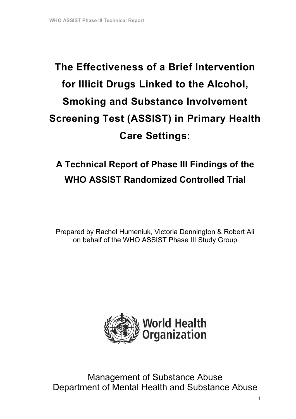# The Effectiveness of a Brief Intervention for Illicit Drugs Linked to the Alcohol, Smoking and Substance Involvement Screening Test (ASSIST) in Primary Health Care Settings:

## A Technical Report of Phase III Findings of the WHO ASSIST Randomized Controlled Trial

Prepared by Rachel Humeniuk, Victoria Dennington & Robert Ali on behalf of the WHO ASSIST Phase III Study Group



Management of Substance Abuse Department of Mental Health and Substance Abuse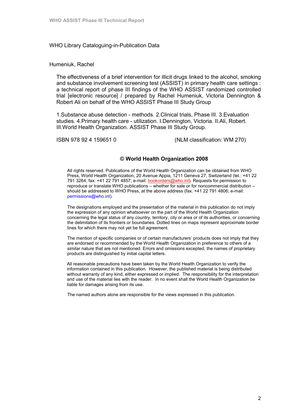#### WHO Library Cataloguing-in-Publication Data

#### Humeniuk, Rachel

 The effectiveness of a brief intervention for illicit drugs linked to the alcohol, smoking and substance involvement screening test (ASSIST) in primary health care settings : a technical report of phase III findings of the WHO ASSIST randomized controlled trial [electronic resource] / prepared by Rachel Humeniuk, Victoria Dennington & Robert Ali on behalf of the WHO ASSIST Phase III Study Group

1.Substance abuse detection - methods. 2.Clinical trials, Phase III. 3.Evaluation studies. 4.Primary health care - utilization. I.Dennington, Victoria. II.Ali, Robert. III.World Health Organization. ASSIST Phase III Study Group.

ISBN 978 92 4 159651 0 (NLM classification: WM 270)

#### © World Health Organization 2008

All rights reserved. Publications of the World Health Organization can be obtained from WHO Press, World Health Organization, 20 Avenue Appia, 1211 Geneva 27, Switzerland (tel.: +41 22 791 3264; fax: +41 22 791 4857; e-mail: **bookorders@who.int**). Requests for permission to reproduce or translate WHO publications – whether for sale or for noncommercial distribution – should be addressed to WHO Press, at the above address (fax: +41 22 791 4806; e-mail: permissions@who.int).

The designations employed and the presentation of the material in this publication do not imply the expression of any opinion whatsoever on the part of the World Health Organization concerning the legal status of any country, territory, city or area or of its authorities, or concerning the delimitation of its frontiers or boundaries. Dotted lines on maps represent approximate border lines for which there may not yet be full agreement.

The mention of specific companies or of certain manufacturers' products does not imply that they are endorsed or recommended by the World Health Organization in preference to others of a similar nature that are not mentioned. Errors and omissions excepted, the names of proprietary products are distinguished by initial capital letters.

All reasonable precautions have been taken by the World Health Organization to verify the information contained in this publication. However, the published material is being distributed without warranty of any kind, either expressed or implied. The responsibility for the interpretation and use of the material lies with the reader. In no event shall the World Health Organization be liable for damages arising from its use.

The named authors alone are responsible for the views expressed in this publication.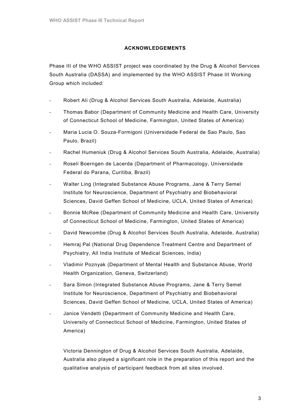#### ACKNOWLEDGEMENTS

Phase III of the WHO ASSIST project was coordinated by the Drug & Alcohol Services South Australia (DASSA) and implemented by the WHO ASSIST Phase III Working Group which included:

- Robert Ali (Drug & Alcohol Services South Australia, Adelaide, Australia)
- Thomas Babor (Department of Community Medicine and Health Care, University of Connecticut School of Medicine, Farmington, United States of America)
- Maria Lucia O. Souza-Formigoni (Universidade Federal de Sao Paulo, Sao Paulo, Brazil)
- Rachel Humeniuk (Drug & Alcohol Services South Australia, Adelaide, Australia)
- Roseli Boerngen de Lacerda (Department of Pharmacology, Universidade Federal do Parana, Curitiba, Brazil)
- Walter Ling (Integrated Substance Abuse Programs, Jane & Terry Semel Institute for Neuroscience, Department of Psychiatry and Biobehavioral Sciences, David Geffen School of Medicine, UCLA, United States of America)
- Bonnie McRee (Department of Community Medicine and Health Care, University of Connecticut School of Medicine, Farmington, United States of America)
- David Newcombe (Drug & Alcohol Services South Australia, Adelaide, Australia)
- Hemraj Pal (National Drug Dependence Treatment Centre and Department of Psychiatry, All India Institute of Medical Sciences, India)
- Vladimir Poznyak (Department of Mental Health and Substance Abuse, World Health Organization, Geneva, Switzerland)
- Sara Simon (Integrated Substance Abuse Programs, Jane & Terry Semel Institute for Neuroscience, Department of Psychiatry and Biobehavioral Sciences, David Geffen School of Medicine, UCLA, United States of America)
- Janice Vendetti (Department of Community Medicine and Health Care, University of Connecticut School of Medicine, Farmington, United States of America)

Victoria Dennington of Drug & Alcohol Services South Australia, Adelaide, Australia also played a significant role in the preparation of this report and the qualitative analysis of participant feedback from all sites involved.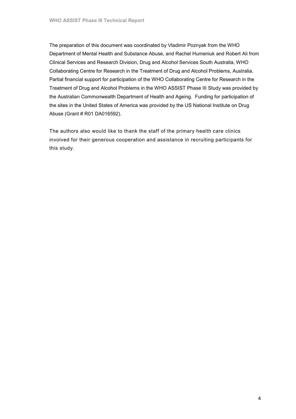The preparation of this document was coordinated by Vladimir Poznyak from the WHO Department of Mental Health and Substance Abuse, and Rachel Humeniuk and Robert Ali from Clinical Services and Research Division, Drug and Alcohol Services South Australia, WHO Collaborating Centre for Research in the Treatment of Drug and Alcohol Problems, Australia. Partial financial support for participation of the WHO Collaborating Centre for Research in the Treatment of Drug and Alcohol Problems in the WHO ASSIST Phase III Study was provided by the Australian Commonwealth Department of Health and Ageing. Funding for participation of the sites in the United States of America was provided by the US National Institute on Drug Abuse (Grant # R01 DA016592).

The authors also would like to thank the staff of the primary health care clinics involved for their generous cooperation and assistance in recruiting participants for this study.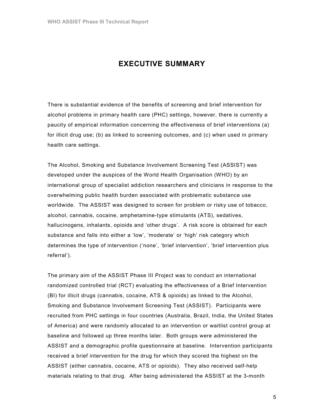## EXECUTIVE SUMMARY

There is substantial evidence of the benefits of screening and brief intervention for alcohol problems in primary health care (PHC) settings, however, there is currently a paucity of empirical information concerning the effectiveness of brief interventions (a) for illicit drug use; (b) as linked to screening outcomes, and (c) when used in primary health care settings.

The Alcohol, Smoking and Substance Involvement Screening Test (ASSIST) was developed under the auspices of the World Health Organisation (WHO) by an international group of specialist addiction researchers and clinicians in response to the overwhelming public health burden associated with problematic substance use worldwide. The ASSIST was designed to screen for problem or risky use of tobacco, alcohol, cannabis, cocaine, amphetamine-type stimulants (ATS), sedatives, hallucinogens, inhalants, opioids and 'other drugs'. A risk score is obtained for each substance and falls into either a 'low', 'moderate' or 'high' risk category which determines the type of intervention ('none', 'brief intervention', 'brief intervention plus referral').

The primary aim of the ASSIST Phase III Project was to conduct an international randomized controlled trial (RCT) evaluating the effectiveness of a Brief Intervention (BI) for illicit drugs (cannabis, cocaine, ATS & opioids) as linked to the Alcohol, Smoking and Substance Involvement Screening Test (ASSIST). Participants were recruited from PHC settings in four countries (Australia, Brazil, India, the United States of America) and were randomly allocated to an intervention or waitlist control group at baseline and followed up three months later. Both groups were administered the ASSIST and a demographic profile questionnaire at baseline. Intervention participants received a brief intervention for the drug for which they scored the highest on the ASSIST (either cannabis, cocaine, ATS or opioids). They also received self-help materials relating to that drug. After being administered the ASSIST at the 3-month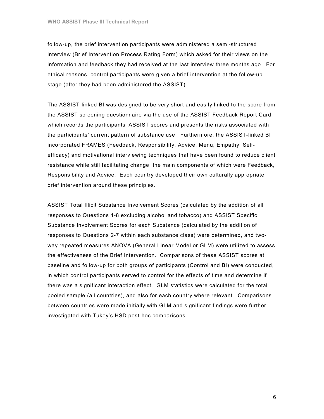follow-up, the brief intervention participants were administered a semi-structured interview (Brief Intervention Process Rating Form) which asked for their views on the information and feedback they had received at the last interview three months ago. For ethical reasons, control participants were given a brief intervention at the follow-up stage (after they had been administered the ASSIST).

The ASSIST-linked BI was designed to be very short and easily linked to the score from the ASSIST screening questionnaire via the use of the ASSIST Feedback Report Card which records the participants' ASSIST scores and presents the risks associated with the participants' current pattern of substance use. Furthermore, the ASSIST-linked BI incorporated FRAMES (Feedback, Responsibility, Advice, Menu, Empathy, Selfefficacy) and motivational interviewing techniques that have been found to reduce client resistance while still facilitating change, the main components of which were Feedback, Responsibility and Advice. Each country developed their own culturally appropriate brief intervention around these principles.

ASSIST Total Illicit Substance Involvement Scores (calculated by the addition of all responses to Questions 1-8 excluding alcohol and tobacco) and ASSIST Specific Substance Involvement Scores for each Substance (calculated by the addition of responses to Questions 2-7 within each substance class) were determined, and twoway repeated measures ANOVA (General Linear Model or GLM) were utilized to assess the effectiveness of the Brief Intervention. Comparisons of these ASSIST scores at baseline and follow-up for both groups of participants (Control and BI) were conducted, in which control participants served to control for the effects of time and determine if there was a significant interaction effect. GLM statistics were calculated for the total pooled sample (all countries), and also for each country where relevant. Comparisons between countries were made initially with GLM and significant findings were further investigated with Tukey's HSD post-hoc comparisons.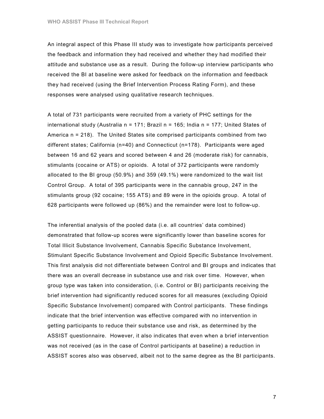An integral aspect of this Phase III study was to investigate how participants perceived the feedback and information they had received and whether they had modified their attitude and substance use as a result. During the follow-up interview participants who received the BI at baseline were asked for feedback on the information and feedback they had received (using the Brief Intervention Process Rating Form), and these responses were analysed using qualitative research techniques.

A total of 731 participants were recruited from a variety of PHC settings for the international study (Australia n = 171; Brazil n = 165; India n = 177; United States of America n = 218). The United States site comprised participants combined from two different states; California (n=40) and Connecticut (n=178). Participants were aged between 16 and 62 years and scored between 4 and 26 (moderate risk) for cannabis, stimulants (cocaine or ATS) or opioids. A total of 372 participants were randomly allocated to the BI group (50.9%) and 359 (49.1%) were randomized to the wait list Control Group. A total of 395 participants were in the cannabis group, 247 in the stimulants group (92 cocaine; 155 ATS) and 89 were in the opioids group. A total of 628 participants were followed up (86%) and the remainder were lost to follow-up.

The inferential analysis of the pooled data (i.e. all countries' data combined) demonstrated that follow-up scores were significantly lower than baseline scores for Total Illicit Substance Involvement, Cannabis Specific Substance Involvement, Stimulant Specific Substance Involvement and Opioid Specific Substance Involvement. This first analysis did not differentiate between Control and BI groups and indicates that there was an overall decrease in substance use and risk over time. However, when group type was taken into consideration, (i.e. Control or BI) participants receiving the brief intervention had significantly reduced scores for all measures (excluding Opioid Specific Substance Involvement) compared with Control participants. These findings indicate that the brief intervention was effective compared with no intervention in getting participants to reduce their substance use and risk, as determined by the ASSIST questionnaire. However, it also indicates that even when a brief intervention was not received (as in the case of Control participants at baseline) a reduction in ASSIST scores also was observed, albeit not to the same degree as the BI participants.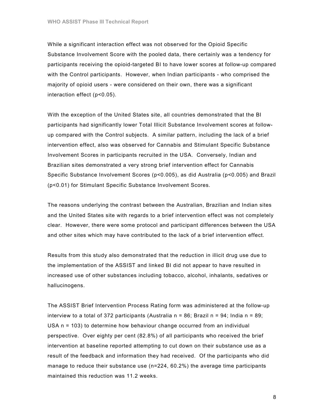While a significant interaction effect was not observed for the Opioid Specific Substance Involvement Score with the pooled data, there certainly was a tendency for participants receiving the opioid-targeted BI to have lower scores at follow-up compared with the Control participants. However, when Indian participants - who comprised the majority of opioid users - were considered on their own, there was a significant interaction effect (p<0.05).

With the exception of the United States site, all countries demonstrated that the BI participants had significantly lower Total Illicit Substance Involvement scores at followup compared with the Control subjects. A similar pattern, including the lack of a brief intervention effect, also was observed for Cannabis and Stimulant Specific Substance Involvement Scores in participants recruited in the USA. Conversely, Indian and Brazilian sites demonstrated a very strong brief intervention effect for Cannabis Specific Substance Involvement Scores (p<0.005), as did Australia (p<0.005) and Brazil (p<0.01) for Stimulant Specific Substance Involvement Scores.

The reasons underlying the contrast between the Australian, Brazilian and Indian sites and the United States site with regards to a brief intervention effect was not completely clear. However, there were some protocol and participant differences between the USA and other sites which may have contributed to the lack of a brief intervention effect.

Results from this study also demonstrated that the reduction in illicit drug use due to the implementation of the ASSIST and linked BI did not appear to have resulted in increased use of other substances including tobacco, alcohol, inhalants, sedatives or hallucinogens.

The ASSIST Brief Intervention Process Rating form was administered at the follow-up interview to a total of 372 participants (Australia  $n = 86$ ; Brazil  $n = 94$ ; India  $n = 89$ ; USA n = 103) to determine how behaviour change occurred from an individual perspective. Over eighty per cent (82.8%) of all participants who received the brief intervention at baseline reported attempting to cut down on their substance use as a result of the feedback and information they had received. Of the participants who did manage to reduce their substance use (n=224, 60.2%) the average time participants maintained this reduction was 11.2 weeks.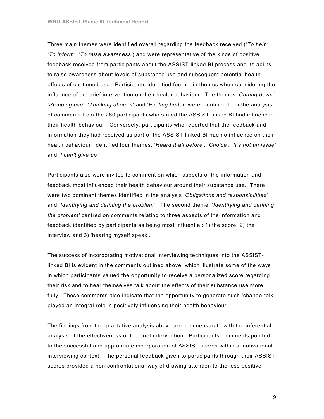Three main themes were identified overall regarding the feedback received ('To help', 'To inform', 'To raise awareness') and were representative of the kinds of positive feedback received from participants about the ASSIST-linked BI process and its ability to raise awareness about levels of substance use and subsequent potential health effects of continued use. Participants identified four main themes when considering the influence of the brief intervention on their health behaviour. The themes 'Cutting down', 'Stopping use', 'Thinking about it' and 'Feeling better' were identified from the analysis of comments from the 260 participants who stated the ASSIST-linked BI had influenced their health behaviour. Conversely, participants who reported that the feedback and information they had received as part of the ASSIST-linked BI had no influence on their health behaviour identified four themes, 'Heard it all before', 'Choice', 'It's not an issue' and 'I can't give up'.

Participants also were invited to comment on which aspects of the information and feedback most influenced their health behaviour around their substance use. There were two dominant themes identified in the analysis 'Obligations and responsibilities' and 'Identifying and defining the problem'. The second theme: 'Identifying and defining the problem' centred on comments relating to three aspects of the information and feedback identified by participants as being most influential: 1) the score, 2) the interview and 3) 'hearing myself speak'.

The success of incorporating motivational interviewing techniques into the ASSISTlinked BI is evident in the comments outlined above, which illustrate some of the ways in which participants valued the opportunity to receive a personalized score regarding their risk and to hear themselves talk about the effects of their substance use more fully. These comments also indicate that the opportunity to generate such 'change-talk' played an integral role in positively influencing their health behaviour.

The findings from the qualitative analysis above are commensurate with the inferential analysis of the effectiveness of the brief intervention. Participants' comments pointed to the successful and appropriate incorporation of ASSIST scores within a motivational interviewing context. The personal feedback given to participants through their ASSIST scores provided a non-confrontational way of drawing attention to the less positive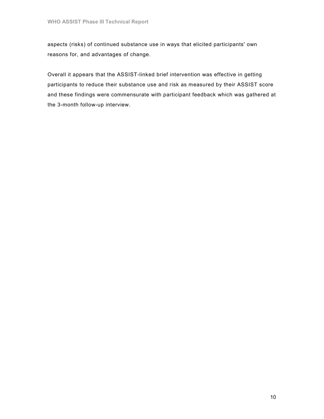aspects (risks) of continued substance use in ways that elicited participants' own reasons for, and advantages of change.

Overall it appears that the ASSIST-linked brief intervention was effective in getting participants to reduce their substance use and risk as measured by their ASSIST score and these findings were commensurate with participant feedback which was gathered at the 3-month follow-up interview.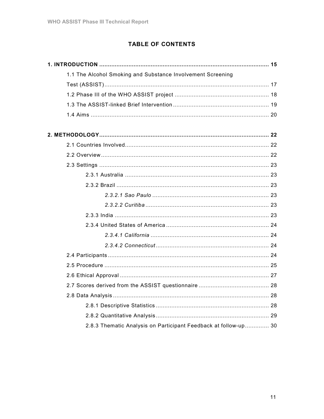## **TABLE OF CONTENTS**

| 1.1 The Alcohol Smoking and Substance Involvement Screening     |  |
|-----------------------------------------------------------------|--|
|                                                                 |  |
|                                                                 |  |
|                                                                 |  |
|                                                                 |  |
|                                                                 |  |
|                                                                 |  |
|                                                                 |  |
|                                                                 |  |
|                                                                 |  |
|                                                                 |  |
|                                                                 |  |
|                                                                 |  |
|                                                                 |  |
|                                                                 |  |
|                                                                 |  |
|                                                                 |  |
|                                                                 |  |
|                                                                 |  |
|                                                                 |  |
|                                                                 |  |
|                                                                 |  |
|                                                                 |  |
|                                                                 |  |
|                                                                 |  |
| 2.8.3 Thematic Analysis on Participant Feedback at follow-up 30 |  |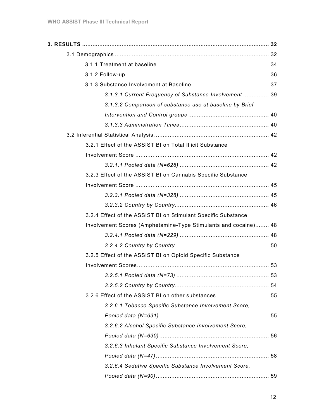| 3.1.3.1 Current Frequency of Substance Involvement  39          |  |
|-----------------------------------------------------------------|--|
| 3.1.3.2 Comparison of substance use at baseline by Brief        |  |
|                                                                 |  |
|                                                                 |  |
|                                                                 |  |
| 3.2.1 Effect of the ASSIST BI on Total Illicit Substance        |  |
|                                                                 |  |
|                                                                 |  |
| 3.2.3 Effect of the ASSIST BI on Cannabis Specific Substance    |  |
|                                                                 |  |
|                                                                 |  |
|                                                                 |  |
| 3.2.4 Effect of the ASSIST BI on Stimulant Specific Substance   |  |
| Involvement Scores (Amphetamine-Type Stimulants and cocaine) 48 |  |
|                                                                 |  |
|                                                                 |  |
| 3.2.5 Effect of the ASSIST BI on Opioid Specific Substance      |  |
|                                                                 |  |
|                                                                 |  |
|                                                                 |  |
|                                                                 |  |
| 3.2.6.1 Tobacco Specific Substance Involvement Score,           |  |
|                                                                 |  |
| 3.2.6.2 Alcohol Specific Substance Involvement Score,           |  |
|                                                                 |  |
| 3.2.6.3 Inhalant Specific Substance Involvement Score,          |  |
|                                                                 |  |
| 3.2.6.4 Sedative Specific Substance Involvement Score,          |  |
|                                                                 |  |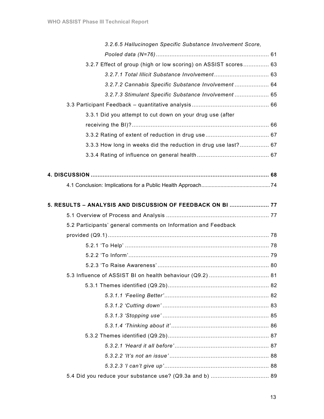| 3.2.6.5 Hallucinogen Specific Substance Involvement Score,      |  |
|-----------------------------------------------------------------|--|
|                                                                 |  |
| 3.2.7 Effect of group (high or low scoring) on ASSIST scores 63 |  |
|                                                                 |  |
| 3.2.7.2 Cannabis Specific Substance Involvement  64             |  |
| 3.2.7.3 Stimulant Specific Substance Involvement  65            |  |
|                                                                 |  |
| 3.3.1 Did you attempt to cut down on your drug use (after       |  |
|                                                                 |  |
|                                                                 |  |
| 3.3.3 How long in weeks did the reduction in drug use last? 67  |  |
|                                                                 |  |
|                                                                 |  |
|                                                                 |  |
|                                                                 |  |
|                                                                 |  |
|                                                                 |  |
| 5. RESULTS - ANALYSIS AND DISCUSSION OF FEEDBACK ON BI  77      |  |
|                                                                 |  |
| 5.2 Participants' general comments on Information and Feedback  |  |
|                                                                 |  |
|                                                                 |  |
|                                                                 |  |
|                                                                 |  |
|                                                                 |  |
|                                                                 |  |
|                                                                 |  |
|                                                                 |  |
|                                                                 |  |
|                                                                 |  |
|                                                                 |  |
|                                                                 |  |
|                                                                 |  |
|                                                                 |  |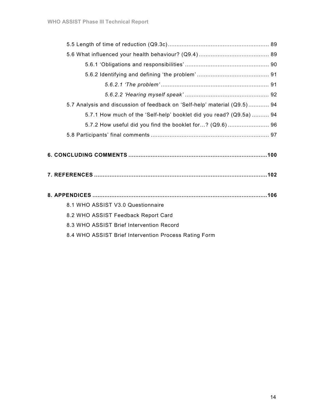| 5.7 Analysis and discussion of feedback on 'Self-help' material (Q9.5) 94 |  |
|---------------------------------------------------------------------------|--|
| 5.7.1 How much of the 'Self-help' booklet did you read? (Q9.5a) 94        |  |
|                                                                           |  |
|                                                                           |  |
|                                                                           |  |
|                                                                           |  |
|                                                                           |  |
|                                                                           |  |
|                                                                           |  |
|                                                                           |  |
|                                                                           |  |
| 8.1 WHO ASSIST V3.0 Questionnaire                                         |  |
| 8.2 WHO ASSIST Feedback Report Card                                       |  |
| 8.3 WHO ASSIST Brief Intervention Record                                  |  |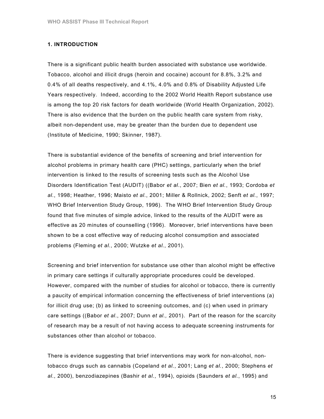#### 1. INTRODUCTION

There is a significant public health burden associated with substance use worldwide. Tobacco, alcohol and illicit drugs (heroin and cocaine) account for 8.8%, 3.2% and 0.4% of all deaths respectively, and 4.1%, 4.0% and 0.8% of Disability Adjusted Life Years respectively. Indeed, according to the 2002 World Health Report substance use is among the top 20 risk factors for death worldwide (World Health Organization, 2002). There is also evidence that the burden on the public health care system from risky, albeit non-dependent use, may be greater than the burden due to dependent use (Institute of Medicine, 1990; Skinner, 1987).

There is substantial evidence of the benefits of screening and brief intervention for alcohol problems in primary health care (PHC) settings, particularly when the brief intervention is linked to the results of screening tests such as the Alcohol Use Disorders Identification Test (AUDIT) ((Babor et al., 2007; Bien et al., 1993; Cordoba et al., 1998; Heather, 1996; Maisto et al., 2001; Miller & Rollnick, 2002; Senft et al., 1997; WHO Brief Intervention Study Group, 1996). The WHO Brief Intervention Study Group found that five minutes of simple advice, linked to the results of the AUDIT were as effective as 20 minutes of counselling (1996). Moreover, brief interventions have been shown to be a cost effective way of reducing alcohol consumption and associated problems (Fleming et al., 2000; Wutzke et al., 2001).

Screening and brief intervention for substance use other than alcohol might be effective in primary care settings if culturally appropriate procedures could be developed. However, compared with the number of studies for alcohol or tobacco, there is currently a paucity of empirical information concerning the effectiveness of brief interventions (a) for illicit drug use; (b) as linked to screening outcomes, and (c) when used in primary care settings ((Babor et al., 2007; Dunn et al., 2001). Part of the reason for the scarcity of research may be a result of not having access to adequate screening instruments for substances other than alcohol or tobacco.

There is evidence suggesting that brief interventions may work for non-alcohol, nontobacco drugs such as cannabis (Copeland et al., 2001; Lang et al., 2000; Stephens et  $al.$ , 2000), benzodiazepines (Bashir et al., 1994), opioids (Saunders et al., 1995) and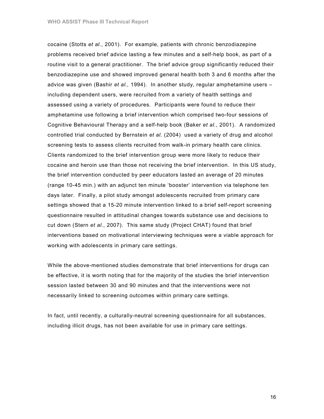cocaine (Stotts et al., 2001). For example, patients with chronic benzodiazepine problems received brief advice lasting a few minutes and a self-help book, as part of a routine visit to a general practitioner. The brief advice group significantly reduced their benzodiazepine use and showed improved general health both 3 and 6 months after the advice was given (Bashir et al., 1994). In another study, regular amphetamine users including dependent users, were recruited from a variety of health settings and assessed using a variety of procedures. Participants were found to reduce their amphetamine use following a brief intervention which comprised two-four sessions of Cognitive Behavioural Therapy and a self-help book (Baker et al., 2001). A randomized controlled trial conducted by Bernstein et al. (2004) used a variety of drug and alcohol screening tests to assess clients recruited from walk-in primary health care clinics. Clients randomized to the brief intervention group were more likely to reduce their cocaine and heroin use than those not receiving the brief intervention. In this US study, the brief intervention conducted by peer educators lasted an average of 20 minutes (range 10-45 min.) with an adjunct ten minute 'booster' intervention via telephone ten days later. Finally, a pilot study amongst adolescents recruited from primary care settings showed that a 15-20 minute intervention linked to a brief self-report screening questionnaire resulted in attitudinal changes towards substance use and decisions to cut down (Stern et al., 2007). This same study (Project CHAT) found that brief interventions based on motivational interviewing techniques were a viable approach for working with adolescents in primary care settings.

While the above-mentioned studies demonstrate that brief interventions for drugs can be effective, it is worth noting that for the majority of the studies the brief intervention session lasted between 30 and 90 minutes and that the interventions were not necessarily linked to screening outcomes within primary care settings.

In fact, until recently, a culturally-neutral screening questionnaire for all substances, including illicit drugs, has not been available for use in primary care settings.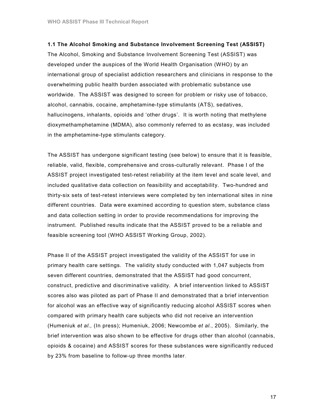#### 1.1 The Alcohol Smoking and Substance Involvement Screening Test (ASSIST)

The Alcohol, Smoking and Substance Involvement Screening Test (ASSIST) was developed under the auspices of the World Health Organisation (WHO) by an international group of specialist addiction researchers and clinicians in response to the overwhelming public health burden associated with problematic substance use worldwide. The ASSIST was designed to screen for problem or risky use of tobacco, alcohol, cannabis, cocaine, amphetamine-type stimulants (ATS), sedatives, hallucinogens, inhalants, opioids and 'other drugs'. It is worth noting that methylene dioxymethamphetamine (MDMA), also commonly referred to as ecstasy, was included in the amphetamine-type stimulants category.

The ASSIST has undergone significant testing (see below) to ensure that it is feasible, reliable, valid, flexible, comprehensive and cross-culturally relevant. Phase I of the ASSIST project investigated test-retest reliability at the item level and scale level, and included qualitative data collection on feasibility and acceptability. Two-hundred and thirty-six sets of test-retest interviews were completed by ten international sites in nine different countries. Data were examined according to question stem, substance class and data collection setting in order to provide recommendations for improving the instrument. Published results indicate that the ASSIST proved to be a reliable and feasible screening tool (WHO ASSIST Working Group, 2002).

Phase II of the ASSIST project investigated the validity of the ASSIST for use in primary health care settings. The validity study conducted with 1,047 subjects from seven different countries, demonstrated that the ASSIST had good concurrent, construct, predictive and discriminative validity. A brief intervention linked to ASSIST scores also was piloted as part of Phase II and demonstrated that a brief intervention for alcohol was an effective way of significantly reducing alcohol ASSIST scores when compared with primary health care subjects who did not receive an intervention (Humeniuk et al., (In press); Humeniuk, 2006; Newcombe et al., 2005). Similarly, the brief intervention was also shown to be effective for drugs other than alcohol (cannabis, opioids & cocaine) and ASSIST scores for these substances were significantly reduced by 23% from baseline to follow-up three months later.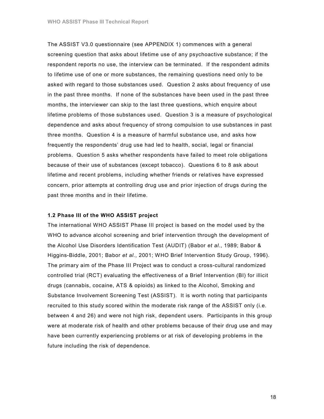The ASSIST V3.0 questionnaire (see APPENDIX 1) commences with a general screening question that asks about lifetime use of any psychoactive substance; if the respondent reports no use, the interview can be terminated. If the respondent admits to lifetime use of one or more substances, the remaining questions need only to be asked with regard to those substances used. Question 2 asks about frequency of use in the past three months. If none of the substances have been used in the past three months, the interviewer can skip to the last three questions, which enquire about lifetime problems of those substances used. Question 3 is a measure of psychological dependence and asks about frequency of strong compulsion to use substances in past three months. Question 4 is a measure of harmful substance use, and asks how frequently the respondents' drug use had led to health, social, legal or financial problems. Question 5 asks whether respondents have failed to meet role obligations because of their use of substances (except tobacco). Questions 6 to 8 ask about lifetime and recent problems, including whether friends or relatives have expressed concern, prior attempts at controlling drug use and prior injection of drugs during the past three months and in their lifetime.

#### 1.2 Phase III of the WHO ASSIST project

The international WHO ASSIST Phase III project is based on the model used by the WHO to advance alcohol screening and brief intervention through the development of the Alcohol Use Disorders Identification Test (AUDIT) (Babor et al., 1989; Babor & Higgins-Biddle, 2001; Babor et al., 2001; WHO Brief Intervention Study Group, 1996). The primary aim of the Phase III Project was to conduct a cross-cultural randomized controlled trial (RCT) evaluating the effectiveness of a Brief Intervention (BI) for illicit drugs (cannabis, cocaine, ATS & opioids) as linked to the Alcohol, Smoking and Substance Involvement Screening Test (ASSIST). It is worth noting that participants recruited to this study scored within the moderate risk range of the ASSIST only (i.e. between 4 and 26) and were not high risk, dependent users. Participants in this group were at moderate risk of health and other problems because of their drug use and may have been currently experiencing problems or at risk of developing problems in the future including the risk of dependence.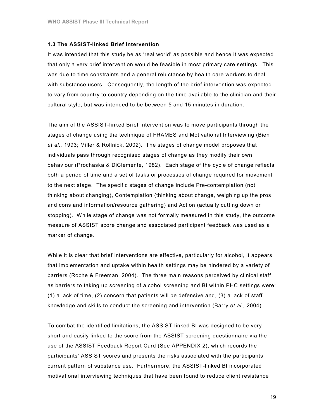#### 1.3 The ASSIST-linked Brief Intervention

It was intended that this study be as 'real world' as possible and hence it was expected that only a very brief intervention would be feasible in most primary care settings. This was due to time constraints and a general reluctance by health care workers to deal with substance users. Consequently, the length of the brief intervention was expected to vary from country to country depending on the time available to the clinician and their cultural style, but was intended to be between 5 and 15 minutes in duration.

The aim of the ASSIST-linked Brief Intervention was to move participants through the stages of change using the technique of FRAMES and Motivational Interviewing (Bien et al., 1993; Miller & Rollnick, 2002). The stages of change model proposes that individuals pass through recognised stages of change as they modify their own behaviour (Prochaska & DiClemente, 1982). Each stage of the cycle of change reflects both a period of time and a set of tasks or processes of change required for movement to the next stage. The specific stages of change include Pre-contemplation (not thinking about changing), Contemplation (thinking about change, weighing up the pros and cons and information/resource gathering) and Action (actually cutting down or stopping). While stage of change was not formally measured in this study, the outcome measure of ASSIST score change and associated participant feedback was used as a marker of change.

While it is clear that brief interventions are effective, particularly for alcohol, it appears that implementation and uptake within health settings may be hindered by a variety of barriers (Roche & Freeman, 2004). The three main reasons perceived by clinical staff as barriers to taking up screening of alcohol screening and BI within PHC settings were: (1) a lack of time, (2) concern that patients will be defensive and, (3) a lack of staff knowledge and skills to conduct the screening and intervention (Barry et al., 2004).

To combat the identified limitations, the ASSIST-linked BI was designed to be very short and easily linked to the score from the ASSIST screening questionnaire via the use of the ASSIST Feedback Report Card (See APPENDIX 2), which records the participants' ASSIST scores and presents the risks associated with the participants' current pattern of substance use. Furthermore, the ASSIST-linked BI incorporated motivational interviewing techniques that have been found to reduce client resistance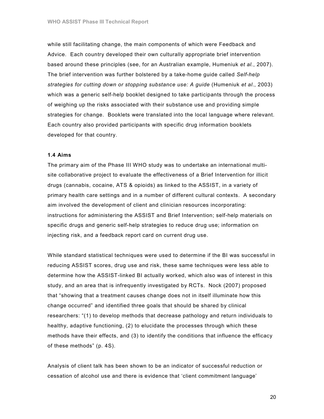while still facilitating change, the main components of which were Feedback and Advice. Each country developed their own culturally appropriate brief intervention based around these principles (see, for an Australian example, Humeniuk et al., 2007). The brief intervention was further bolstered by a take-home guide called Self-help strategies for cutting down or stopping substance use: A guide (Humeniuk et al., 2003) which was a generic self-help booklet designed to take participants through the process of weighing up the risks associated with their substance use and providing simple strategies for change. Booklets were translated into the local language where relevant. Each country also provided participants with specific drug information booklets developed for that country.

#### 1.4 Aims

The primary aim of the Phase III WHO study was to undertake an international multisite collaborative project to evaluate the effectiveness of a Brief Intervention for illicit drugs (cannabis, cocaine, ATS & opioids) as linked to the ASSIST, in a variety of primary health care settings and in a number of different cultural contexts. A secondary aim involved the development of client and clinician resources incorporating: instructions for administering the ASSIST and Brief Intervention; self-help materials on specific drugs and generic self-help strategies to reduce drug use; information on injecting risk, and a feedback report card on current drug use.

While standard statistical techniques were used to determine if the BI was successful in reducing ASSIST scores, drug use and risk, these same techniques were less able to determine how the ASSIST-linked BI actually worked, which also was of interest in this study, and an area that is infrequently investigated by RCTs. Nock (2007) proposed that "showing that a treatment causes change does not in itself illuminate how this change occurred" and identified three goals that should be shared by clinical researchers: "(1) to develop methods that decrease pathology and return individuals to healthy, adaptive functioning, (2) to elucidate the processes through which these methods have their effects, and (3) to identify the conditions that influence the efficacy of these methods" (p. 4S).

Analysis of client talk has been shown to be an indicator of successful reduction or cessation of alcohol use and there is evidence that 'client commitment language'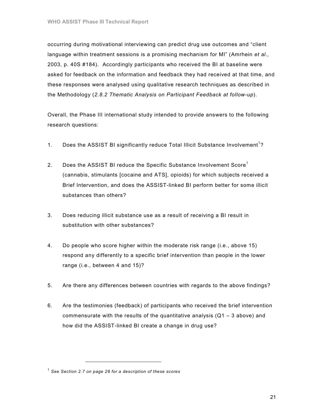occurring during motivational interviewing can predict drug use outcomes and "client language within treatment sessions is a promising mechanism for MI" (Amrhein et al., 2003, p. 40S #184). Accordingly participants who received the BI at baseline were asked for feedback on the information and feedback they had received at that time, and these responses were analysed using qualitative research techniques as described in the Methodology (2.8.2 Thematic Analysis on Participant Feedback at follow-up).

Overall, the Phase III international study intended to provide answers to the following research questions:

- 1. Does the ASSIST BI significantly reduce Total Illicit Substance Involvement<sup>1</sup>?
- 2. Does the ASSIST BI reduce the Specific Substance Involvement Score<sup>1</sup> (cannabis, stimulants [cocaine and ATS], opioids) for which subjects received a Brief Intervention, and does the ASSIST-linked BI perform better for some illicit substances than others?
- 3. Does reducing illicit substance use as a result of receiving a BI result in substitution with other substances?
- 4. Do people who score higher within the moderate risk range (i.e., above 15) respond any differently to a specific brief intervention than people in the lower range (i.e., between 4 and 15)?
- 5. Are there any differences between countries with regards to the above findings?
- 6. Are the testimonies (feedback) of participants who received the brief intervention commensurate with the results of the quantitative analysis  $(Q1 - 3$  above) and how did the ASSIST-linked BI create a change in drug use?

 $\overline{a}$ 

 $^{\rm 1}$  See Section 2.7 on page 28 for a description of these scores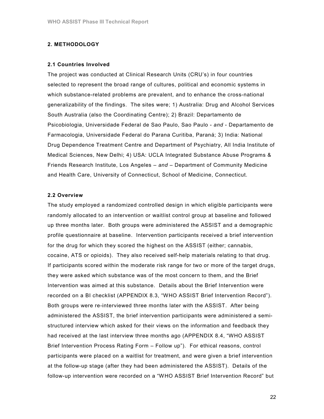#### 2. METHODOLOGY

#### 2.1 Countries Involved

The project was conducted at Clinical Research Units (CRU's) in four countries selected to represent the broad range of cultures, political and economic systems in which substance-related problems are prevalent, and to enhance the cross-national generalizability of the findings. The sites were; 1) Australia: Drug and Alcohol Services South Australia (also the Coordinating Centre); 2) Brazil: Departamento de Psicobiologia, Universidade Federal de Sao Paulo, Sao Paulo - and - Departamento de Farmacologia, Universidade Federal do Parana Curitiba, Paraná; 3) India: National Drug Dependence Treatment Centre and Department of Psychiatry, All India Institute of Medical Sciences, New Delhi; 4) USA: UCLA Integrated Substance Abuse Programs & Friends Research Institute, Los Angeles – and – Department of Community Medicine and Health Care, University of Connecticut, School of Medicine, Connecticut.

#### 2.2 Overview

The study employed a randomized controlled design in which eligible participants were randomly allocated to an intervention or waitlist control group at baseline and followed up three months later. Both groups were administered the ASSIST and a demographic profile questionnaire at baseline. Intervention participants received a brief intervention for the drug for which they scored the highest on the ASSIST (either; cannabis, cocaine, ATS or opioids). They also received self-help materials relating to that drug. If participants scored within the moderate risk range for two or more of the target drugs, they were asked which substance was of the most concern to them, and the Brief Intervention was aimed at this substance. Details about the Brief Intervention were recorded on a BI checklist (APPENDIX 8.3, "WHO ASSIST Brief Intervention Record"). Both groups were re-interviewed three months later with the ASSIST. After being administered the ASSIST, the brief intervention participants were administered a semistructured interview which asked for their views on the information and feedback they had received at the last interview three months ago (APPENDIX 8.4, "WHO ASSIST Brief Intervention Process Rating Form – Follow up"). For ethical reasons, control participants were placed on a waitlist for treatment, and were given a brief intervention at the follow-up stage (after they had been administered the ASSIST). Details of the follow-up intervention were recorded on a "WHO ASSIST Brief Intervention Record" but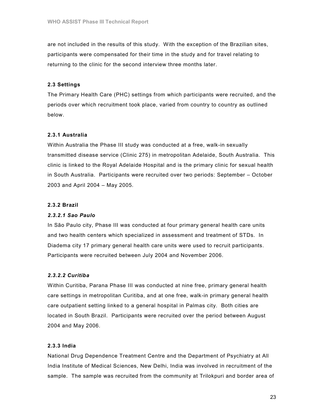are not included in the results of this study. With the exception of the Brazilian sites, participants were compensated for their time in the study and for travel relating to returning to the clinic for the second interview three months later.

#### 2.3 Settings

The Primary Health Care (PHC) settings from which participants were recruited, and the periods over which recruitment took place, varied from country to country as outlined below.

#### 2.3.1 Australia

Within Australia the Phase III study was conducted at a free, walk-in sexually transmitted disease service (Clinic 275) in metropolitan Adelaide, South Australia. This clinic is linked to the Royal Adelaide Hospital and is the primary clinic for sexual health in South Australia. Participants were recruited over two periods: September – October 2003 and April 2004 – May 2005.

#### 2.3.2 Brazil

#### 2.3.2.1 Sao Paulo

In São Paulo city, Phase III was conducted at four primary general health care units and two health centers which specialized in assessment and treatment of STDs. In Diadema city 17 primary general health care units were used to recruit participants. Participants were recruited between July 2004 and November 2006.

#### 2.3.2.2 Curitiba

Within Curitiba, Parana Phase III was conducted at nine free, primary general health care settings in metropolitan Curitiba, and at one free, walk-in primary general health care outpatient setting linked to a general hospital in Palmas city. Both cities are located in South Brazil. Participants were recruited over the period between August 2004 and May 2006.

#### 2.3.3 India

National Drug Dependence Treatment Centre and the Department of Psychiatry at All India Institute of Medical Sciences, New Delhi, India was involved in recruitment of the sample. The sample was recruited from the community at Trilokpuri and border area of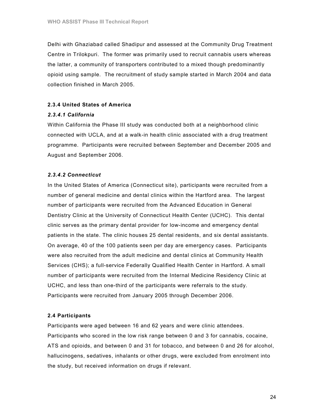Delhi with Ghaziabad called Shadipur and assessed at the Community Drug Treatment Centre in Trilokpuri. The former was primarily used to recruit cannabis users whereas the latter, a community of transporters contributed to a mixed though predominantly opioid using sample. The recruitment of study sample started in March 2004 and data collection finished in March 2005.

#### 2.3.4 United States of America

#### 2.3.4.1 California

Within California the Phase III study was conducted both at a neighborhood clinic connected with UCLA, and at a walk-in health clinic associated with a drug treatment programme. Participants were recruited between September and December 2005 and August and September 2006.

#### 2.3.4.2 Connecticut

In the United States of America (Connecticut site), participants were recruited from a number of general medicine and dental clinics within the Hartford area. The largest number of participants were recruited from the Advanced Education in General Dentistry Clinic at the University of Connecticut Health Center (UCHC). This dental clinic serves as the primary dental provider for low-income and emergency dental patients in the state. The clinic houses 25 dental residents, and six dental assistants. On average, 40 of the 100 patients seen per day are emergency cases. Participants were also recruited from the adult medicine and dental clinics at Community Health Services (CHS); a full-service Federally Qualified Health Center in Hartford. A small number of participants were recruited from the Internal Medicine Residency Clinic at UCHC, and less than one-third of the participants were referrals to the study. Participants were recruited from January 2005 through December 2006.

#### 2.4 Participants

Participants were aged between 16 and 62 years and were clinic attendees. Participants who scored in the low risk range between 0 and 3 for cannabis, cocaine, ATS and opioids, and between 0 and 31 for tobacco, and between 0 and 26 for alcohol, hallucinogens, sedatives, inhalants or other drugs, were excluded from enrolment into the study, but received information on drugs if relevant.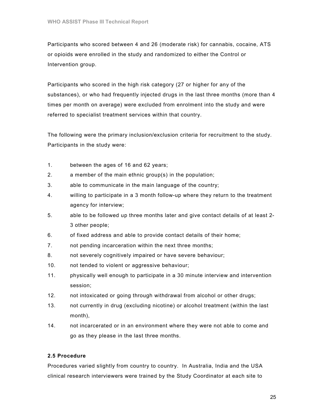Participants who scored between 4 and 26 (moderate risk) for cannabis, cocaine, ATS or opioids were enrolled in the study and randomized to either the Control or Intervention group.

Participants who scored in the high risk category (27 or higher for any of the substances), or who had frequently injected drugs in the last three months (more than 4 times per month on average) were excluded from enrolment into the study and were referred to specialist treatment services within that country.

The following were the primary inclusion/exclusion criteria for recruitment to the study. Participants in the study were:

- 1. between the ages of 16 and 62 years;
- 2. a member of the main ethnic group(s) in the population;
- 3. able to communicate in the main language of the country;
- 4. willing to participate in a 3 month follow-up where they return to the treatment agency for interview;
- 5. able to be followed up three months later and give contact details of at least 2- 3 other people;
- 6. of fixed address and able to provide contact details of their home;
- 7. not pending incarceration within the next three months;
- 8. not severely cognitively impaired or have severe behaviour;
- 10. not tended to violent or aggressive behaviour;
- 11. physically well enough to participate in a 30 minute interview and intervention session;
- 12. not intoxicated or going through withdrawal from alcohol or other drugs;
- 13. not currently in drug (excluding nicotine) or alcohol treatment (within the last month),
- 14. not incarcerated or in an environment where they were not able to come and go as they please in the last three months.

#### 2.5 Procedure

Procedures varied slightly from country to country. In Australia, India and the USA clinical research interviewers were trained by the Study Coordinator at each site to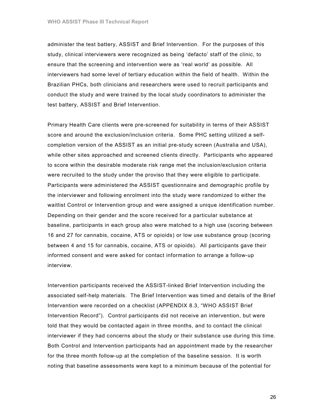administer the test battery, ASSIST and Brief Intervention. For the purposes of this study, clinical interviewers were recognized as being 'defacto' staff of the clinic, to ensure that the screening and intervention were as 'real world' as possible. All interviewers had some level of tertiary education within the field of health. Within the Brazilian PHCs, both clinicians and researchers were used to recruit participants and conduct the study and were trained by the local study coordinators to administer the test battery, ASSIST and Brief Intervention.

Primary Health Care clients were pre-screened for suitability in terms of their ASSIST score and around the exclusion/inclusion criteria. Some PHC setting utilized a selfcompletion version of the ASSIST as an initial pre-study screen (Australia and USA), while other sites approached and screened clients directly. Participants who appeared to score within the desirable moderate risk range met the inclusion/exclusion criteria were recruited to the study under the proviso that they were eligible to participate. Participants were administered the ASSIST questionnaire and demographic profile by the interviewer and following enrolment into the study were randomized to either the waitlist Control or Intervention group and were assigned a unique identification number. Depending on their gender and the score received for a particular substance at baseline, participants in each group also were matched to a high use (scoring between 16 and 27 for cannabis, cocaine, ATS or opioids) or low use substance group (scoring between 4 and 15 for cannabis, cocaine, ATS or opioids). All participants gave their informed consent and were asked for contact information to arrange a follow-up interview.

Intervention participants received the ASSIST-linked Brief Intervention including the associated self-help materials. The Brief Intervention was timed and details of the Brief Intervention were recorded on a checklist (APPENDIX 8.3, "WHO ASSIST Brief Intervention Record"). Control participants did not receive an intervention, but were told that they would be contacted again in three months, and to contact the clinical interviewer if they had concerns about the study or their substance use during this time. Both Control and Intervention participants had an appointment made by the researcher for the three month follow-up at the completion of the baseline session. It is worth noting that baseline assessments were kept to a minimum because of the potential for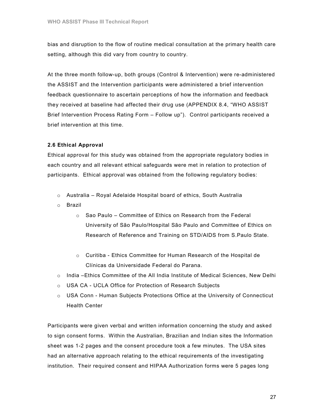bias and disruption to the flow of routine medical consultation at the primary health care setting, although this did vary from country to country.

At the three month follow-up, both groups (Control & Intervention) were re-administered the ASSIST and the Intervention participants were administered a brief intervention feedback questionnaire to ascertain perceptions of how the information and feedback they received at baseline had affected their drug use (APPENDIX 8.4, "WHO ASSIST Brief Intervention Process Rating Form – Follow up"). Control participants received a brief intervention at this time.

#### 2.6 Ethical Approval

Ethical approval for this study was obtained from the appropriate regulatory bodies in each country and all relevant ethical safeguards were met in relation to protection of participants. Ethical approval was obtained from the following regulatory bodies:

- o Australia Royal Adelaide Hospital board of ethics, South Australia
- o Brazil
	- o Sao Paulo Committee of Ethics on Research from the Federal University of São Paulo/Hospital São Paulo and Committee of Ethics on Research of Reference and Training on STD/AIDS from S.Paulo State.
	- o Curitiba Ethics Committee for Human Research of the Hospital de Clínicas da Universidade Federal do Parana.
- $\circ$  India –Ethics Committee of the All India Institute of Medical Sciences, New Delhi
- o USA CA UCLA Office for Protection of Research Subjects
- o USA Conn Human Subjects Protections Office at the University of Connecticut Health Center

Participants were given verbal and written information concerning the study and asked to sign consent forms. Within the Australian, Brazilian and Indian sites the Information sheet was 1-2 pages and the consent procedure took a few minutes. The USA sites had an alternative approach relating to the ethical requirements of the investigating institution. Their required consent and HIPAA Authorization forms were 5 pages long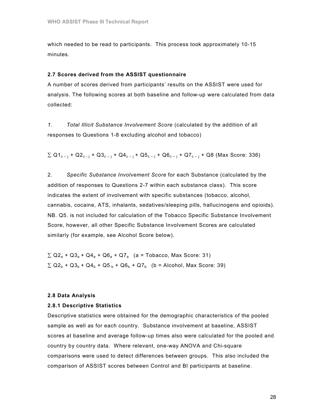which needed to be read to participants. This process took approximately 10-15 minutes.

#### 2.7 Scores derived from the ASSIST questionnaire

A number of scores derived from participants' results on the ASSIST were used for analysis. The following scores at both baseline and follow-up were calculated from data collected:

1. Total Illicit Substance Involvement Score (calculated by the addition of all responses to Questions 1-8 excluding alcohol and tobacco)

 $\Sigma$  Q1<sub>c – j</sub> + Q2<sub>c – j</sub> + Q3<sub>c – j</sub> + Q4<sub>c – j</sub> + Q5<sub>c – j</sub> + Q6<sub>c – j</sub> + Q7<sub>c – j</sub> + Q8 (Max Score: 336)

2. Specific Substance Involvement Score for each Substance (calculated by the addition of responses to Questions 2-7 within each substance class). This score indicates the extent of involvement with specific substances (tobacco, alcohol, cannabis, cocaine, ATS, inhalants, sedatives/sleeping pills, hallucinogens and opioids). NB. Q5. is not included for calculation of the Tobacco Specific Substance Involvement Score, however, all other Specific Substance Involvement Scores are calculated similarly (for example, see Alcohol Score below).

 $\Sigma$  Q2<sub>a</sub> + Q3<sub>a</sub> + Q4<sub>a</sub> + Q6<sub>a</sub> + Q7<sub>a</sub> (a = Tobacco, Max Score: 31)  $\Sigma$  Q2<sub>b</sub> + Q3<sub>b</sub> + Q4<sub>b</sub> + Q5<sub>b</sub> + Q6<sub>b</sub> + Q7<sub>b</sub> (b = Alcohol, Max Score: 39)

#### 2.8 Data Analysis

#### 2.8.1 Descriptive Statistics

Descriptive statistics were obtained for the demographic characteristics of the pooled sample as well as for each country. Substance involvement at baseline, ASSIST scores at baseline and average follow-up times also were calculated for the pooled and country by country data. Where relevant, one-way ANOVA and Chi-square comparisons were used to detect differences between groups. This also included the comparison of ASSIST scores between Control and BI participants at baseline.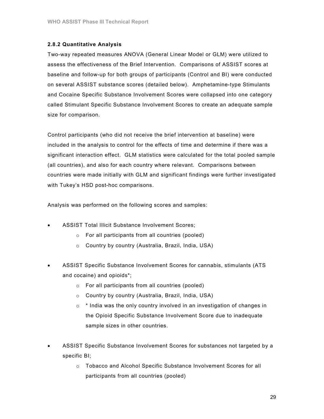#### 2.8.2 Quantitative Analysis

Two-way repeated measures ANOVA (General Linear Model or GLM) were utilized to assess the effectiveness of the Brief Intervention. Comparisons of ASSIST scores at baseline and follow-up for both groups of participants (Control and BI) were conducted on several ASSIST substance scores (detailed below). Amphetamine-type Stimulants and Cocaine Specific Substance Involvement Scores were collapsed into one category called Stimulant Specific Substance Involvement Scores to create an adequate sample size for comparison.

Control participants (who did not receive the brief intervention at baseline) were included in the analysis to control for the effects of time and determine if there was a significant interaction effect. GLM statistics were calculated for the total pooled sample (all countries), and also for each country where relevant. Comparisons between countries were made initially with GLM and significant findings were further investigated with Tukey's HSD post-hoc comparisons.

Analysis was performed on the following scores and samples:

- ASSIST Total Illicit Substance Involvement Scores;
	- o For all participants from all countries (pooled)
	- o Country by country (Australia, Brazil, India, USA)
- ASSIST Specific Substance Involvement Scores for cannabis, stimulants (ATS and cocaine) and opioids\*;
	- o For all participants from all countries (pooled)
	- o Country by country (Australia, Brazil, India, USA)
	- o \* India was the only country involved in an investigation of changes in the Opioid Specific Substance Involvement Score due to inadequate sample sizes in other countries.
- ASSIST Specific Substance Involvement Scores for substances not targeted by a specific BI;
	- o Tobacco and Alcohol Specific Substance Involvement Scores for all participants from all countries (pooled)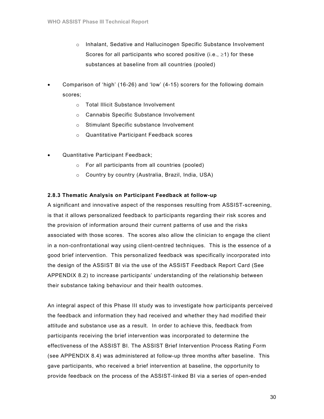- o Inhalant, Sedative and Hallucinogen Specific Substance Involvement Scores for all participants who scored positive (i.e.,  $\geq$ 1) for these substances at baseline from all countries (pooled)
- Comparison of 'high' (16-26) and 'low' (4-15) scorers for the following domain scores;
	- o Total Illicit Substance Involvement
	- o Cannabis Specific Substance Involvement
	- o Stimulant Specific substance Involvement
	- o Quantitative Participant Feedback scores
- Quantitative Participant Feedback;
	- o For all participants from all countries (pooled)
	- o Country by country (Australia, Brazil, India, USA)

#### 2.8.3 Thematic Analysis on Participant Feedback at follow-up

A significant and innovative aspect of the responses resulting from ASSIST-screening, is that it allows personalized feedback to participants regarding their risk scores and the provision of information around their current patterns of use and the risks associated with those scores. The scores also allow the clinician to engage the client in a non-confrontational way using client-centred techniques. This is the essence of a good brief intervention. This personalized feedback was specifically incorporated into the design of the ASSIST BI via the use of the ASSIST Feedback Report Card (See APPENDIX 8.2) to increase participants' understanding of the relationship between their substance taking behaviour and their health outcomes.

An integral aspect of this Phase III study was to investigate how participants perceived the feedback and information they had received and whether they had modified their attitude and substance use as a result. In order to achieve this, feedback from participants receiving the brief intervention was incorporated to determine the effectiveness of the ASSIST BI. The ASSIST Brief Intervention Process Rating Form (see APPENDIX 8.4) was administered at follow-up three months after baseline. This gave participants, who received a brief intervention at baseline, the opportunity to provide feedback on the process of the ASSIST-linked BI via a series of open-ended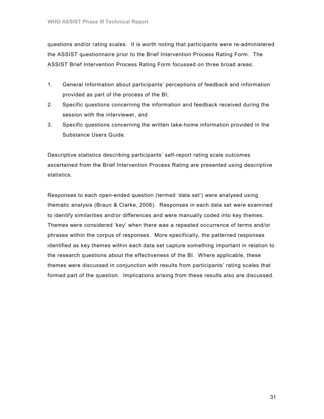questions and/or rating scales. It is worth noting that participants were re-administered the ASSIST questionnaire prior to the Brief Intervention Process Rating Form. The ASSIST Brief Intervention Process Rating Form focussed on three broad areas:

- 1. General Information about participants' perceptions of feedback and information provided as part of the process of the BI;
- 2. Specific questions concerning the information and feedback received during the session with the interviewer, and
- 3. Specific questions concerning the written take-home information provided in the Substance Users Guide.

Descriptive statistics describing participants' self-report rating scale outcomes ascertained from the Brief Intervention Process Rating are presented using descriptive statistics.

Responses to each open-ended question (termed 'data set') were analysed using thematic analysis (Braun & Clarke, 2006). Responses in each data set were examined to identify similarities and/or differences and were manually coded into key themes. Themes were considered 'key' when there was a repeated occurrence of terms and/or phrases within the corpus of responses. More specifically, the patterned responses identified as key themes within each data set capture something important in relation to the research questions about the effectiveness of the BI. Where applicable, these themes were discussed in conjunction with results from participants' rating scales that formed part of the question. Implications arising from these results also are discussed.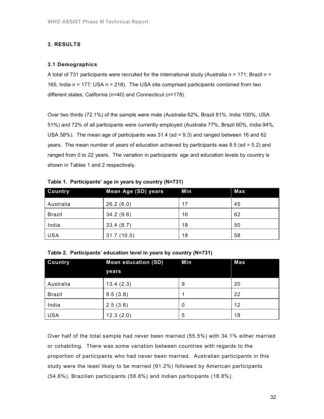#### 3. RESULTS

#### 3.1 Demographics

A total of 731 participants were recruited for the international study (Australia  $n = 171$ ; Brazil  $n =$ 165; India n = 177; USA n = 218). The USA site comprised participants combined from two different states; California (n=40) and Connecticut (n=178).

Over two thirds (72.1%) of the sample were male (Australia 62%, Brazil 81%, India 100%, USA 51%) and 72% of all participants were currently employed (Australia 77%, Brazil 60%, India 94%, USA 58%). The mean age of participants was 31.4 (sd = 9.3) and ranged between 16 and 62 years. The mean number of years of education achieved by participants was 9.5 (sd = 5.2) and ranged from 0 to 22 years. The variation in participants' age and education levels by country is shown in Tables 1 and 2 respectively.

| <b>Country</b> | Mean Age (SD) years | Min | Max |
|----------------|---------------------|-----|-----|
| Australia      | 26.2(6.0)           | 17  | 45  |
| Brazil         | 34.2(9.6)           | 16  | 62  |
| India          | 33.4(8.7)           | 18  | 50  |
| <b>USA</b>     | 31.7(10.0)          | 18  | 58  |

Table 1. Participants' age in years by country (N=731)

| Table 2. Participants' education level in years by country (N=731) |  |  |  |  |  |  |
|--------------------------------------------------------------------|--|--|--|--|--|--|
|--------------------------------------------------------------------|--|--|--|--|--|--|

| <b>Country</b><br><b>Mean education (SD)</b> |           | Min | Max |
|----------------------------------------------|-----------|-----|-----|
|                                              | years     |     |     |
| Australia                                    | 13.4(2.3) | 9   | 20  |
| <b>Brazil</b>                                | 9.5(3.8)  |     | 22  |
| India                                        | 2.5(3.6)  | 0   | 12  |
| <b>USA</b>                                   | 12.3(2.0) | 5   | 18  |

Over half of the total sample had never been married (55.5%) with 34.1% either married or cohabiting. There was some variation between countries with regards to the proportion of participants who had never been married. Australian participants in this study were the least likely to be married (91.2%) followed by American participants (54.6%), Brazilian participants (58.8%) and Indian participants (18.8%).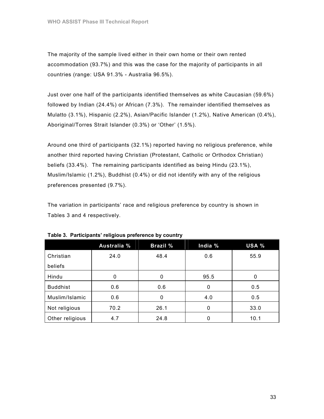The majority of the sample lived either in their own home or their own rented accommodation (93.7%) and this was the case for the majority of participants in all countries (range: USA 91.3% - Australia 96.5%).

Just over one half of the participants identified themselves as white Caucasian (59.6%) followed by Indian (24.4%) or African (7.3%). The remainder identified themselves as Mulatto (3.1%), Hispanic (2.2%), Asian/Pacific Islander (1.2%), Native American (0.4%), Aboriginal/Torres Strait Islander (0.3%) or 'Other' (1.5%).

Around one third of participants (32.1%) reported having no religious preference, while another third reported having Christian (Protestant, Catholic or Orthodox Christian) beliefs (33.4%). The remaining participants identified as being Hindu (23.1%), Muslim/Islamic (1.2%), Buddhist (0.4%) or did not identify with any of the religious preferences presented (9.7%).

The variation in participants' race and religious preference by country is shown in Tables 3 and 4 respectively.

|                 | Australia % | <b>Brazil %</b> | India % | <b>USA %</b> |
|-----------------|-------------|-----------------|---------|--------------|
| Christian       | 24.0        | 48.4            | 0.6     | 55.9         |
| beliefs         |             |                 |         |              |
| Hindu           | 0           | 0               | 95.5    | 0            |
| <b>Buddhist</b> | 0.6         | 0.6             | 0       | 0.5          |
| Muslim/Islamic  | 0.6         |                 | 4.0     | 0.5          |
| Not religious   | 70.2        | 26.1            | 0       | 33.0         |
| Other religious | 4.7         | 24.8            | 0       | 10.1         |

|  | Table 3. Participants' religious preference by country |  |  |  |
|--|--------------------------------------------------------|--|--|--|
|--|--------------------------------------------------------|--|--|--|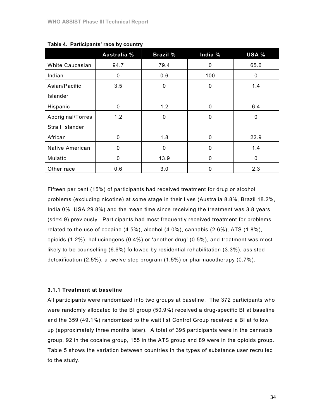|                        | Australia % | <b>Brazil %</b> | India %      | <b>USA %</b> |
|------------------------|-------------|-----------------|--------------|--------------|
| <b>White Caucasian</b> | 94.7        | 79.4            | 0            | 65.6         |
| Indian                 | 0           | 0.6             | 100          | 0            |
| Asian/Pacific          | 3.5         | 0               | $\mathbf{0}$ | 1.4          |
| Islander               |             |                 |              |              |
| Hispanic               | 0           | 1.2             | 0            | 6.4          |
| Aboriginal/Torres      | 1.2         | 0               | 0            | 0            |
| Strait Islander        |             |                 |              |              |
| African                | 0           | 1.8             | 0            | 22.9         |
| Native American        | 0           | 0               | 0            | 1.4          |
| Mulatto                | 0           | 13.9            | 0            | 0            |
| Other race             | 0.6         | 3.0             | $\Omega$     | 2.3          |

Table 4. Participants' race by country

Fifteen per cent (15%) of participants had received treatment for drug or alcohol problems (excluding nicotine) at some stage in their lives (Australia 8.8%, Brazil 18.2%, India 0%, USA 29.8%) and the mean time since receiving the treatment was 3.8 years (sd=4.9) previously. Participants had most frequently received treatment for problems related to the use of cocaine  $(4.5\%)$ , alcohol  $(4.0\%)$ , cannabis  $(2.6\%)$ , ATS  $(1.8\%)$ , opioids (1.2%), hallucinogens (0.4%) or 'another drug' (0.5%), and treatment was most likely to be counselling (6.6%) followed by residential rehabilitation (3.3%), assisted detoxification (2.5%), a twelve step program (1.5%) or pharmacotherapy (0.7%).

#### 3.1.1 Treatment at baseline

All participants were randomized into two groups at baseline. The 372 participants who were randomly allocated to the BI group (50.9%) received a drug-specific BI at baseline and the 359 (49.1%) randomized to the wait list Control Group received a BI at follow up (approximately three months later). A total of 395 participants were in the cannabis group, 92 in the cocaine group, 155 in the ATS group and 89 were in the opioids group. Table 5 shows the variation between countries in the types of substance user recruited to the study.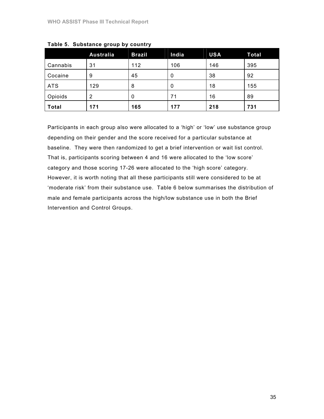|              | <b>Australia</b> | <b>Brazil</b> | India | <b>USA</b> | <b>Total</b> |
|--------------|------------------|---------------|-------|------------|--------------|
| Cannabis     | 31               | 112           | 106   | 146        | 395          |
| Cocaine      | 9                | 45            | 0     | 38         | 92           |
| <b>ATS</b>   | 129              | 8             | 0     | 18         | 155          |
| Opioids      | $\overline{2}$   | 0             | 71    | 16         | 89           |
| <b>Total</b> | 171              | 165           | 177   | 218        | 731          |

Table 5. Substance group by country

Participants in each group also were allocated to a 'high' or 'low' use substance group depending on their gender and the score received for a particular substance at baseline. They were then randomized to get a brief intervention or wait list control. That is, participants scoring between 4 and 16 were allocated to the 'low score' category and those scoring 17-26 were allocated to the 'high score' category. However, it is worth noting that all these participants still were considered to be at 'moderate risk' from their substance use. Table 6 below summarises the distribution of male and female participants across the high/low substance use in both the Brief Intervention and Control Groups.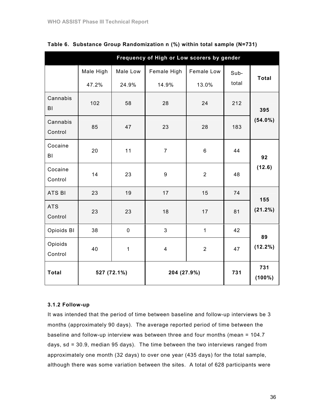|                       | Frequency of High or Low scorers by gender |                   |                         |                     |               |                  |
|-----------------------|--------------------------------------------|-------------------|-------------------------|---------------------|---------------|------------------|
|                       | Male High<br>47.2%                         | Male Low<br>24.9% | Female High<br>14.9%    | Female Low<br>13.0% | Sub-<br>total | <b>Total</b>     |
| Cannabis<br>BI        | 102                                        | 58                | 28                      | 24                  | 212           | 395              |
| Cannabis<br>Control   | 85                                         | 47                | 23                      | 28                  | 183           | $(54.0\%)$       |
| Cocaine<br>BI         | 20                                         | 11                | $\overline{7}$          | $6\phantom{1}$      | 44            | 92               |
| Cocaine<br>Control    | 14                                         | 23                | $\boldsymbol{9}$        | $\overline{2}$      | 48            | (12.6)           |
| ATS BI                | 23                                         | 19                | 17                      | 15                  | 74            | 155              |
| <b>ATS</b><br>Control | 23                                         | 23                | 18                      | 17                  | 81            | $(21.2\%)$       |
| Opioids BI            | 38                                         | $\pmb{0}$         | 3                       | $\mathbf 1$         | 42            | 89               |
| Opioids<br>Control    | 40                                         | $\mathbf 1$       | $\overline{\mathbf{4}}$ | $\overline{2}$      | 47            | $(12.2\%)$       |
| <b>Total</b>          | 527 (72.1%)                                |                   | 204 (27.9%)             |                     | 731           | 731<br>$(100\%)$ |

Table 6. Substance Group Randomization n (%) within total sample (N=731)

#### 3.1.2 Follow-up

It was intended that the period of time between baseline and follow-up interviews be 3 months (approximately 90 days). The average reported period of time between the baseline and follow-up interview was between three and four months (mean = 104.7 days, sd = 30.9, median 95 days). The time between the two interviews ranged from approximately one month (32 days) to over one year (435 days) for the total sample, although there was some variation between the sites. A total of 628 participants were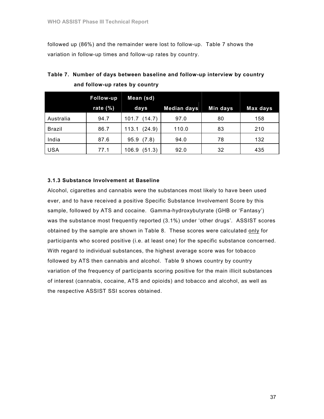followed up (86%) and the remainder were lost to follow-up. Table 7 shows the variation in follow-up times and follow-up rates by country.

|            | Follow-up   | Mean (sd)       |                    |          |          |
|------------|-------------|-----------------|--------------------|----------|----------|
|            | rate $(\%)$ | days            | <b>Median days</b> | Min days | Max days |
| Australia  | 94.7        | 101.7<br>(14.7) | 97.0               | 80       | 158      |
| Brazil     | 86.7        | (24.9)<br>113.1 | 110.0              | 83       | 210      |
| India      | 87.6        | 95.9(7.8)       | 94.0               | 78       | 132      |
| <b>USA</b> | 77.1        | (51.3)<br>106.9 | 92.0               | 32       | 435      |

| Table 7. Number of days between baseline and follow-up interview by country |
|-----------------------------------------------------------------------------|
| and follow-up rates by country                                              |

#### 3.1.3 Substance Involvement at Baseline

Alcohol, cigarettes and cannabis were the substances most likely to have been used ever, and to have received a positive Specific Substance Involvement Score by this sample, followed by ATS and cocaine. Gamma-hydroxybutyrate (GHB or 'Fantasy') was the substance most frequently reported (3.1%) under 'other drugs'. ASSIST scores obtained by the sample are shown in Table 8. These scores were calculated only for participants who scored positive (i.e. at least one) for the specific substance concerned. With regard to individual substances, the highest average score was for tobacco followed by ATS then cannabis and alcohol. Table 9 shows country by country variation of the frequency of participants scoring positive for the main illicit substances of interest (cannabis, cocaine, ATS and opioids) and tobacco and alcohol, as well as the respective ASSIST SSI scores obtained.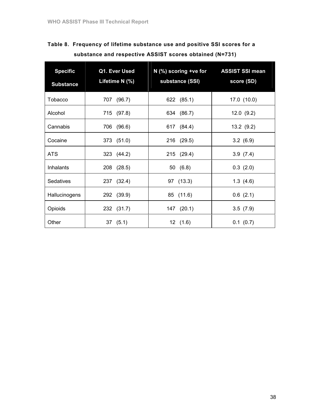# Table 8. Frequency of lifetime substance use and positive SSI scores for a substance and respective ASSIST scores obtained (N=731)

| <b>Specific</b><br><b>Substance</b> | Q1. Ever Used<br>Lifetime N (%) | $N$ (%) scoring +ve for<br>substance (SSI) | <b>ASSIST SSI mean</b><br>score (SD) |
|-------------------------------------|---------------------------------|--------------------------------------------|--------------------------------------|
| <b>Tobacco</b>                      | 707 (96.7)                      | 622 (85.1)                                 | 17.0(10.0)                           |
| Alcohol                             | 715 (97.8)                      | 634 (86.7)                                 | 12.0(9.2)                            |
| Cannabis                            | 706 (96.6)                      | 617 (84.4)                                 | 13.2(9.2)                            |
| Cocaine                             | 373 (51.0)                      | 216 (29.5)                                 | 3.2(6.9)                             |
| ATS                                 | 323 (44.2)                      | 215 (29.4)                                 | 3.9(7.4)                             |
| Inhalants                           | 208 (28.5)                      | 50(6.8)                                    | 0.3(2.0)                             |
| <b>Sedatives</b>                    | 237 (32.4)                      | 97 (13.3)                                  | 1.3(4.6)                             |
| Hallucinogens                       | 292 (39.9)                      | 85 (11.6)                                  | 0.6(2.1)                             |
| Opioids                             | 232 (31.7)                      | 147 (20.1)                                 | 3.5(7.9)                             |
| Other                               | 37(5.1)                         | 12(1.6)                                    | $0.1$ $(0.7)$                        |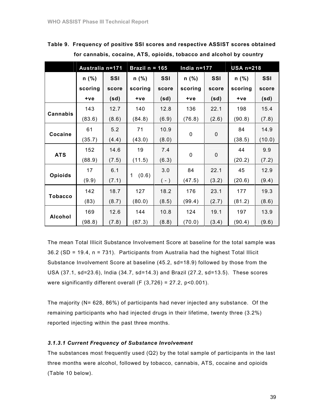|                | Australia n=171 |       | Brazil $n = 165$ |           | India n=177 |           | <b>USA n=218</b> |        |
|----------------|-----------------|-------|------------------|-----------|-------------|-----------|------------------|--------|
|                | $n$ (%)         | SSI   | $n$ (%)          | SSI       | $n$ (%)     | SSI       | $n$ (%)          | SSI    |
|                | scoring         | score | scoring          | score     | scoring     | score     | scoring          | score  |
|                | $+ve$           | (sd)  | $+ve$            | (sd)      | $+ve$       | (sd)      | $+ve$            | (sd)   |
|                | 143             | 12.7  | 140              | 12.8      | 136         | 22.1      | 198              | 15.4   |
| Cannabis       | (83.6)          | (8.6) | (84.8)           | (6.9)     | (76.8)      | (2.6)     | (90.8)           | (7.8)  |
|                | 61              | 5.2   | 71               | 10.9      |             |           | 84               | 14.9   |
| Cocaine        | (35.7)          | (4.4) | (43.0)           | (8.0)     | 0           | $\pmb{0}$ | (38.5)           | (10.0) |
|                | 152             | 14.6  | 19               | 7.4       |             |           | 44               | 9.9    |
| <b>ATS</b>     | (88.9)          | (7.5) | (11.5)           | (6.3)     | 0           | $\pmb{0}$ | (20.2)           | (7.2)  |
|                | 17              | 6.1   |                  | 3.0       | 84          | 22.1      | 45               | 12.9   |
| <b>Opioids</b> | (9.9)           | (7.1) | (0.6)<br>1       | $(\cdot)$ | (47.5)      | (3.2)     | (20.6)           | (9.4)  |
|                | 142             | 18.7  | 127              | 18.2      | 176         | 23.1      | 177              | 19.3   |
| <b>Tobacco</b> | (83)            | (8.7) | (80.0)           | (8.5)     | (99.4)      | (2.7)     | (81.2)           | (8.6)  |
|                | 169             | 12.6  | 144              | 10.8      | 124         | 19.1      | 197              | 13.9   |
| <b>Alcohol</b> | (98.8)          | (7.8) | (87.3)           | (8.8)     | (70.0)      | (3.4)     | (90.4)           | (9.6)  |

Table 9. Frequency of positive SSI scores and respective ASSIST scores obtained for cannabis, cocaine, ATS, opioids, tobacco and alcohol by country

The mean Total Illicit Substance Involvement Score at baseline for the total sample was 36.2 (SD = 19.4, n = 731). Participants from Australia had the highest Total Illicit Substance Involvement Score at baseline (45.2, sd=18.9) followed by those from the USA (37.1, sd=23.6), India (34.7, sd=14.3) and Brazil (27.2, sd=13.5). These scores were significantly different overall  $(F(3,726) = 27.2, p<0.001)$ .

The majority (N= 628, 86%) of participants had never injected any substance. Of the remaining participants who had injected drugs in their lifetime, twenty three (3.2%) reported injecting within the past three months.

#### 3.1.3.1 Current Frequency of Substance Involvement

The substances most frequently used (Q2) by the total sample of participants in the last three months were alcohol, followed by tobacco, cannabis, ATS, cocaine and opioids (Table 10 below).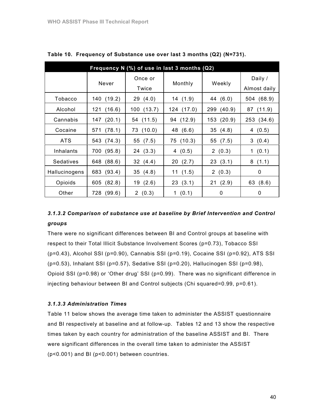|               |            | Frequency N (%) of use in last 3 months (Q2) |            |            |              |
|---------------|------------|----------------------------------------------|------------|------------|--------------|
|               | Never      | Once or                                      | Monthly    | Weekly     | Daily /      |
|               |            | Twice                                        |            |            | Almost daily |
| Tobacco       | 140 (19.2) | 29(4.0)                                      | 14(1.9)    | 44 (6.0)   | 504 (68.9)   |
| Alcohol       | 121 (16.6) | 100 (13.7)                                   | 124 (17.0) | 299 (40.9) | 87 (11.9)    |
| Cannabis      | 147 (20.1) | 54 (11.5)                                    | 94 (12.9)  | 153 (20.9) | 253 (34.6)   |
| Cocaine       | 571 (78.1) | 73 (10.0)                                    | 48 (6.6)   | 35(4.8)    | 4 $(0.5)$    |
| <b>ATS</b>    | 543 (74.3) | 55 (7.5)                                     | 75 (10.3)  | 55 (7.5)   | 3(0.4)       |
| Inhalants     | 700 (95.8) | 24(3.3)                                      | 4 $(0.5)$  | 2(0.3)     | 1 $(0.1)$    |
| Sedatives     | 648 (88.6) | 32(4.4)                                      | 20(2.7)    | 23(3.1)    | 8(1.1)       |
| Hallucinogens | 683 (93.4) | 35(4.8)                                      | 11 (1.5)   | 2(0.3)     | 0            |
| Opioids       | 605 (82.8) | 19(2.6)                                      | 23(3.1)    | 21(2.9)    | 63 (8.6)     |
| Other         | 728 (99.6) | 2(0.3)                                       | 1(0.1)     | 0          | 0            |

Table 10. Frequency of Substance use over last 3 months (Q2) (N=731).

## 3.1.3.2 Comparison of substance use at baseline by Brief Intervention and Control groups

There were no significant differences between BI and Control groups at baseline with respect to their Total Illicit Substance Involvement Scores (p=0.73), Tobacco SSI (p=0.43), Alcohol SSI (p=0.90), Cannabis SSI (p=0.19), Cocaine SSI (p=0.92), ATS SSI (p=0.53), Inhalant SSI (p=0.57), Sedative SSI (p=0.20), Hallucinogen SSI (p=0.98), Opioid SSI (p=0.98) or 'Other drug' SSI (p=0.99). There was no significant difference in injecting behaviour between BI and Control subjects (Chi squared=0.99, p=0.61).

## 3.1.3.3 Administration Times

Table 11 below shows the average time taken to administer the ASSIST questionnaire and BI respectively at baseline and at follow-up. Tables 12 and 13 show the respective times taken by each country for administration of the baseline ASSIST and BI. There were significant differences in the overall time taken to administer the ASSIST (p<0.001) and BI (p<0.001) between countries.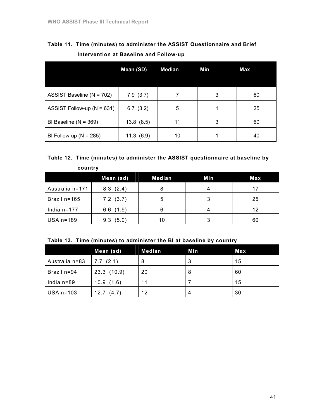| Intervention at Baseline and Follow-up |              |               |     |            |
|----------------------------------------|--------------|---------------|-----|------------|
|                                        | Mean (SD)    | <b>Median</b> | Min | <b>Max</b> |
| ASSIST Baseline (N = 702)              | 7.9(3.7)     |               | 3   | 60         |
| ASSIST Follow-up $(N = 631)$           | (3.2)<br>6.7 | 5             |     | 25         |

Table 11. Time (minutes) to administer the ASSIST Questionnaire and Brief

BI Baseline (N = 369)  $\begin{array}{|c|c|c|c|c|c|c|c|c|} \hline \end{array}$  13.8 (8.5) 11 1 3 60

BI Follow-up (N = 285)  $\begin{vmatrix} 11.3 & (6.9) \end{vmatrix}$  10 1 1 1 40

| country          |               |               |            |     |
|------------------|---------------|---------------|------------|-----|
|                  | Mean (sd)     | <b>Median</b> | <b>Min</b> | Max |
| Australia n=171  | 8.3(2.4)      | 8             | 4          | 17  |
| Brazil n=165     | $7.2$ $(3.7)$ | 5             | 3          | 25  |
| India $n=177$    | 6.6(1.9)      | 6             | 4          | 12  |
| <b>USA n=189</b> | (5.0)<br>9.3  | 10            | 3          | 60  |

| Table 13. Time (minutes) to administer the BI at baseline by country |
|----------------------------------------------------------------------|
|----------------------------------------------------------------------|

|                  | Mean (sd)     | Median | Min | Max |
|------------------|---------------|--------|-----|-----|
| Australia n=83   | 7.7(2.1)      | 8      | 3   | 15  |
| Brazil n=94      | 23.3(10.9)    | 20     | 8   | 60  |
| India $n=89$     | 10.9(1.6)     | 11     |     | 15  |
| <b>USA n=103</b> | 12.7<br>(4.7) | 12     | 4   | 30  |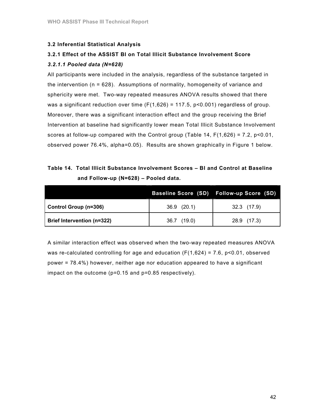## 3.2 Inferential Statistical Analysis

# 3.2.1 Effect of the ASSIST BI on Total Illicit Substance Involvement Score 3.2.1.1 Pooled data (N=628)

All participants were included in the analysis, regardless of the substance targeted in the intervention (n = 628). Assumptions of normality, homogeneity of variance and sphericity were met. Two-way repeated measures ANOVA results showed that there was a significant reduction over time  $(F(1,626) = 117.5, p < 0.001)$  regardless of group. Moreover, there was a significant interaction effect and the group receiving the Brief Intervention at baseline had significantly lower mean Total Illicit Substance Involvement scores at follow-up compared with the Control group (Table 14,  $F(1,626) = 7.2$ ,  $p < 0.01$ , observed power 76.4%, alpha=0.05). Results are shown graphically in Figure 1 below.

## Table 14. Total Illicit Substance Involvement Scores – BI and Control at Baseline and Follow-up (N=628) – Pooled data.

|                                   |                 | Baseline Score (SD) Follow-up Score (SD) |
|-----------------------------------|-----------------|------------------------------------------|
| Control Group (n=306)             | $36.9$ $(20.1)$ | 32.3 (17.9)                              |
| <b>Brief Intervention (n=322)</b> | 36.7 (19.0)     | 28.9 (17.3)                              |

A similar interaction effect was observed when the two-way repeated measures ANOVA was re-calculated controlling for age and education  $(F(1,624) = 7.6, p<0.01,$  observed power = 78.4%) however, neither age nor education appeared to have a significant impact on the outcome (p=0.15 and p=0.85 respectively).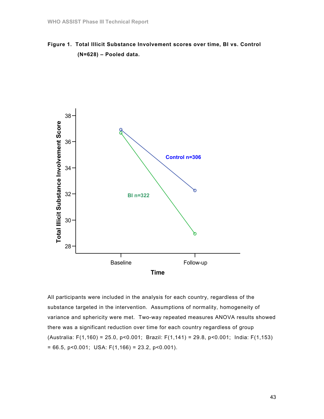



All participants were included in the analysis for each country, regardless of the substance targeted in the intervention. Assumptions of normality, homogeneity of variance and sphericity were met. Two-way repeated measures ANOVA results showed there was a significant reduction over time for each country regardless of group (Australia: F(1,160) = 25.0, p<0.001; Brazil: F(1,141) = 29.8, p<0.001; India: F(1,153)  $= 66.5, p < 0.001;$  USA:  $F(1, 166) = 23.2, p < 0.001$ ).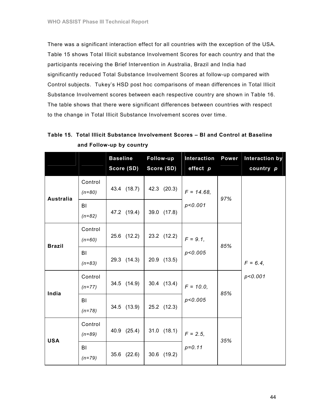There was a significant interaction effect for all countries with the exception of the USA. Table 15 shows Total Illicit substance Involvement Scores for each country and that the participants receiving the Brief Intervention in Australia, Brazil and India had significantly reduced Total Substance Involvement Scores at follow-up compared with Control subjects. Tukey's HSD post hoc comparisons of mean differences in Total Illicit Substance Involvement scores between each respective country are shown in Table 16. The table shows that there were significant differences between countries with respect to the change in Total Illicit Substance Involvement scores over time.

| Table 15. Total Illicit Substance Involvement Scores - BI and Control at Baseline |
|-----------------------------------------------------------------------------------|
| and Follow-up by country                                                          |

|                  |                     | <b>Baseline</b> | Follow-up       | Interaction   | <b>Power</b> | Interaction by |
|------------------|---------------------|-----------------|-----------------|---------------|--------------|----------------|
|                  |                     | Score (SD)      | Score (SD)      | effect $p$    |              | country p      |
| <b>Australia</b> | Control<br>$(n=80)$ | 43.4 (18.7)     | 42.3 (20.3)     | $F = 14.68$ , | 97%          |                |
|                  | BI<br>$(n=82)$      | 47.2 (19.4)     | 39.0 (17.8)     | p < 0.001     |              |                |
| <b>Brazil</b>    | Control<br>$(n=60)$ | 25.6 (12.2)     | 23.2 (12.2)     | $F = 9.1$     | 85%          |                |
|                  | BI<br>$(n=83)$      | 29.3 (14.3)     | 20.9 (13.5)     | p < 0.005     |              | $F = 6.4$ ,    |
| India            | Control<br>$(n=77)$ | 34.5 (14.9)     | 30.4 (13.4)     | $F = 10.0$ ,  | 85%          | p < 0.001      |
|                  | BI<br>$(n=78)$      | 34.5 (13.9)     | 25.2 (12.3)     | p < 0.005     |              |                |
| <b>USA</b>       | Control<br>$(n=89)$ | 40.9 (25.4)     | $31.0$ $(18.1)$ | $F = 2.5$     | 35%          |                |
|                  | BI<br>$(n=79)$      | 35.6 (22.6)     | 30.6 (19.2)     | $p=0.11$      |              |                |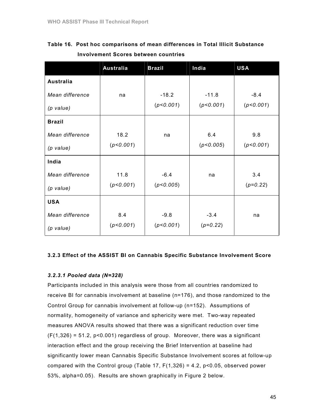| Table 16. Post hoc comparisons of mean differences in Total Illicit Substance |
|-------------------------------------------------------------------------------|
| Involvement Scores between countries                                          |

|                 | <b>Australia</b> | <b>Brazil</b> | India      | <b>USA</b> |
|-----------------|------------------|---------------|------------|------------|
| Australia       |                  |               |            |            |
| Mean difference | na               | $-18.2$       | $-11.8$    | $-8.4$     |
| (p value)       |                  | (p<0.001)     | (p<0.001)  | (p<0.001)  |
| <b>Brazil</b>   |                  |               |            |            |
| Mean difference | 18.2             | na            | 6.4        | 9.8        |
| $(p$ value)     | (p<0.001)        |               | (p<0.005)  | (p<0.001)  |
| India           |                  |               |            |            |
| Mean difference | 11.8             | $-6.4$        | na         | 3.4        |
| $(p$ value)     | (p<0.001)        | (p<0.005)     |            | $(p=0.22)$ |
| <b>USA</b>      |                  |               |            |            |
| Mean difference | 8.4              | $-9.8$        | $-3.4$     | na         |
| (p value)       | (p<0.001)        | (p<0.001)     | $(p=0.22)$ |            |

#### 3.2.3 Effect of the ASSIST BI on Cannabis Specific Substance Involvement Score

### 3.2.3.1 Pooled data (N=328)

Participants included in this analysis were those from all countries randomized to receive BI for cannabis involvement at baseline (n=176), and those randomized to the Control Group for cannabis involvement at follow-up (n=152). Assumptions of normality, homogeneity of variance and sphericity were met. Two-way repeated measures ANOVA results showed that there was a significant reduction over time  $(F(1,326) = 51.2, p<0.001)$  regardless of group. Moreover, there was a significant interaction effect and the group receiving the Brief Intervention at baseline had significantly lower mean Cannabis Specific Substance Involvement scores at follow-up compared with the Control group (Table 17,  $F(1,326) = 4.2$ ,  $p < 0.05$ , observed power 53%, alpha=0.05). Results are shown graphically in Figure 2 below.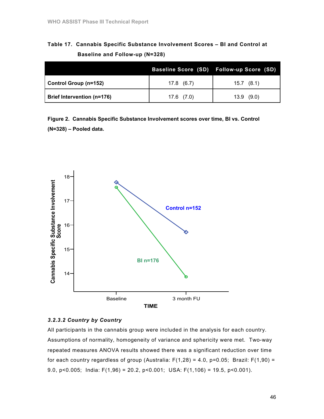# Table 17. Cannabis Specific Substance Involvement Scores – BI and Control at Baseline and Follow-up (N=328)

|                                   |                | Baseline Score (SD) Follow-up Score (SD) |
|-----------------------------------|----------------|------------------------------------------|
| <b>Control Group (n=152)</b>      | 17.8 (6.7)     | $15.7$ $(8.1)$                           |
| <b>Brief Intervention (n=176)</b> | $17.6$ $(7.0)$ | $13.9$ (9.0)                             |

Figure 2. Cannabis Specific Substance Involvement scores over time, BI vs. Control (N=328) – Pooled data.



## 3.2.3.2 Country by Country

All participants in the cannabis group were included in the analysis for each country. Assumptions of normality, homogeneity of variance and sphericity were met. Two-way repeated measures ANOVA results showed there was a significant reduction over time for each country regardless of group (Australia:  $F(1,28) = 4.0$ , p=0.05; Brazil:  $F(1,90) =$ 9.0, p<0.005; India:  $F(1,96) = 20.2$ , p<0.001; USA:  $F(1,106) = 19.5$ , p<0.001).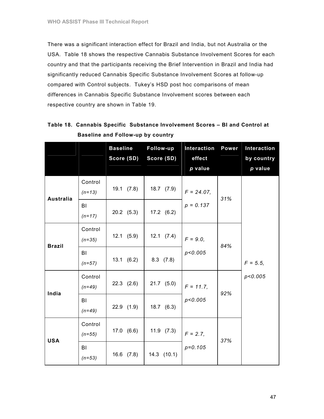There was a significant interaction effect for Brazil and India, but not Australia or the USA. Table 18 shows the respective Cannabis Substance Involvement Scores for each country and that the participants receiving the Brief Intervention in Brazil and India had significantly reduced Cannabis Specific Substance Involvement Scores at follow-up compared with Control subjects. Tukey's HSD post hoc comparisons of mean differences in Cannabis Specific Substance Involvement scores between each respective country are shown in Table 19.

|                  |                       | <b>Baseline</b><br>Score (SD) | Follow-up<br>Score (SD) | Interaction<br>effect<br>p value | <b>Power</b> | Interaction<br>by country<br>p value |
|------------------|-----------------------|-------------------------------|-------------------------|----------------------------------|--------------|--------------------------------------|
| <b>Australia</b> | Control<br>$(n=13)$   | $19.1 \quad (7.8)$            | $18.7$ $(7.9)$          | $F = 24.07$ ,                    | 31%          |                                      |
|                  | BI<br>$(n=17)$        | $20.2$ (5.3)                  | $17.2$ $(6.2)$          | $p = 0.137$                      |              |                                      |
| <b>Brazil</b>    | Control<br>$(n=35)$   | $12.1$ (5.9)                  | $12.1 \quad (7.4)$      | $F = 9.0,$                       | 84%          |                                      |
|                  | <b>BI</b><br>$(n=57)$ | 13.1 (6.2)                    | $8.3$ $(7.8)$           | p < 0.005                        |              | $F = 5.5$ ,                          |
| India            | Control<br>$(n=49)$   | $22.3$ $(2.6)$                | $21.7$ (5.0)            | $F = 11.7$ ,                     | 92%          | p < 0.005                            |
|                  | <b>BI</b><br>$(n=49)$ | $22.9$ $(1.9)$                | $18.7$ (6.3)            | p < 0.005                        |              |                                      |
| <b>USA</b>       | Control<br>$(n=55)$   | 17.0 (6.6)                    | $11.9$ $(7.3)$          | $F = 2.7$ ,                      | 37%          |                                      |
|                  | <b>BI</b><br>$(n=53)$ | $16.6$ $(7.8)$                | $14.3$ $(10.1)$         | $p=0.105$                        |              |                                      |

|                                   | Table 18. Cannabis Specific Substance Involvement Scores - BI and Control at |
|-----------------------------------|------------------------------------------------------------------------------|
| Baseline and Follow-up by country |                                                                              |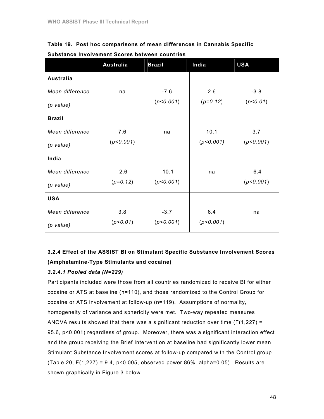|  | Table 19. Post hoc comparisons of mean differences in Cannabis Specific |  |  |  |
|--|-------------------------------------------------------------------------|--|--|--|
|  |                                                                         |  |  |  |

|                  | <b>Australia</b> | <b>Brazil</b> | India      | <b>USA</b> |
|------------------|------------------|---------------|------------|------------|
| <b>Australia</b> |                  |               |            |            |
| Mean difference  | na               | $-7.6$        | 2.6        | $-3.8$     |
| (p value)        |                  | (p<0.001)     | $(p=0.12)$ | (p<0.01)   |
| <b>Brazil</b>    |                  |               |            |            |
| Mean difference  | 7.6              | na            | 10.1       | 3.7        |
| (p value)        | (p<0.001)        |               | (p<0.001)  | (p<0.001)  |
| India            |                  |               |            |            |
| Mean difference  | $-2.6$           | $-10.1$       | na         | $-6.4$     |
| $(p$ value)      | $(p=0.12)$       | (p<0.001)     |            | (p<0.001)  |
| <b>USA</b>       |                  |               |            |            |
| Mean difference  | 3.8              | $-3.7$        | 6.4        | na         |
| $(p$ value)      | (p<0.01)         | (p<0.001)     | (p<0.001)  |            |

Substance Involvement Scores between countries

# 3.2.4 Effect of the ASSIST BI on Stimulant Specific Substance Involvement Scores (Amphetamine-Type Stimulants and cocaine)

## 3.2.4.1 Pooled data (N=229)

Participants included were those from all countries randomized to receive BI for either cocaine or ATS at baseline (n=110), and those randomized to the Control Group for cocaine or ATS involvement at follow-up (n=119). Assumptions of normality, homogeneity of variance and sphericity were met. Two-way repeated measures ANOVA results showed that there was a significant reduction over time  $(F(1,227) =$ 95.6, p<0.001) regardless of group. Moreover, there was a significant interaction effect and the group receiving the Brief Intervention at baseline had significantly lower mean Stimulant Substance Involvement scores at follow-up compared with the Control group (Table 20, F(1,227) = 9.4, p<0.005, observed power 86%, alpha=0.05). Results are shown graphically in Figure 3 below.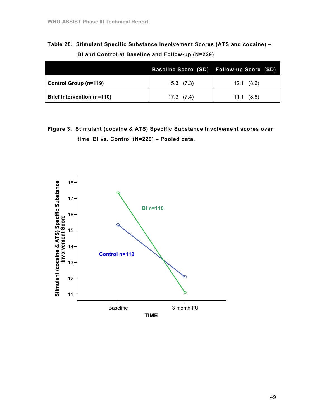Table 20. Stimulant Specific Substance Involvement Scores (ATS and cocaine) – BI and Control at Baseline and Follow-up (N=229)

|                                   |                | Baseline Score (SD) Follow-up Score (SD) |
|-----------------------------------|----------------|------------------------------------------|
| Control Group (n=119)             | $15.3$ $(7.3)$ | 12.1(8.6)                                |
| <b>Brief Intervention (n=110)</b> | $17.3$ $(7.4)$ | 11.1(8.6)                                |

Figure 3. Stimulant (cocaine & ATS) Specific Substance Involvement scores over time, BI vs. Control (N=229) – Pooled data.

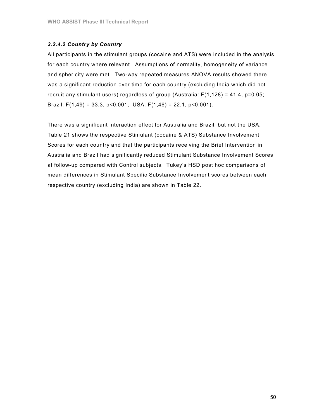## 3.2.4.2 Country by Country

All participants in the stimulant groups (cocaine and ATS) were included in the analysis for each country where relevant. Assumptions of normality, homogeneity of variance and sphericity were met. Two-way repeated measures ANOVA results showed there was a significant reduction over time for each country (excluding India which did not recruit any stimulant users) regardless of group (Australia:  $F(1,128) = 41.4$ ,  $p=0.05$ ; Brazil:  $F(1,49) = 33.3$ ,  $p < 0.001$ ; USA:  $F(1,46) = 22.1$ ,  $p < 0.001$ ).

There was a significant interaction effect for Australia and Brazil, but not the USA. Table 21 shows the respective Stimulant (cocaine & ATS) Substance Involvement Scores for each country and that the participants receiving the Brief Intervention in Australia and Brazil had significantly reduced Stimulant Substance Involvement Scores at follow-up compared with Control subjects. Tukey's HSD post hoc comparisons of mean differences in Stimulant Specific Substance Involvement scores between each respective country (excluding India) are shown in Table 22.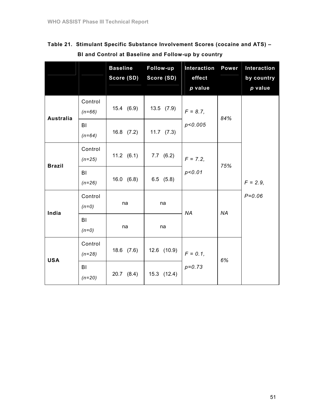| Table 21. Stimulant Specific Substance Involvement Scores (cocaine and ATS) - |
|-------------------------------------------------------------------------------|
| BI and Control at Baseline and Follow-up by country                           |

|                  |                      | <b>Baseline</b><br>Score (SD) | Follow-up<br>Score (SD) | Interaction<br>effect<br>p value | <b>Power</b> | <b>Interaction</b><br>by country<br>p value |
|------------------|----------------------|-------------------------------|-------------------------|----------------------------------|--------------|---------------------------------------------|
| <b>Australia</b> | Control<br>$(n=66)$  | 15.4(6.9)                     | $13.5$ $(7.9)$          | $F = 8.7$ ,                      | 84%          |                                             |
|                  | BI<br>$(n=64)$       | $16.8$ $(7.2)$                | $11.7$ $(7.3)$          | p < 0.005                        |              |                                             |
| <b>Brazil</b>    | Control<br>$(n=25)$  | $11.2 \quad (6.1)$            | 7.7(6.2)                | $F = 7.2$                        | 75%          |                                             |
|                  | BI<br>$(n=26)$       | 16.0 (6.8)                    | $6.5$ $(5.8)$           | p < 0.01                         |              | $F = 2.9$ ,                                 |
| India            | Control<br>$(n=0)$   | na                            | na                      | <b>NA</b>                        | <b>NA</b>    | $P = 0.06$                                  |
|                  | <b>BI</b><br>$(n=0)$ | na                            | na                      |                                  |              |                                             |
| <b>USA</b>       | Control<br>$(n=28)$  | $18.6$ $(7.6)$                | 12.6 (10.9)             | $F = 0.1$ ,                      | 6%           |                                             |
|                  | BI<br>$(n=20)$       | $20.7$ $(8.4)$                | 15.3 (12.4)             | $p = 0.73$                       |              |                                             |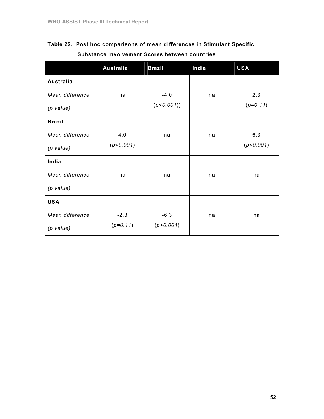# Table 22. Post hoc comparisons of mean differences in Stimulant Specific Substance Involvement Scores between countries

|                 | <b>Australia</b> | <b>Brazil</b> | India | <b>USA</b> |
|-----------------|------------------|---------------|-------|------------|
| Australia       |                  |               |       |            |
| Mean difference | na               | $-4.0$        | na    | 2.3        |
| $(p$ value)     |                  | (p<0.001)     |       | $(p=0.11)$ |
| <b>Brazil</b>   |                  |               |       |            |
| Mean difference | 4.0              | na            | na    | 6.3        |
| $(p$ value)     | (p<0.001)        |               |       | (p<0.001)  |
| India           |                  |               |       |            |
| Mean difference | na               | na            | na    | na         |
| $(p$ value)     |                  |               |       |            |
| <b>USA</b>      |                  |               |       |            |
| Mean difference | $-2.3$           | $-6.3$        | na    | na         |
| $(p$ value)     | $(p=0.11)$       | (p<0.001)     |       |            |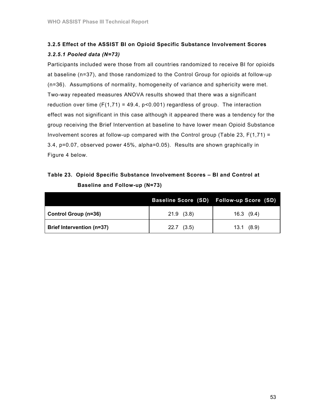# 3.2.5 Effect of the ASSIST BI on Opioid Specific Substance Involvement Scores 3.2.5.1 Pooled data (N=73)

Participants included were those from all countries randomized to receive BI for opioids at baseline (n=37), and those randomized to the Control Group for opioids at follow-up (n=36). Assumptions of normality, homogeneity of variance and sphericity were met. Two-way repeated measures ANOVA results showed that there was a significant reduction over time  $(F(1,71) = 49.4, p<0.001)$  regardless of group. The interaction effect was not significant in this case although it appeared there was a tendency for the group receiving the Brief Intervention at baseline to have lower mean Opioid Substance Involvement scores at follow-up compared with the Control group (Table 23,  $F(1,71) =$ 3.4, p=0.07, observed power 45%, alpha=0.05). Results are shown graphically in Figure 4 below.

## Table 23. Opioid Specific Substance Involvement Scores – BI and Control at Baseline and Follow-up (N=73)

|                                  |                | Baseline Score (SD) Follow-up Score (SD) |
|----------------------------------|----------------|------------------------------------------|
| Control Group (n=36)             | $21.9$ (3.8)   | $16.3$ (9.4)                             |
| <b>Brief Intervention (n=37)</b> | $22.7$ $(3.5)$ | 13.1(8.9)                                |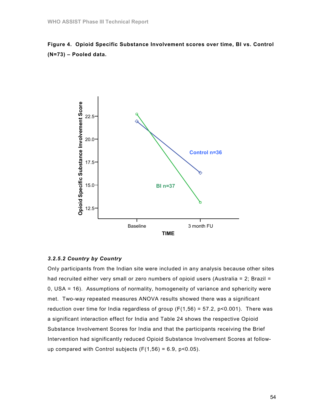Figure 4. Opioid Specific Substance Involvement scores over time, BI vs. Control (N=73) – Pooled data.



#### 3.2.5.2 Country by Country

Only participants from the Indian site were included in any analysis because other sites had recruited either very small or zero numbers of opioid users (Australia = 2; Brazil = 0, USA = 16). Assumptions of normality, homogeneity of variance and sphericity were met. Two-way repeated measures ANOVA results showed there was a significant reduction over time for India regardless of group ( $F(1,56) = 57.2$ ,  $p < 0.001$ ). There was a significant interaction effect for India and Table 24 shows the respective Opioid Substance Involvement Scores for India and that the participants receiving the Brief Intervention had significantly reduced Opioid Substance Involvement Scores at followup compared with Control subjects  $(F(1,56) = 6.9, p<0.05)$ .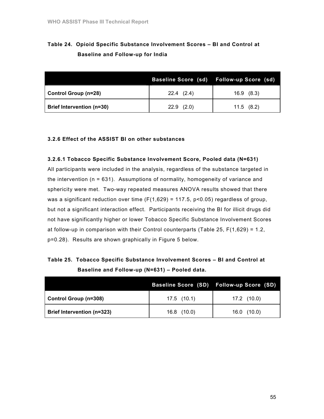# Table 24. Opioid Specific Substance Involvement Scores – BI and Control at Baseline and Follow-up for India

|                                  | <b>Baseline Score (sd)</b> | <b>Follow-up Score (sd)</b> |
|----------------------------------|----------------------------|-----------------------------|
| Control Group (n=28)             | $22.4$ $(2.4)$             | $16.9$ $(8.3)$              |
| <b>Brief Intervention (n=30)</b> | $22.9$ $(2.0)$             | 11.5(8.2)                   |

### 3.2.6 Effect of the ASSIST BI on other substances

#### 3.2.6.1 Tobacco Specific Substance Involvement Score, Pooled data (N=631)

All participants were included in the analysis, regardless of the substance targeted in the intervention  $(n = 631)$ . Assumptions of normality, homogeneity of variance and sphericity were met. Two-way repeated measures ANOVA results showed that there was a significant reduction over time  $(F(1,629) = 117.5, p<0.05)$  regardless of group, but not a significant interaction effect. Participants receiving the BI for illicit drugs did not have significantly higher or lower Tobacco Specific Substance Involvement Scores at follow-up in comparison with their Control counterparts (Table 25, F(1,629) = 1.2, p=0.28). Results are shown graphically in Figure 5 below.

| Table 25. Tobacco Specific Substance Involvement Scores – BI and Control at |
|-----------------------------------------------------------------------------|
| Baseline and Follow-up (N=631) - Pooled data.                               |

|                                   |               | Baseline Score (SD) Follow-up Score (SD) |
|-----------------------------------|---------------|------------------------------------------|
| <b>Control Group (n=308)</b>      | $17.5$ (10.1) | $17.2$ (10.0)                            |
| <b>Brief Intervention (n=323)</b> | $16.8$ (10.0) | (10.0)<br>16.0                           |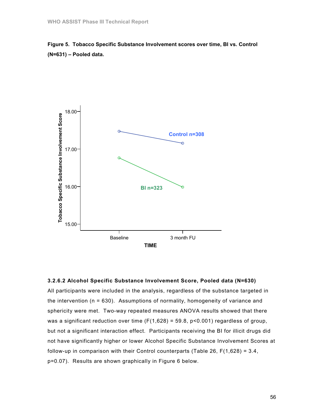



#### 3.2.6.2 Alcohol Specific Substance Involvement Score, Pooled data (N=630)

All participants were included in the analysis, regardless of the substance targeted in the intervention ( $n = 630$ ). Assumptions of normality, homogeneity of variance and sphericity were met. Two-way repeated measures ANOVA results showed that there was a significant reduction over time  $(F(1,628) = 59.8, p < 0.001)$  regardless of group, but not a significant interaction effect. Participants receiving the BI for illicit drugs did not have significantly higher or lower Alcohol Specific Substance Involvement Scores at follow-up in comparison with their Control counterparts (Table 26,  $F(1,628) = 3.4$ , p=0.07). Results are shown graphically in Figure 6 below.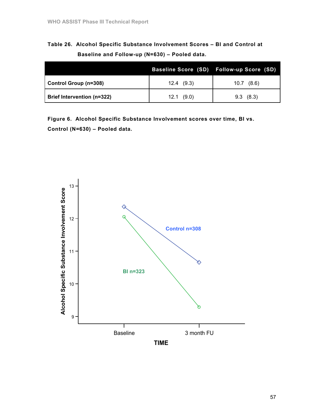Table 26. Alcohol Specific Substance Involvement Scores – BI and Control at Baseline and Follow-up (N=630) – Pooled data.

|                                   |              | Baseline Score (SD) Follow-up Score (SD) |
|-----------------------------------|--------------|------------------------------------------|
| <b>Control Group (n=308)</b>      | 12.4 (9.3)   | (8.6)<br>10.7                            |
| <b>Brief Intervention (n=322)</b> | $12.1$ (9.0) | 9.3(8.3)                                 |

Figure 6. Alcohol Specific Substance Involvement scores over time, BI vs. Control (N=630) – Pooled data.

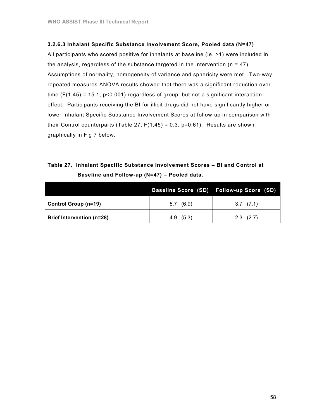### 3.2.6.3 Inhalant Specific Substance Involvement Score, Pooled data (N=47)

All participants who scored positive for inhalants at baseline (ie. >1) were included in the analysis, regardless of the substance targeted in the intervention  $(n = 47)$ . Assumptions of normality, homogeneity of variance and sphericity were met. Two-way repeated measures ANOVA results showed that there was a significant reduction over time  $(F(1,45) = 15.1, p<0.001)$  regardless of group, but not a significant interaction effect. Participants receiving the BI for illicit drugs did not have significantly higher or lower Inhalant Specific Substance Involvement Scores at follow-up in comparison with their Control counterparts (Table 27,  $F(1,45) = 0.3$ ,  $p=0.61$ ). Results are shown graphically in Fig 7 below.

## Table 27. Inhalant Specific Substance Involvement Scores – BI and Control at Baseline and Follow-up (N=47) – Pooled data.

|                                  |              | Baseline Score (SD) Follow-up Score (SD) |
|----------------------------------|--------------|------------------------------------------|
| Control Group (n=19)             | (6.9)<br>5.7 | $3.7$ $(7.1)$                            |
| <b>Brief Intervention (n=28)</b> | 4.9(5.3)     | $2.3$ $(2.7)$                            |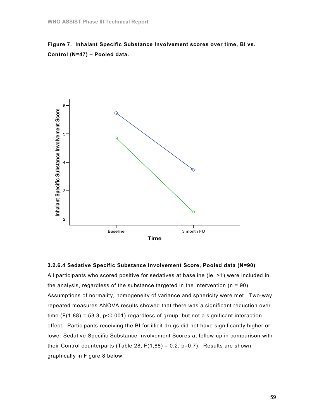Figure 7. Inhalant Specific Substance Involvement scores over time, BI vs. Control (N=47) – Pooled data.



#### 3.2.6.4 Sedative Specific Substance Involvement Score, Pooled data (N=90)

All participants who scored positive for sedatives at baseline (ie. >1) were included in the analysis, regardless of the substance targeted in the intervention ( $n = 90$ ). Assumptions of normality, homogeneity of variance and sphericity were met. Two-way repeated measures ANOVA results showed that there was a significant reduction over time  $(F(1,88) = 53.3, p<0.001)$  regardless of group, but not a significant interaction effect. Participants receiving the BI for illicit drugs did not have significantly higher or lower Sedative Specific Substance Involvement Scores at follow-up in comparison with their Control counterparts (Table 28,  $F(1,88) = 0.2$ , p=0.7). Results are shown graphically in Figure 8 below.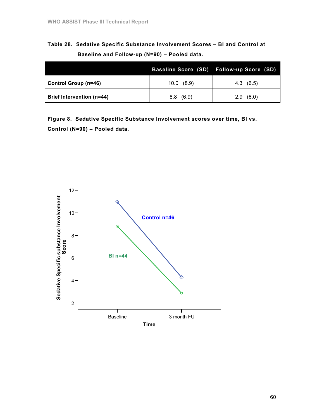Table 28. Sedative Specific Substance Involvement Scores – BI and Control at Baseline and Follow-up (N=90) – Pooled data.

|                                  |           | Baseline Score (SD) Follow-up Score (SD) |
|----------------------------------|-----------|------------------------------------------|
| Control Group (n=46)             | 10.0(8.9) | 4.3(6.5)                                 |
| <b>Brief Intervention (n=44)</b> | 8.8(6.9)  | 2.9(6.0)                                 |

Figure 8. Sedative Specific Substance Involvement scores over time, BI vs. Control (N=90) – Pooled data.

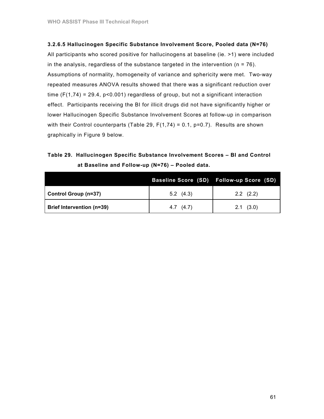## 3.2.6.5 Hallucinogen Specific Substance Involvement Score, Pooled data (N=76)

All participants who scored positive for hallucinogens at baseline (ie. >1) were included in the analysis, regardless of the substance targeted in the intervention ( $n = 76$ ). Assumptions of normality, homogeneity of variance and sphericity were met. Two-way repeated measures ANOVA results showed that there was a significant reduction over time  $(F(1,74) = 29.4, p<0.001)$  regardless of group, but not a significant interaction effect. Participants receiving the BI for illicit drugs did not have significantly higher or lower Hallucinogen Specific Substance Involvement Scores at follow-up in comparison with their Control counterparts (Table 29,  $F(1,74) = 0.1$ , p=0.7). Results are shown graphically in Figure 9 below.

## Table 29. Hallucinogen Specific Substance Involvement Scores – BI and Control at Baseline and Follow-up (N=76) – Pooled data.

|                                  |                   | Baseline Score (SD) Follow-up Score (SD) |
|----------------------------------|-------------------|------------------------------------------|
| Control Group (n=37)             | $5.2 \quad (4.3)$ | $2.2$ $(2.2)$                            |
| <b>Brief Intervention (n=39)</b> | 4.7(4.7)          | $2.1 \quad (3.0)$                        |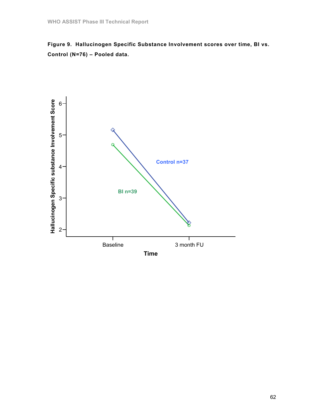Figure 9. Hallucinogen Specific Substance Involvement scores over time, BI vs. Control (N=76) – Pooled data.

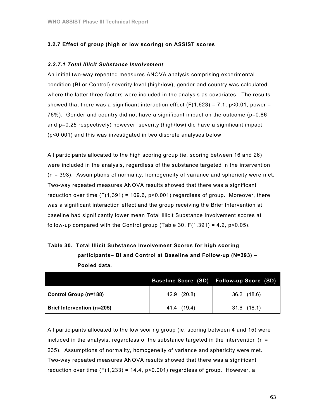### 3.2.7 Effect of group (high or low scoring) on ASSIST scores

### 3.2.7.1 Total Illicit Substance Involvement

An initial two-way repeated measures ANOVA analysis comprising experimental condition (BI or Control) severity level (high/low), gender and country was calculated where the latter three factors were included in the analysis as covariates. The results showed that there was a significant interaction effect ( $F(1,623) = 7.1$ , p<0.01, power = 76%). Gender and country did not have a significant impact on the outcome (p=0.86 and p=0.25 respectively) however, severity (high/low) did have a significant impact (p<0.001) and this was investigated in two discrete analyses below.

All participants allocated to the high scoring group (ie. scoring between 16 and 26) were included in the analysis, regardless of the substance targeted in the intervention (n = 393). Assumptions of normality, homogeneity of variance and sphericity were met. Two-way repeated measures ANOVA results showed that there was a significant reduction over time  $(F(1, 391) = 109.6, p<0.001)$  regardless of group. Moreover, there was a significant interaction effect and the group receiving the Brief Intervention at baseline had significantly lower mean Total Illicit Substance Involvement scores at follow-up compared with the Control group (Table 30,  $F(1,391) = 4.2$ ,  $p < 0.05$ ).

Table 30. Total Illicit Substance Involvement Scores for high scoring participants– BI and Control at Baseline and Follow-up (N=393) – Pooled data.

|                                   |             | Baseline Score (SD) Follow-up Score (SD) |
|-----------------------------------|-------------|------------------------------------------|
| Control Group (n=188)             | 42.9 (20.8) | 36.2 (18.6)                              |
| <b>Brief Intervention (n=205)</b> | 41.4 (19.4) | $31.6$ (18.1)                            |

All participants allocated to the low scoring group (ie. scoring between 4 and 15) were included in the analysis, regardless of the substance targeted in the intervention ( $n =$ 235). Assumptions of normality, homogeneity of variance and sphericity were met. Two-way repeated measures ANOVA results showed that there was a significant reduction over time  $(F(1,233) = 14.4, p<0.001)$  regardless of group. However, a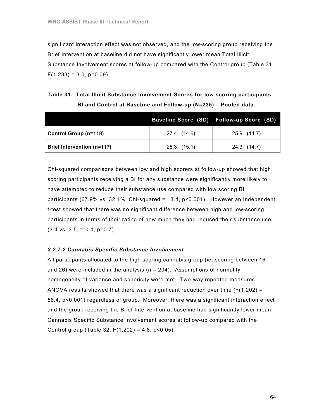significant interaction effect was not observed, and the low-scoring group receiving the Brief Intervention at baseline did not have significantly lower mean Total Illicit Substance Involvement scores at follow-up compared with the Control group (Table 31,  $F(1,233) = 3.0, p=0.09$ .

## Table 31. Total Illicit Substance Involvement Scores for low scoring participants– BI and Control at Baseline and Follow-up (N=235) – Pooled data.

|                                   |             | Baseline Score (SD) Follow-up Score (SD) |
|-----------------------------------|-------------|------------------------------------------|
| Control Group (n=118)             | 27.4 (14.6) | 25.9 (14.7)                              |
| <b>Brief Intervention (n=117)</b> | 28.3 (15.1) | 24.3 (14.7)                              |

Chi-squared comparisons between low and high scorers at follow-up showed that high scoring participants receiving a BI for any substance were significantly more likely to have attempted to reduce their substance use compared with low scoring BI participants (67.9% vs. 32.1%, Chi-squared = 13.4,  $p < 0.001$ ). However an Independent t-test showed that there was no significant difference between high and low-scoring participants in terms of their rating of how much they had reduced their substance use (3.4 vs. 3.5, t=0.4, p=0.7).

## 3.2.7.2 Cannabis Specific Substance Involvement

All participants allocated to the high scoring cannabis group (ie. scoring between 16 and 26) were included in the analysis ( $n = 204$ ). Assumptions of normality, homogeneity of variance and sphericity were met. Two-way repeated measures ANOVA results showed that there was a significant reduction over time  $(F(1,202) =$ 58.4, p<0.001) regardless of group. Moreover, there was a significant interaction effect and the group receiving the Brief Intervention at baseline had significantly lower mean Cannabis Specific Substance Involvement scores at follow-up compared with the Control group (Table 32,  $F(1,202) = 4.8$ ,  $p < 0.05$ ).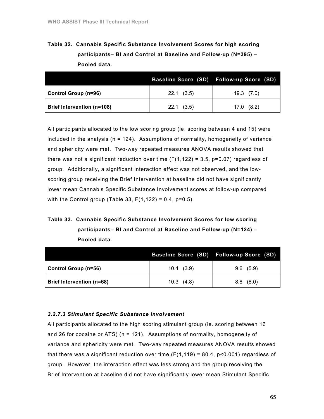Table 32. Cannabis Specific Substance Involvement Scores for high scoring participants– BI and Control at Baseline and Follow-up (N=395) – Pooled data.

|                                   |                | Baseline Score (SD) Follow-up Score (SD) |
|-----------------------------------|----------------|------------------------------------------|
| <b>Control Group (n=96)</b>       | $22.1$ $(3.5)$ | $19.3$ $(7.0)$                           |
| <b>Brief Intervention (n=108)</b> | $22.1$ $(3.5)$ | 17.0(8.2)                                |

All participants allocated to the low scoring group (ie. scoring between 4 and 15) were included in the analysis ( $n = 124$ ). Assumptions of normality, homogeneity of variance and sphericity were met. Two-way repeated measures ANOVA results showed that there was not a significant reduction over time  $(F(1,122) = 3.5, p=0.07)$  regardless of group. Additionally, a significant interaction effect was not observed, and the lowscoring group receiving the Brief Intervention at baseline did not have significantly lower mean Cannabis Specific Substance Involvement scores at follow-up compared with the Control group (Table 33,  $F(1,122) = 0.4$ ,  $p=0.5$ ).

# Table 33. Cannabis Specific Substance Involvement Scores for low scoring participants– BI and Control at Baseline and Follow-up (N=124) – Pooled data.

|                                  |                | Baseline Score (SD) Follow-up Score (SD) |
|----------------------------------|----------------|------------------------------------------|
| Control Group (n=56)             | $10.4$ $(3.9)$ | 9.6(5.9)                                 |
| <b>Brief Intervention (n=68)</b> | $10.3$ $(4.8)$ | $8.8$ $(8.0)$                            |

## 3.2.7.3 Stimulant Specific Substance Involvement

All participants allocated to the high scoring stimulant group (ie. scoring between 16 and 26 for cocaine or ATS) (n = 121). Assumptions of normality, homogeneity of variance and sphericity were met. Two-way repeated measures ANOVA results showed that there was a significant reduction over time  $(F(1,119) = 80.4, p<0.001)$  regardless of group. However, the interaction effect was less strong and the group receiving the Brief Intervention at baseline did not have significantly lower mean Stimulant Specific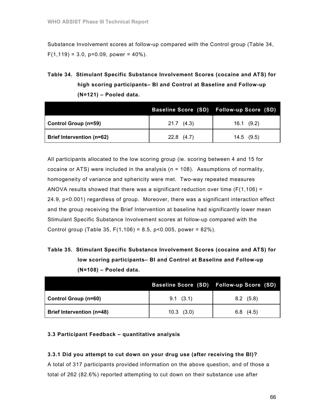Substance Involvement scores at follow-up compared with the Control group (Table 34,  $F(1,119) = 3.0$ , p=0.09, power = 40%).

# Table 34. Stimulant Specific Substance Involvement Scores (cocaine and ATS) for high scoring participants– BI and Control at Baseline and Follow-up (N=121) – Pooled data.

|                                  |              | Baseline Score (SD) Follow-up Score (SD) |
|----------------------------------|--------------|------------------------------------------|
| <b>Control Group (n=59)</b>      | 21.7(4.3)    | $16.1$ (9.2)                             |
| <b>Brief Intervention (n=62)</b> | $22.8$ (4.7) | $14.5$ (9.5)                             |

All participants allocated to the low scoring group (ie. scoring between 4 and 15 for cocaine or ATS) were included in the analysis (n = 108). Assumptions of normality, homogeneity of variance and sphericity were met. Two-way repeated measures ANOVA results showed that there was a significant reduction over time  $(F(1,106) =$ 24.9, p<0.001) regardless of group. Moreover, there was a significant interaction effect and the group receiving the Brief Intervention at baseline had significantly lower mean Stimulant Specific Substance Involvement scores at follow-up compared with the Control group (Table 35, F(1,106) = 8.5, p<0.005, power = 82%).

Table 35. Stimulant Specific Substance Involvement Scores (cocaine and ATS) for low scoring participants– BI and Control at Baseline and Follow-up (N=108) – Pooled data.

|                                  |                   | Baseline Score (SD) Follow-up Score (SD) |
|----------------------------------|-------------------|------------------------------------------|
| Control Group (n=60)             | $9.1 \quad (3.1)$ | $8.2 \quad (5.8)$                        |
| <b>Brief Intervention (n=48)</b> | $10.3$ $(3.0)$    | $6.8$ (4.5)                              |

### 3.3 Participant Feedback – quantitative analysis

### 3.3.1 Did you attempt to cut down on your drug use (after receiving the BI)?

A total of 317 participants provided information on the above question, and of those a total of 262 (82.6%) reported attempting to cut down on their substance use after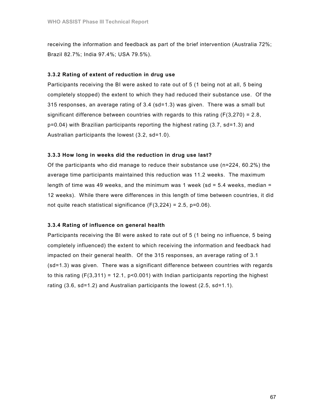receiving the information and feedback as part of the brief intervention (Australia 72%; Brazil 82.7%; India 97.4%; USA 79.5%).

### 3.3.2 Rating of extent of reduction in drug use

Participants receiving the BI were asked to rate out of 5 (1 being not at all, 5 being completely stopped) the extent to which they had reduced their substance use. Of the 315 responses, an average rating of 3.4 (sd=1.3) was given. There was a small but significant difference between countries with regards to this rating  $(F(3,270) = 2.8$ ,  $p=0.04$ ) with Brazilian participants reporting the highest rating  $(3.7, sd=1.3)$  and Australian participants the lowest (3.2, sd=1.0).

#### 3.3.3 How long in weeks did the reduction in drug use last?

Of the participants who did manage to reduce their substance use (n=224, 60.2%) the average time participants maintained this reduction was 11.2 weeks. The maximum length of time was 49 weeks, and the minimum was 1 week (sd =  $5.4$  weeks, median = 12 weeks). While there were differences in this length of time between countries, it did not quite reach statistical significance  $(F(3,224) = 2.5, p=0.06)$ .

#### 3.3.4 Rating of influence on general health

Participants receiving the BI were asked to rate out of 5 (1 being no influence, 5 being completely influenced) the extent to which receiving the information and feedback had impacted on their general health. Of the 315 responses, an average rating of 3.1 (sd=1.3) was given. There was a significant difference between countries with regards to this rating  $(F(3,311) = 12.1, p<0.001)$  with Indian participants reporting the highest rating (3.6, sd=1.2) and Australian participants the lowest (2.5, sd=1.1).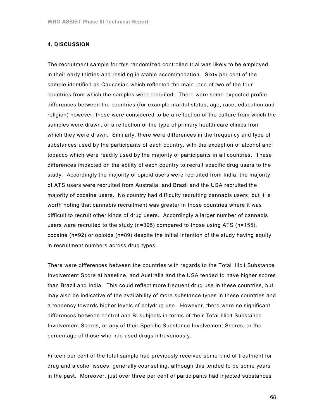## 4. DISCUSSION

The recruitment sample for this randomized controlled trial was likely to be employed, in their early thirties and residing in stable accommodation. Sixty per cent of the sample identified as Caucasian which reflected the main race of two of the four countries from which the samples were recruited. There were some expected profile differences between the countries (for example marital status, age, race, education and religion) however, these were considered to be a reflection of the culture from which the samples were drawn, or a reflection of the type of primary health care clinics from which they were drawn. Similarly, there were differences in the frequency and type of substances used by the participants of each country, with the exception of alcohol and tobacco which were readily used by the majority of participants in all countries. These differences impacted on the ability of each country to recruit specific drug users to the study. Accordingly the majority of opioid users were recruited from India, the majority of ATS users were recruited from Australia, and Brazil and the USA recruited the majority of cocaine users. No country had difficulty recruiting cannabis users, but it is worth noting that cannabis recruitment was greater in those countries where it was difficult to recruit other kinds of drug users. Accordingly a larger number of cannabis users were recruited to the study (n=395) compared to those using ATS (n=155), cocaine (n=92) or opioids (n=89) despite the initial intention of the study having equity in recruitment numbers across drug types.

There were differences between the countries with regards to the Total Illicit Substance Involvement Score at baseline, and Australia and the USA tended to have higher scores than Brazil and India. This could reflect more frequent drug use in these countries, but may also be indicative of the availability of more substance types in these countries and a tendency towards higher levels of polydrug use. However, there were no significant differences between control and BI subjects in terms of their Total Illicit Substance Involvement Scores, or any of their Specific Substance Involvement Scores, or the percentage of those who had used drugs intravenously.

Fifteen per cent of the total sample had previously received some kind of treatment for drug and alcohol issues, generally counselling, although this tended to be some years in the past. Moreover, just over three per cent of participants had injected substances

68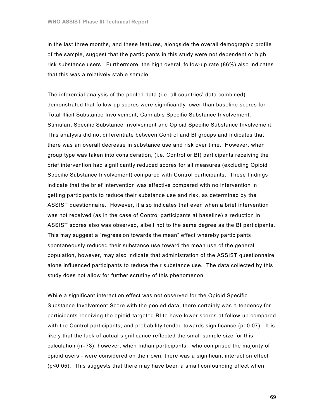in the last three months, and these features, alongside the overall demographic profile of the sample, suggest that the participants in this study were not dependent or high risk substance users. Furthermore, the high overall follow-up rate (86%) also indicates that this was a relatively stable sample.

The inferential analysis of the pooled data (i.e. all countries' data combined) demonstrated that follow-up scores were significantly lower than baseline scores for Total Illicit Substance Involvement, Cannabis Specific Substance Involvement, Stimulant Specific Substance Involvement and Opioid Specific Substance Involvement. This analysis did not differentiate between Control and BI groups and indicates that there was an overall decrease in substance use and risk over time. However, when group type was taken into consideration, (i.e. Control or BI) participants receiving the brief intervention had significantly reduced scores for all measures (excluding Opioid Specific Substance Involvement) compared with Control participants. These findings indicate that the brief intervention was effective compared with no intervention in getting participants to reduce their substance use and risk, as determined by the ASSIST questionnaire. However, it also indicates that even when a brief intervention was not received (as in the case of Control participants at baseline) a reduction in ASSIST scores also was observed, albeit not to the same degree as the BI participants. This may suggest a "regression towards the mean" effect whereby participants spontaneously reduced their substance use toward the mean use of the general population, however, may also indicate that administration of the ASSIST questionnaire alone influenced participants to reduce their substance use. The data collected by this study does not allow for further scrutiny of this phenomenon.

While a significant interaction effect was not observed for the Opioid Specific Substance Involvement Score with the pooled data, there certainly was a tendency for participants receiving the opioid-targeted BI to have lower scores at follow-up compared with the Control participants, and probability tended towards significance (p=0.07). It is likely that the lack of actual significance reflected the small sample size for this calculation (n=73), however, when Indian participants - who comprised the majority of opioid users - were considered on their own, there was a significant interaction effect (p<0.05). This suggests that there may have been a small confounding effect when

69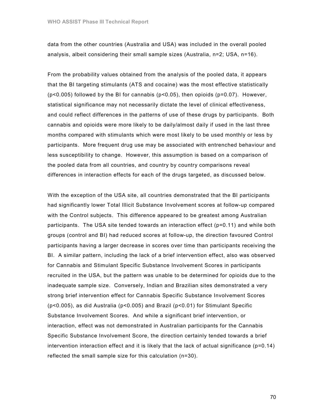data from the other countries (Australia and USA) was included in the overall pooled analysis, albeit considering their small sample sizes (Australia, n=2; USA, n=16).

From the probability values obtained from the analysis of the pooled data, it appears that the BI targeting stimulants (ATS and cocaine) was the most effective statistically  $(p<0.005)$  followed by the BI for cannabis  $(p<0.05)$ , then opioids  $(p=0.07)$ . However, statistical significance may not necessarily dictate the level of clinical effectiveness, and could reflect differences in the patterns of use of these drugs by participants. Both cannabis and opioids were more likely to be daily/almost daily if used in the last three months compared with stimulants which were most likely to be used monthly or less by participants. More frequent drug use may be associated with entrenched behaviour and less susceptibility to change. However, this assumption is based on a comparison of the pooled data from all countries, and country by country comparisons reveal differences in interaction effects for each of the drugs targeted, as discussed below.

With the exception of the USA site, all countries demonstrated that the BI participants had significantly lower Total Illicit Substance Involvement scores at follow-up compared with the Control subjects. This difference appeared to be greatest among Australian participants. The USA site tended towards an interaction effect (p=0.11) and while both groups (control and BI) had reduced scores at follow-up, the direction favoured Control participants having a larger decrease in scores over time than participants receiving the BI. A similar pattern, including the lack of a brief intervention effect, also was observed for Cannabis and Stimulant Specific Substance Involvement Scores in participants recruited in the USA, but the pattern was unable to be determined for opioids due to the inadequate sample size. Conversely, Indian and Brazilian sites demonstrated a very strong brief intervention effect for Cannabis Specific Substance Involvement Scores (p<0.005), as did Australia (p<0.005) and Brazil (p<0.01) for Stimulant Specific Substance Involvement Scores. And while a significant brief intervention, or interaction, effect was not demonstrated in Australian participants for the Cannabis Specific Substance Involvement Score, the direction certainly tended towards a brief intervention interaction effect and it is likely that the lack of actual significance  $(p=0.14)$ reflected the small sample size for this calculation (n=30).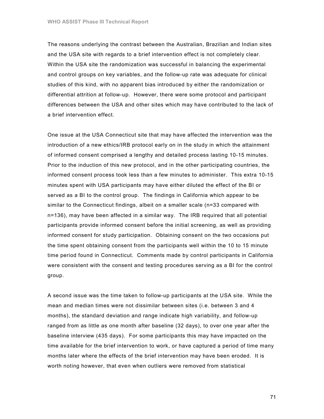The reasons underlying the contrast between the Australian, Brazilian and Indian sites and the USA site with regards to a brief intervention effect is not completely clear. Within the USA site the randomization was successful in balancing the experimental and control groups on key variables, and the follow-up rate was adequate for clinical studies of this kind, with no apparent bias introduced by either the randomization or differential attrition at follow-up. However, there were some protocol and participant differences between the USA and other sites which may have contributed to the lack of a brief intervention effect.

One issue at the USA Connecticut site that may have affected the intervention was the introduction of a new ethics/IRB protocol early on in the study in which the attainment of informed consent comprised a lengthy and detailed process lasting 10-15 minutes. Prior to the induction of this new protocol, and in the other participating countries, the informed consent process took less than a few minutes to administer. This extra 10-15 minutes spent with USA participants may have either diluted the effect of the BI or served as a BI to the control group. The findings in California which appear to be similar to the Connecticut findings, albeit on a smaller scale (n=33 compared with n=136), may have been affected in a similar way. The IRB required that all potential participants provide informed consent before the initial screening, as well as providing informed consent for study participation. Obtaining consent on the two occasions put the time spent obtaining consent from the participants well within the 10 to 15 minute time period found in Connecticut. Comments made by control participants in California were consistent with the consent and testing procedures serving as a BI for the control group.

A second issue was the time taken to follow-up participants at the USA site. While the mean and median times were not dissimilar between sites (i.e. between 3 and 4 months), the standard deviation and range indicate high variability, and follow-up ranged from as little as one month after baseline (32 days), to over one year after the baseline interview (435 days). For some participants this may have impacted on the time available for the brief intervention to work, or have captured a period of time many months later where the effects of the brief intervention may have been eroded. It is worth noting however, that even when outliers were removed from statistical

71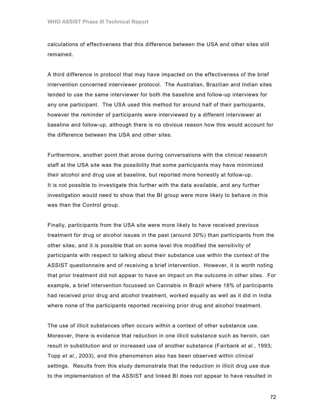calculations of effectiveness that this difference between the USA and other sites still remained.

A third difference in protocol that may have impacted on the effectiveness of the brief intervention concerned interviewer protocol. The Australian, Brazilian and Indian sites tended to use the same interviewer for both the baseline and follow-up interviews for any one participant. The USA used this method for around half of their participants, however the reminder of participants were interviewed by a different interviewer at baseline and follow-up, although there is no obvious reason how this would account for the difference between the USA and other sites.

Furthermore, another point that arose during conversations with the clinical research staff at the USA site was the possibility that some participants may have minimized their alcohol and drug use at baseline, but reported more honestly at follow-up. It is not possible to investigate this further with the data available, and any further investigation would need to show that the BI group were more likely to behave in this was than the Control group.

Finally, participants from the USA site were more likely to have received previous treatment for drug or alcohol issues in the past (around 30%) than participants from the other sites, and it is possible that on some level this modified the sensitivity of participants with respect to talking about their substance use within the context of the ASSIST questionnaire and of receiving a brief intervention. However, it is worth noting that prior treatment did not appear to have an impact on the outcome in other sites. For example, a brief intervention focussed on Cannabis in Brazil where 18% of participants had received prior drug and alcohol treatment, worked equally as well as it did in India where none of the participants reported receiving prior drug and alcohol treatment.

The use of illicit substances often occurs within a context of other substance use. Moreover, there is evidence that reduction in one illicit substance such as heroin, can result in substitution and or increased use of another substance (Fairbank et al., 1993; Topp et al., 2003), and this phenomenon also has been observed within clinical settings. Results from this study demonstrate that the reduction in illicit drug use due to the implementation of the ASSIST and linked BI does not appear to have resulted in

72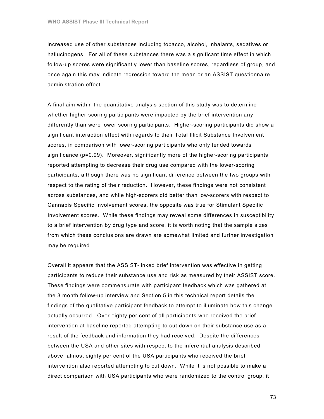increased use of other substances including tobacco, alcohol, inhalants, sedatives or hallucinogens. For all of these substances there was a significant time effect in which follow-up scores were significantly lower than baseline scores, regardless of group, and once again this may indicate regression toward the mean or an ASSIST questionnaire administration effect.

A final aim within the quantitative analysis section of this study was to determine whether higher-scoring participants were impacted by the brief intervention any differently than were lower scoring participants. Higher-scoring participants did show a significant interaction effect with regards to their Total Illicit Substance Involvement scores, in comparison with lower-scoring participants who only tended towards significance (p=0.09). Moreover, significantly more of the higher-scoring participants reported attempting to decrease their drug use compared with the lower-scoring participants, although there was no significant difference between the two groups with respect to the rating of their reduction. However, these findings were not consistent across substances, and while high-scorers did better than low-scorers with respect to Cannabis Specific Involvement scores, the opposite was true for Stimulant Specific Involvement scores. While these findings may reveal some differences in susceptibility to a brief intervention by drug type and score, it is worth noting that the sample sizes from which these conclusions are drawn are somewhat limited and further investigation may be required.

Overall it appears that the ASSIST-linked brief intervention was effective in getting participants to reduce their substance use and risk as measured by their ASSIST score. These findings were commensurate with participant feedback which was gathered at the 3 month follow-up interview and Section 5 in this technical report details the findings of the qualitative participant feedback to attempt to illuminate how this change actually occurred. Over eighty per cent of all participants who received the brief intervention at baseline reported attempting to cut down on their substance use as a result of the feedback and information they had received. Despite the differences between the USA and other sites with respect to the inferential analysis described above, almost eighty per cent of the USA participants who received the brief intervention also reported attempting to cut down. While it is not possible to make a direct comparison with USA participants who were randomized to the control group, it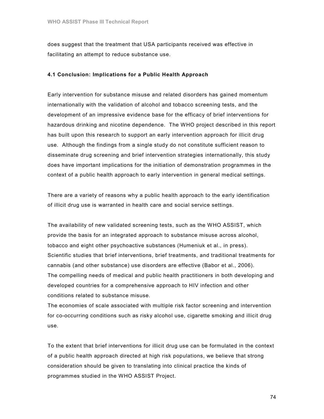does suggest that the treatment that USA participants received was effective in facilitating an attempt to reduce substance use.

#### 4.1 Conclusion: Implications for a Public Health Approach

Early intervention for substance misuse and related disorders has gained momentum internationally with the validation of alcohol and tobacco screening tests, and the development of an impressive evidence base for the efficacy of brief interventions for hazardous drinking and nicotine dependence. The WHO project described in this report has built upon this research to support an early intervention approach for illicit drug use. Although the findings from a single study do not constitute sufficient reason to disseminate drug screening and brief intervention strategies internationally, this study does have important implications for the initiation of demonstration programmes in the context of a public health approach to early intervention in general medical settings.

There are a variety of reasons why a public health approach to the early identification of illicit drug use is warranted in health care and social service settings.

The availability of new validated screening tests, such as the WHO ASSIST, which provide the basis for an integrated approach to substance misuse across alcohol, tobacco and eight other psychoactive substances (Humeniuk et al., in press). Scientific studies that brief interventions, brief treatments, and traditional treatments for cannabis (and other substance) use disorders are effective (Babor et al., 2006). The compelling needs of medical and public health practitioners in both developing and developed countries for a comprehensive approach to HIV infection and other conditions related to substance misuse.

The economies of scale associated with multiple risk factor screening and intervention for co-occurring conditions such as risky alcohol use, cigarette smoking and illicit drug use.

To the extent that brief interventions for illicit drug use can be formulated in the context of a public health approach directed at high risk populations, we believe that strong consideration should be given to translating into clinical practice the kinds of programmes studied in the WHO ASSIST Project.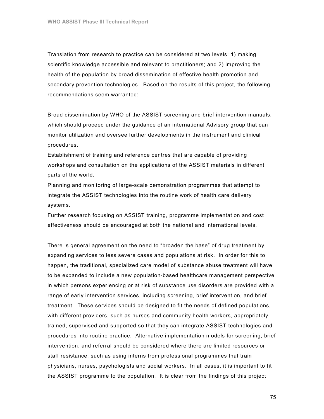Translation from research to practice can be considered at two levels: 1) making scientific knowledge accessible and relevant to practitioners; and 2) improving the health of the population by broad dissemination of effective health promotion and secondary prevention technologies. Based on the results of this project, the following recommendations seem warranted:

Broad dissemination by WHO of the ASSIST screening and brief intervention manuals, which should proceed under the guidance of an international Advisory group that can monitor utilization and oversee further developments in the instrument and clinical procedures.

Establishment of training and reference centres that are capable of providing workshops and consultation on the applications of the ASSIST materials in different parts of the world.

Planning and monitoring of large-scale demonstration programmes that attempt to integrate the ASSIST technologies into the routine work of health care delivery systems.

Further research focusing on ASSIST training, programme implementation and cost effectiveness should be encouraged at both the national and international levels.

There is general agreement on the need to "broaden the base" of drug treatment by expanding services to less severe cases and populations at risk. In order for this to happen, the traditional, specialized care model of substance abuse treatment will have to be expanded to include a new population-based healthcare management perspective in which persons experiencing or at risk of substance use disorders are provided with a range of early intervention services, including screening, brief intervention, and brief treatment. These services should be designed to fit the needs of defined populations, with different providers, such as nurses and community health workers, appropriately trained, supervised and supported so that they can integrate ASSIST technologies and procedures into routine practice. Alternative implementation models for screening, brief intervention, and referral should be considered where there are limited resources or staff resistance, such as using interns from professional programmes that train physicians, nurses, psychologists and social workers. In all cases, it is important to fit the ASSIST programme to the population. It is clear from the findings of this project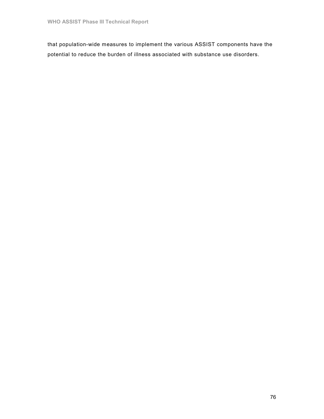that population-wide measures to implement the various ASSIST components have the potential to reduce the burden of illness associated with substance use disorders.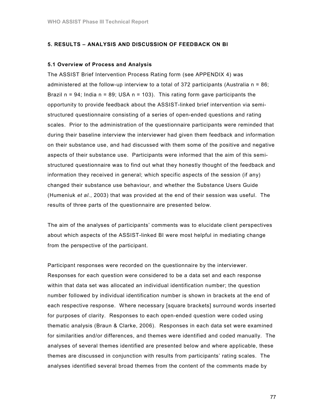#### 5. RESULTS – ANALYSIS AND DISCUSSION OF FEEDBACK ON BI

#### 5.1 Overview of Process and Analysis

The ASSIST Brief Intervention Process Rating form (see APPENDIX 4) was administered at the follow-up interview to a total of 372 participants (Australia  $n = 86$ ; Brazil  $n = 94$ ; India  $n = 89$ ; USA  $n = 103$ ). This rating form gave participants the opportunity to provide feedback about the ASSIST-linked brief intervention via semistructured questionnaire consisting of a series of open-ended questions and rating scales. Prior to the administration of the questionnaire participants were reminded that during their baseline interview the interviewer had given them feedback and information on their substance use, and had discussed with them some of the positive and negative aspects of their substance use. Participants were informed that the aim of this semistructured questionnaire was to find out what they honestly thought of the feedback and information they received in general; which specific aspects of the session (if any) changed their substance use behaviour, and whether the Substance Users Guide (Humeniuk et al., 2003) that was provided at the end of their session was useful. The results of three parts of the questionnaire are presented below.

The aim of the analyses of participants' comments was to elucidate client perspectives about which aspects of the ASSIST-linked BI were most helpful in mediating change from the perspective of the participant.

Participant responses were recorded on the questionnaire by the interviewer. Responses for each question were considered to be a data set and each response within that data set was allocated an individual identification number; the question number followed by individual identification number is shown in brackets at the end of each respective response. Where necessary [square brackets] surround words inserted for purposes of clarity. Responses to each open-ended question were coded using thematic analysis (Braun & Clarke, 2006). Responses in each data set were examined for similarities and/or differences, and themes were identified and coded manually. The analyses of several themes identified are presented below and where applicable, these themes are discussed in conjunction with results from participants' rating scales. The analyses identified several broad themes from the content of the comments made by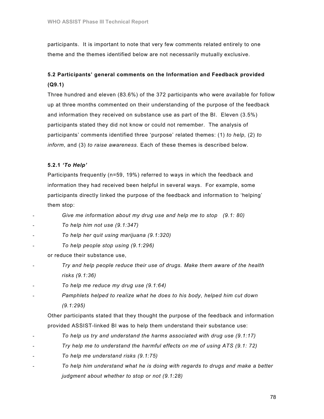participants. It is important to note that very few comments related entirely to one theme and the themes identified below are not necessarily mutually exclusive.

# 5.2 Participants' general comments on the Information and Feedback provided (Q9.1)

Three hundred and eleven (83.6%) of the 372 participants who were available for follow up at three months commented on their understanding of the purpose of the feedback and information they received on substance use as part of the BI. Eleven (3.5%) participants stated they did not know or could not remember. The analysis of participants' comments identified three 'purpose' related themes: (1) to help, (2) to inform, and (3) to raise awareness. Each of these themes is described below.

### 5.2.1 'To Help'

Participants frequently (n=59, 19%) referred to ways in which the feedback and information they had received been helpful in several ways. For example, some participants directly linked the purpose of the feedback and information to 'helping' them stop:

- Give me information about my drug use and help me to stop (9.1: 80)
- To help him not use  $(9.1:347)$
- To help her quit using marijuana (9.1:320)
- To help people stop using  $(9.1:296)$

or reduce their substance use,

- Try and help people reduce their use of drugs. Make them aware of the health risks (9.1:36)
- To help me reduce my drug use  $(9.1:64)$
- Pamphlets helped to realize what he does to his body, helped him cut down (9.1:295)

Other participants stated that they thought the purpose of the feedback and information provided ASSIST-linked BI was to help them understand their substance use:

- To help us try and understand the harms associated with drug use (9.1:17)
- Try help me to understand the harmful effects on me of using ATS (9.1: 72)
- To help me understand risks (9.1:75)
- To help him understand what he is doing with regards to drugs and make a better judgment about whether to stop or not (9.1:28)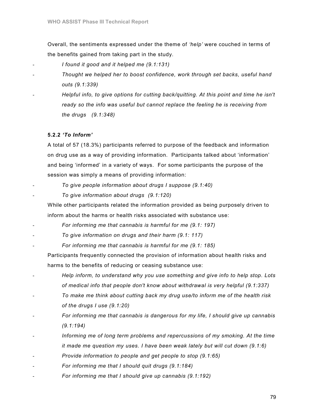Overall, the sentiments expressed under the theme of 'help' were couched in terms of the benefits gained from taking part in the study.

- I found it good and it helped me (9.1:131)
- Thought we helped her to boost confidence, work through set backs, useful hand outs (9.1:339)
- Helpful info, to give options for cutting back/quitting. At this point and time he isn't ready so the info was useful but cannot replace the feeling he is receiving from the drugs (9.1:348)

## 5.2.2 'To Inform'

A total of 57 (18.3%) participants referred to purpose of the feedback and information on drug use as a way of providing information. Participants talked about 'information' and being 'informed' in a variety of ways. For some participants the purpose of the session was simply a means of providing information:

- To give people information about drugs I suppose (9.1:40)
	- To give information about drugs (9.1:120)

While other participants related the information provided as being purposely driven to inform about the harms or health risks associated with substance use:

- For informing me that cannabis is harmful for me (9.1: 197)
- To give information on drugs and their harm (9.1: 117)
- For informing me that cannabis is harmful for me (9.1: 185)

Participants frequently connected the provision of information about health risks and harms to the benefits of reducing or ceasing substance use:

- Help inform, to understand why you use something and give info to help stop. Lots of medical info that people don't know about withdrawal is very helpful (9.1:337)
- To make me think about cutting back my drug use/to inform me of the health risk of the drugs I use (9.1:20)
- For informing me that cannabis is dangerous for my life, I should give up cannabis (9.1:194)
- Informing me of long term problems and repercussions of my smoking. At the time it made me question my uses. I have been weak lately but will cut down (9.1:6)
- Provide information to people and get people to stop (9.1:65)
- For informing me that I should quit drugs  $(9.1:184)$
- For informing me that I should give up cannabis  $(9.1:192)$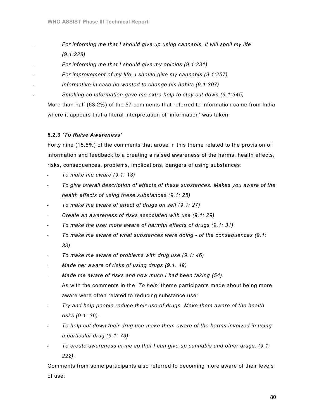- For informing me that I should give up using cannabis, it will spoil my life (9.1:228)
- For informing me that I should give my opioids  $(9.1:231)$
- For improvement of my life, I should give my cannabis (9.1:257)
- Informative in case he wanted to change his habits  $(9.1:307)$
- Smoking so information gave me extra help to stay cut down (9.1:345)

More than half (63.2%) of the 57 comments that referred to information came from India where it appears that a literal interpretation of 'information' was taken.

### 5.2.3 'To Raise Awareness'

Forty nine (15.8%) of the comments that arose in this theme related to the provision of information and feedback to a creating a raised awareness of the harms, health effects, risks, consequences, problems, implications, dangers of using substances:

- To make me aware  $(9.1: 13)$
- To give overall description of effects of these substances. Makes you aware of the health effects of using these substances (9.1: 25)
- To make me aware of effect of drugs on self (9.1: 27)
- Create an awareness of risks associated with use (9.1: 29)
- To make the user more aware of harmful effects of drugs (9.1: 31)
- To make me aware of what substances were doing of the consequences (9.1: 33)
- To make me aware of problems with drug use  $(9.1: 46)$
- Made her aware of risks of using drugs (9.1: 49)
- Made me aware of risks and how much I had been taking (54). As with the comments in the 'To help' theme participants made about being more aware were often related to reducing substance use:
- Try and help people reduce their use of drugs. Make them aware of the health risks (9.1: 36).
- To help cut down their drug use-make them aware of the harms involved in using a particular drug (9.1: 73).
- To create awareness in me so that  $I$  can give up cannabis and other drugs.  $(9.1)$ : 222).

Comments from some participants also referred to becoming more aware of their levels of use: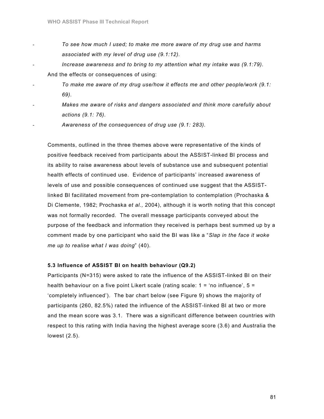- To see how much I used; to make me more aware of my drug use and harms associated with my level of drug use (9.1:12).
- Increase awareness and to bring to my attention what my intake was (9.1:79). And the effects or consequences of using:
	- To make me aware of my drug use/how it effects me and other people/work (9.1: 69).
- 

Makes me aware of risks and dangers associated and think more carefully about actions (9.1: 76).

Awareness of the consequences of drug use (9.1: 283).

Comments, outlined in the three themes above were representative of the kinds of positive feedback received from participants about the ASSIST-linked BI process and its ability to raise awareness about levels of substance use and subsequent potential health effects of continued use. Evidence of participants' increased awareness of levels of use and possible consequences of continued use suggest that the ASSISTlinked BI facilitated movement from pre-contemplation to contemplation (Prochaska & Di Clemente, 1982; Prochaska et al., 2004), although it is worth noting that this concept was not formally recorded. The overall message participants conveyed about the purpose of the feedback and information they received is perhaps best summed up by a comment made by one participant who said the BI was like a "Slap in the face it woke me up to realise what I was doing" (40).

### 5.3 Influence of ASSIST BI on health behaviour (Q9.2)

Participants (N=315) were asked to rate the influence of the ASSIST-linked BI on their health behaviour on a five point Likert scale (rating scale: 1 = 'no influence', 5 = 'completely influenced'). The bar chart below (see Figure 9) shows the majority of participants (260, 82.5%) rated the influence of the ASSIST-linked BI at two or more and the mean score was 3.1. There was a significant difference between countries with respect to this rating with India having the highest average score (3.6) and Australia the lowest (2.5).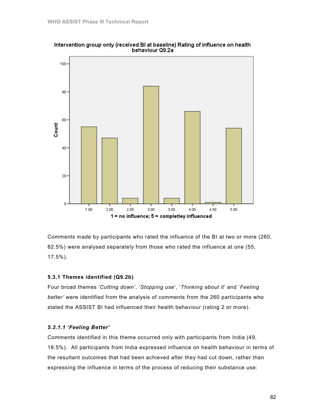

Intervention group only (received BI at baseline) Rating of influence on health behaviour Q9.2a

Comments made by participants who rated the influence of the BI at two or more (260, 82.5%) were analysed separately from those who rated the influence at one (55, 17.5%).

#### 5.3.1 Themes identified (Q9.2b)

Four broad themes 'Cutting down', 'Stopping use', 'Thinking about it' and 'Feeling better' were identified from the analysis of comments from the 260 participants who stated the ASSIST BI had influenced their health behaviour (rating 2 or more).

### 5.3.1.1 'Feeling Better'

Comments identified in this theme occurred only with participants from India (49, 18.5%). All participants from India expressed influence on health behaviour in terms of the resultant outcomes that had been achieved after they had cut down, rather than expressing the influence in terms of the process of reducing their substance use: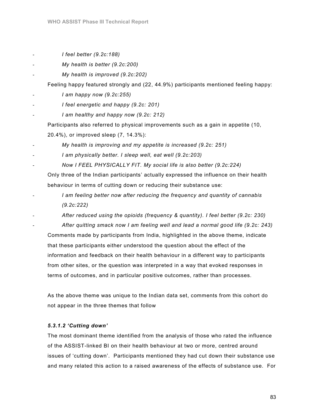- I feel better (9.2c:188)
- My health is better  $(9.2c:200)$ 
	- My health is improved  $(9.2c:202)$

Feeling happy featured strongly and (22, 44.9%) participants mentioned feeling happy:

- $I$  am happy now  $(9.2c:255)$
- I feel energetic and happy (9.2c: 201)
- I am healthy and happy now (9.2c: 212)

Participants also referred to physical improvements such as a gain in appetite (10, 20.4%), or improved sleep (7, 14.3%):

- My health is improving and my appetite is increased (9.2c: 251)
- I am physically better. I sleep well, eat well (9.2c:203)
- Now I FEEL PHYSICALLY FIT. My social life is also better (9.2c:224)

Only three of the Indian participants' actually expressed the influence on their health behaviour in terms of cutting down or reducing their substance use:

- I am feeling better now after reducing the frequency and quantity of cannabis (9.2c:222)
- After reduced using the opioids (frequency & quantity). I feel better (9.2c: 230)
	- After quitting smack now I am feeling well and lead a normal good life (9.2c: 243)

Comments made by participants from India, highlighted in the above theme, indicate that these participants either understood the question about the effect of the information and feedback on their health behaviour in a different way to participants from other sites, or the question was interpreted in a way that evoked responses in terms of outcomes, and in particular positive outcomes, rather than processes.

As the above theme was unique to the Indian data set, comments from this cohort do not appear in the three themes that follow

## 5.3.1.2 'Cutting down'

The most dominant theme identified from the analysis of those who rated the influence of the ASSIST-linked BI on their health behaviour at two or more, centred around issues of 'cutting down'. Participants mentioned they had cut down their substance use and many related this action to a raised awareness of the effects of substance use. For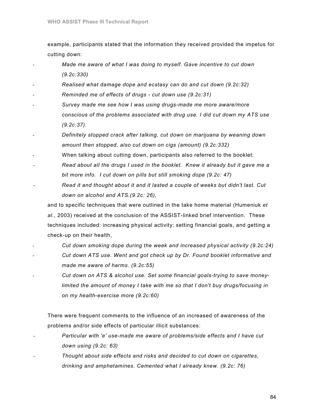example, participants stated that the information they received provided the impetus for cutting down:

- Made me aware of what I was doing to myself. Gave incentive to cut down (9.2c:330)
- Realised what damage dope and ecstasy can do and cut down (9.2c:32)
- Reminded me of effects of drugs cut down use (9.2c:31)
- Survey made me see how I was using drugs-made me more aware/more conscious of the problems associated with drug use. I did cut down my ATS use (9.2c:37).
- Definitely stopped crack after talking, cut down on marijuana by weaning down amount then stopped, also cut down on cigs (amount) (9.2c:332)
- When talking about cutting down, participants also referred to the booklet:
- Read about all the drugs I used in the booklet. Knew it already but it gave me a bit more info. I cut down on pills but still smoking dope (9.2c: 47)
- Read it and thought about it and it lasted a couple of weeks but didn't last. Cut down on alcohol and ATS.(9.2c: 26),

and to specific techniques that were outlined in the take home material (Humeniuk et al., 2003) received at the conclusion of the ASSIST-linked brief intervention. These techniques included: increasing physical activity; setting financial goals, and getting a check-up on their health,

- Cut down smoking dope during the week and increased physical activity (9.2c:24) Cut down ATS use. Went and got check up by Dr. Found booklet informative and made me aware of harms. (9.2c:55)
- Cut down on ATS & alcohol use. Set some financial goals-trying to save moneylimited the amount of money I take with me so that I don't buy drugs/focusing in on my health-exercise more (9.2c:60)

There were frequent comments to the influence of an increased of awareness of the problems and/or side effects of particular illicit substances:

- Particular with 'e' use-made me aware of problems/side effects and I have cut down using (9.2c: 63)
- Thought about side effects and risks and decided to cut down on cigarettes, drinking and amphetamines. Cemented what I already knew. (9.2c: 76)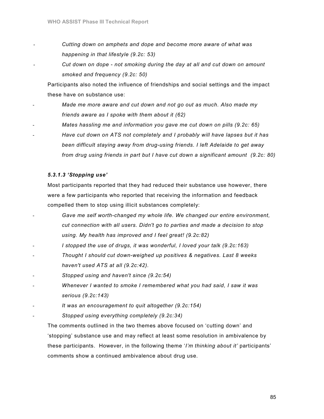- Cutting down on amphets and dope and become more aware of what was happening in that lifestyle (9.2c: 53)
	- Cut down on dope not smoking during the day at all and cut down on amount smoked and frequency (9.2c: 50)

Participants also noted the influence of friendships and social settings and the impact these have on substance use:

- Made me more aware and cut down and not go out as much. Also made my friends aware as I spoke with them about it (62)
- Mates hassling me and information you gave me cut down on pills (9.2c: 65)
- Have cut down on ATS not completely and I probably will have lapses but it has been difficult staying away from drug-using friends. I left Adelaide to get away from drug using friends in part but I have cut down a significant amount (9.2c: 80)

#### 5.3.1.3 'Stopping use'

Most participants reported that they had reduced their substance use however, there were a few participants who reported that receiving the information and feedback compelled them to stop using illicit substances completely:

- Gave me self worth-changed my whole life. We changed our entire environment, cut connection with all users. Didn't go to parties and made a decision to stop using. My health has improved and I feel great! (9.2c:82)
- I stopped the use of drugs, it was wonderful, I loved your talk (9.2c:163)
- Thought I should cut down-weighed up positives & negatives. Last 8 weeks haven't used ATS at all (9.2c:42).
- Stopped using and haven't since (9.2c:54)
- Whenever I wanted to smoke I remembered what you had said, I saw it was serious (9.2c:143)
- It was an encouragement to quit altogether (9.2c:154)
- Stopped using everything completely (9.2c:34)

The comments outlined in the two themes above focused on 'cutting down' and 'stopping' substance use and may reflect at least some resolution in ambivalence by these participants. However, in the following theme 'I'm thinking about it' participants' comments show a continued ambivalence about drug use.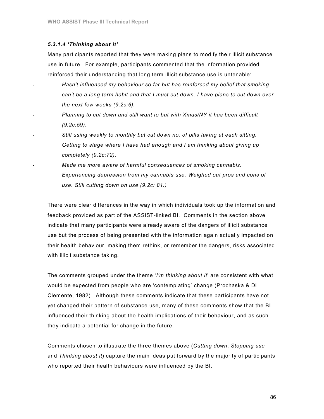### 5.3.1.4 'Thinking about it'

Many participants reported that they were making plans to modify their illicit substance use in future. For example, participants commented that the information provided reinforced their understanding that long term illicit substance use is untenable:

- Hasn't influenced my behaviour so far but has reinforced my belief that smoking can't be a long term habit and that I must cut down. I have plans to cut down over the next few weeks (9.2c:6).
- Planning to cut down and still want to but with Xmas/NY it has been difficult (9.2c:59).
- Still using weekly to monthly but cut down no. of pills taking at each sitting. Getting to stage where I have had enough and I am thinking about giving up completely (9.2c:72).
	- Made me more aware of harmful consequences of smoking cannabis. Experiencing depression from my cannabis use. Weighed out pros and cons of use. Still cutting down on use (9.2c: 81.)

There were clear differences in the way in which individuals took up the information and feedback provided as part of the ASSIST-linked BI. Comments in the section above indicate that many participants were already aware of the dangers of illicit substance use but the process of being presented with the information again actually impacted on their health behaviour, making them rethink, or remember the dangers, risks associated with illicit substance taking.

The comments grouped under the theme 'I'm thinking about it' are consistent with what would be expected from people who are 'contemplating' change (Prochaska & Di Clemente, 1982). Although these comments indicate that these participants have not yet changed their pattern of substance use, many of these comments show that the BI influenced their thinking about the health implications of their behaviour, and as such they indicate a potential for change in the future.

Comments chosen to illustrate the three themes above (Cutting down; Stopping use and Thinking about it) capture the main ideas put forward by the majority of participants who reported their health behaviours were influenced by the BI.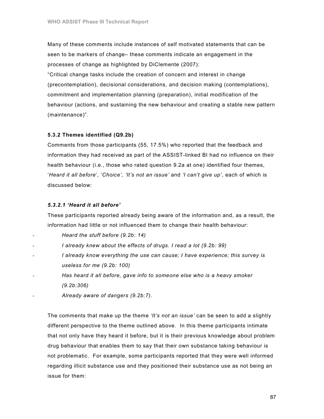Many of these comments include instances of self motivated statements that can be seen to be markers of change– these comments indicate an engagement in the processes of change as highlighted by DiClemente (2007): "Critical change tasks include the creation of concern and interest in change (precontemplation), decisional considerations, and decision making (contemplations), commitment and implementation planning (preparation), initial modification of the behaviour (actions, and sustaining the new behaviour and creating a stable new pattern (maintenance)".

#### 5.3.2 Themes identified (Q9.2b)

Comments from those participants (55, 17.5%) who reported that the feedback and information they had received as part of the ASSIST-linked BI had no influence on their health behaviour (i.e., those who rated question 9.2a at one) identified four themes, 'Heard it all before', 'Choice', 'It's not an issue' and 'I can't give up', each of which is discussed below:

#### 5.3.2.1 'Heard it all before'

These participants reported already being aware of the information and, as a result, the information had little or not influenced them to change their health behaviour:

- Heard the stuff before (9.2b: 14)
- I already knew about the effects of drugs. I read a lot (9.2b: 99)
- I already know everything the use can cause; I have experience; this survey is useless for me (9.2b: 100)
- Has heard it all before, gave info to someone else who is a heavy smoker (9.2b:306)
- Already aware of dangers (9.2b:7).

The comments that make up the theme '*It's not an issue'* can be seen to add a slightly different perspective to the theme outlined above. In this theme participants intimate that not only have they heard it before, but it is their previous knowledge about problem drug behaviour that enables them to say that their own substance taking behaviour is not problematic. For example, some participants reported that they were well informed regarding illicit substance use and they positioned their substance use as not being an issue for them: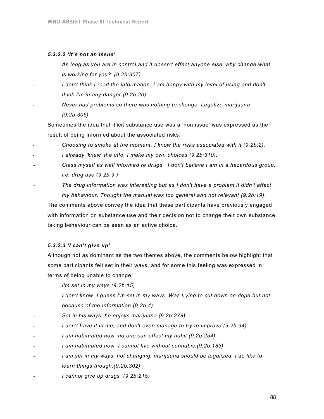## 5.3.2.2 'It's not an issue'

- As long as you are in control and it doesn't effect anyone else 'why change what is working for you?' (9.2b:307)
- I don't think I read the information. I am happy with my level of using and don't think I'm in any danger (9.2b:20)
- Never had problems so there was nothing to change. Legalize marijuana (9.2b:305)

Sometimes the idea that illicit substance use was a 'non issue' was expressed as the result of being informed about the associated risks:

- Choosing to smoke at the moment. I know the risks associated with it (9.2b:2).
- I already 'knew' the info, I make my own choices (9.2b:310).
- Class myself as well informed re drugs. I don't believe I am in a hazardous group, i.e. drug use (9.2b:9.)
- The drug information was interesting but as I don't have a problem it didn't affect my behaviour. Thought the manual was too general and not relevant (9.2b:19).

The comments above convey the idea that these participants have previously engaged with information on substance use and their decision not to change their own substance taking behaviour can be seen as an active choice.

## 5.3.2.3 'I can't give up'

Although not as dominant as the two themes above, the comments below highlight that some participants felt set in their ways, and for some this feeling was expressed in terms of being unable to change:

- I'm set in my ways  $(9.2b:15)$
- I don't know. I guess I'm set in my ways. Was trying to cut down on dope but not because of the information (9.2b:4)
- Set in his ways, he enjoys marijuana (9.2b:278)
- I don't have it in me, and don't even manage to try to improve (9.2b:94)
- I am habituated now, no one can affect my habit (9.2b:254)
- I am habituated now, I cannot live without cannabis.(9.2b:183)
- I am set in my ways, not changing, marijuana should be legalized. I do like to learn things though.(9.2b:302)
- I cannot give up drugs (9.2b:215)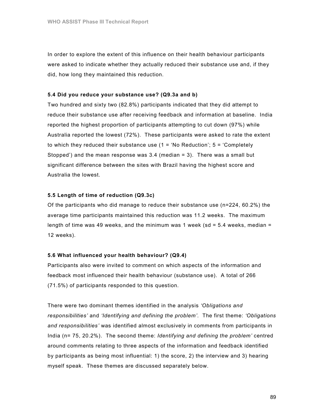In order to explore the extent of this influence on their health behaviour participants were asked to indicate whether they actually reduced their substance use and, if they did, how long they maintained this reduction.

#### 5.4 Did you reduce your substance use? (Q9.3a and b)

Two hundred and sixty two (82.8%) participants indicated that they did attempt to reduce their substance use after receiving feedback and information at baseline. India reported the highest proportion of participants attempting to cut down (97%) while Australia reported the lowest (72%). These participants were asked to rate the extent to which they reduced their substance use  $(1 = 'No Reduction'; 5 = 'Completely$ Stopped') and the mean response was 3.4 (median = 3). There was a small but significant difference between the sites with Brazil having the highest score and Australia the lowest.

### 5.5 Length of time of reduction (Q9.3c)

Of the participants who did manage to reduce their substance use (n=224, 60.2%) the average time participants maintained this reduction was 11.2 weeks. The maximum length of time was 49 weeks, and the minimum was 1 week (sd =  $5.4$  weeks, median = 12 weeks).

### 5.6 What influenced your health behaviour? (Q9.4)

Participants also were invited to comment on which aspects of the information and feedback most influenced their health behaviour (substance use). A total of 266 (71.5%) of participants responded to this question.

There were two dominant themes identified in the analysis 'Obligations and responsibilities' and 'Identifying and defining the problem'. The first theme: 'Obligations and responsibilities' was identified almost exclusively in comments from participants in India (n= 75, 20.2%). The second theme: Identifying and defining the problem' centred around comments relating to three aspects of the information and feedback identified by participants as being most influential: 1) the score, 2) the interview and 3) hearing myself speak. These themes are discussed separately below.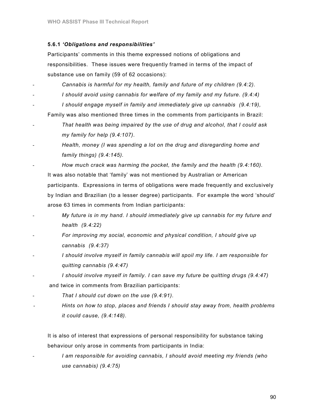### 5.6.1 'Obligations and responsibilities'

Participants' comments in this theme expressed notions of obligations and responsibilities. These issues were frequently framed in terms of the impact of substance use on family (59 of 62 occasions):

- Cannabis is harmful for my health, family and future of my children (9.4:2).
- I should avoid using cannabis for welfare of my family and my future.  $(9.4.4)$ 
	- I should engage myself in family and immediately give up cannabis  $(9.4:19)$ ,

Family was also mentioned three times in the comments from participants in Brazil:

- That health was being impaired by the use of drug and alcohol, that I could ask my family for help (9.4:107).
- Health, money (I was spending a lot on the drug and disregarding home and family things) (9.4:145).
- How much crack was harming the pocket, the family and the health (9.4:160). It was also notable that 'family' was not mentioned by Australian or American participants. Expressions in terms of obligations were made frequently and exclusively by Indian and Brazilian (to a lesser degree) participants. For example the word 'should' arose 63 times in comments from Indian participants:
- My future is in my hand. I should immediately give up cannabis for my future and health (9.4:22)
- For improving my social, economic and physical condition, I should give up cannabis (9.4:37)
- I should involve myself in family cannabis will spoil my life. I am responsible for quitting cannabis (9.4:47)
- I should involve myself in family. I can save my future be quitting drugs (9.4:47) and twice in comments from Brazilian participants:
- That I should cut down on the use  $(9.4:91)$ .
- Hints on how to stop, places and friends I should stay away from, health problems it could cause, (9.4:148).

It is also of interest that expressions of personal responsibility for substance taking behaviour only arose in comments from participants in India:

I am responsible for avoiding cannabis, I should avoid meeting my friends (who use cannabis) (9.4:75)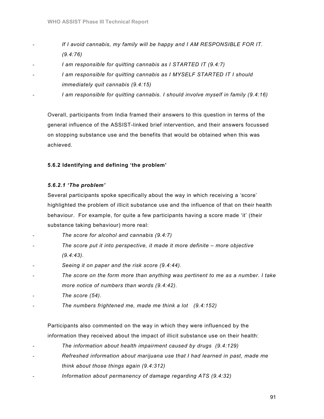- If I avoid cannabis, my family will be happy and I AM RESPONSIBLE FOR IT. (9.4:76)
- I am responsible for quitting cannabis as I STARTED IT (9.4:7)
- I am responsible for quitting cannabis as I MYSELF STARTED IT I should immediately quit cannabis (9.4:15)
- I am responsible for quitting cannabis. I should involve myself in family (9.4:16)

Overall, participants from India framed their answers to this question in terms of the general influence of the ASSIST-linked brief intervention, and their answers focussed on stopping substance use and the benefits that would be obtained when this was achieved.

## 5.6.2 Identifying and defining 'the problem'

## 5.6.2.1 'The problem'

Several participants spoke specifically about the way in which receiving a 'score' highlighted the problem of illicit substance use and the influence of that on their health behaviour. For example, for quite a few participants having a score made 'it' (their substance taking behaviour) more real:

- The score for alcohol and cannabis  $(9.4:7)$
- The score put it into perspective, it made it more definite  $-$  more objective  $(9.4:43)$ .
- Seeing it on paper and the risk score (9.4:44).
- The score on the form more than anything was pertinent to me as a number. I take more notice of numbers than words (9.4:42).
- The score  $(54)$ .
- The numbers frightened me, made me think a lot  $(9.4:152)$

Participants also commented on the way in which they were influenced by the information they received about the impact of illicit substance use on their health:

- The information about health impairment caused by drugs  $(9.4:129)$
- Refreshed information about marijuana use that I had learned in past, made me think about those things again (9.4:312)
- Information about permanency of damage regarding  $ATS (9.4:32)$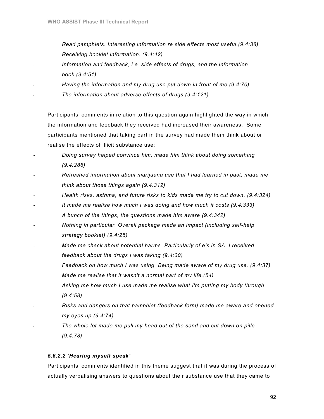- Read pamphlets. Interesting information re side effects most useful. (9.4:38)
- Receiving booklet information. (9.4:42)
- Information and feedback, i.e. side effects of drugs, and the information book.(9.4:51)
- Having the information and my drug use put down in front of me (9.4:70)
- The information about adverse effects of drugs  $(9.4:121)$

Participants' comments in relation to this question again highlighted the way in which the information and feedback they received had increased their awareness. Some participants mentioned that taking part in the survey had made them think about or realise the effects of illicit substance use:

- Doing survey helped convince him, made him think about doing something (9.4:286)
- Refreshed information about marijuana use that I had learned in past, made me think about those things again (9.4:312)
- Health risks, asthma, and future risks to kids made me try to cut down. (9.4:324)
- It made me realise how much I was doing and how much it costs  $(9.4.333)$
- A bunch of the things, the questions made him aware  $(9.4.342)$
- Nothing in particular. Overall package made an impact (including self-help strategy booklet) (9.4:25)
- Made me check about potential harms. Particularly of e's in SA. I received feedback about the drugs I was taking (9.4:30)
- Feedback on how much I was using. Being made aware of my drug use. (9.4:37)
- Made me realise that it wasn't a normal part of my life.(54)
- Asking me how much I use made me realise what I'm putting my body through (9.4:58)
- Risks and dangers on that pamphlet (feedback form) made me aware and opened my eyes up (9.4:74)
- The whole lot made me pull my head out of the sand and cut down on pills (9.4:78)

## 5.6.2.2 'Hearing myself speak'

Participants' comments identified in this theme suggest that it was during the process of actually verbalising answers to questions about their substance use that they came to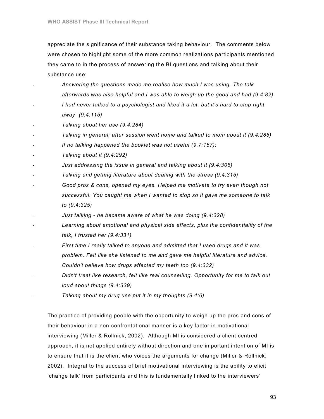appreciate the significance of their substance taking behaviour. The comments below were chosen to highlight some of the more common realizations participants mentioned they came to in the process of answering the BI questions and talking about their substance use:

- Answering the questions made me realise how much I was using. The talk afterwards was also helpful and I was able to weigh up the good and bad (9.4:82) I had never talked to a psychologist and liked it a lot, but it's hard to stop right away (9.4:115)
- Talking about her use (9.4:284)
- Talking in general; after session went home and talked to mom about it (9.4:285)
- If no talking happened the booklet was not useful  $(9.7:167)$ :
- Talking about it (9.4:292)
- Just addressing the issue in general and talking about it (9.4:306)
- Talking and getting literature about dealing with the stress (9.4:315)
- Good pros & cons, opened my eyes. Helped me motivate to try even though not successful. You caught me when I wanted to stop so it gave me someone to talk to (9.4:325)
- Just talking he became aware of what he was doing  $(9.4.328)$
- Learning about emotional and physical side effects, plus the confidentiality of the talk, I trusted her (9.4:331)
- First time I really talked to anyone and admitted that I used drugs and it was problem. Felt like she listened to me and gave me helpful literature and advice. Couldn't believe how drugs affected my teeth too (9.4:332)
- Didn't treat like research, felt like real counselling. Opportunity for me to talk out loud about things (9.4:339)
- Talking about my drug use put it in my thoughts. $(9.4:6)$

The practice of providing people with the opportunity to weigh up the pros and cons of their behaviour in a non-confrontational manner is a key factor in motivational interviewing (Miller & Rollnick, 2002). Although MI is considered a client centred approach, it is not applied entirely without direction and one important intention of MI is to ensure that it is the client who voices the arguments for change (Miller & Rollnick, 2002). Integral to the success of brief motivational interviewing is the ability to elicit 'change talk' from participants and this is fundamentally linked to the interviewers'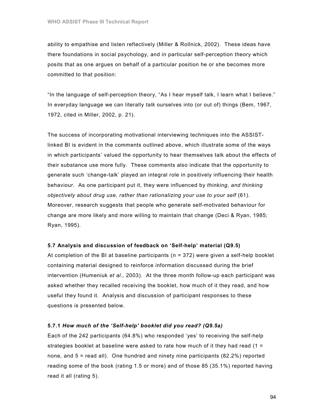ability to empathise and listen reflectively (Miller & Rollnick, 2002). These ideas have there foundations in social psychology, and in particular self-perception theory which posits that as one argues on behalf of a particular position he or she becomes more committed to that position:

"In the language of self-perception theory, "As I hear myself talk, I learn what I believe." In everyday language we can literally talk ourselves into (or out of) things (Bem, 1967, 1972, cited in Miller, 2002, p. 21).

The success of incorporating motivational interviewing techniques into the ASSISTlinked BI is evident in the comments outlined above, which illustrate some of the ways in which participants' valued the opportunity to hear themselves talk about the effects of their substance use more fully. These comments also indicate that the opportunity to generate such 'change-talk' played an integral role in positively influencing their health behaviour. As one participant put it, they were influenced by thinking, and thinking objectively about drug use, rather than rationalizing your use to your self (61). Moreover, research suggests that people who generate self-motivated behaviour for change are more likely and more willing to maintain that change (Deci & Ryan, 1985; Ryan, 1995).

#### 5.7 Analysis and discussion of feedback on 'Self-help' material (Q9.5)

At completion of the BI at baseline participants (n = 372) were given a self-help booklet containing material designed to reinforce information discussed during the brief intervention (Humeniuk et al., 2003). At the three month follow-up each participant was asked whether they recalled receiving the booklet, how much of it they read, and how useful they found it. Analysis and discussion of participant responses to these questions is presented below.

#### 5.7.1 How much of the 'Self-help' booklet did you read? (Q9.5a)

Each of the 242 participants (64.8%) who responded 'yes' to receiving the self-help strategies booklet at baseline were asked to rate how much of it they had read (1 = none, and 5 = read all). One hundred and ninety nine participants (82.2%) reported reading some of the book (rating 1.5 or more) and of those 85 (35.1%) reported having read it all (rating 5).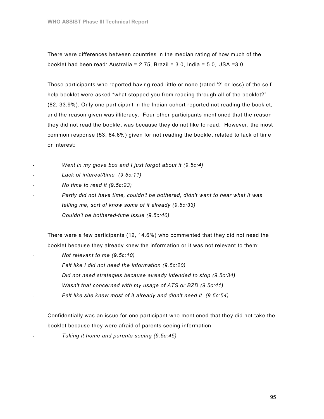There were differences between countries in the median rating of how much of the booklet had been read: Australia = 2.75, Brazil = 3.0, India = 5.0, USA =3.0.

Those participants who reported having read little or none (rated '2' or less) of the selfhelp booklet were asked "what stopped you from reading through all of the booklet?" (82, 33.9%). Only one participant in the Indian cohort reported not reading the booklet, and the reason given was illiteracy. Four other participants mentioned that the reason they did not read the booklet was because they do not like to read. However, the most common response (53, 64.6%) given for not reading the booklet related to lack of time or interest:

- Went in my glove box and I just forgot about it (9.5c:4)
- Lack of interest/time (9.5c:11)
- No time to read it (9.5c:23)
- Partly did not have time, couldn't be bothered, didn't want to hear what it was
- telling me, sort of know some of it already (9.5c:33)
- Couldn't be bothered-time issue (9.5c:40)

There were a few participants (12, 14.6%) who commented that they did not need the booklet because they already knew the information or it was not relevant to them:

- Not relevant to me (9.5c:10)
- Felt like I did not need the information (9.5c:20)
- Did not need strategies because already intended to stop (9.5c:34)
- Wasn't that concerned with my usage of ATS or BZD (9.5c:41)
- Felt like she knew most of it already and didn't need it (9.5c:54)

Confidentially was an issue for one participant who mentioned that they did not take the booklet because they were afraid of parents seeing information:

Taking it home and parents seeing (9.5c:45)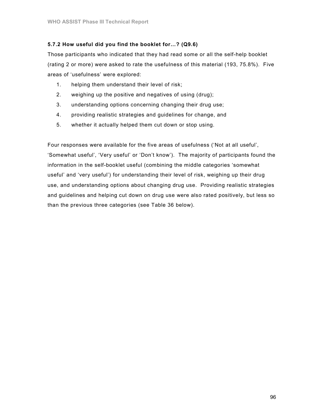## 5.7.2 How useful did you find the booklet for…? (Q9.6)

Those participants who indicated that they had read some or all the self-help booklet (rating 2 or more) were asked to rate the usefulness of this material (193, 75.8%). Five areas of 'usefulness' were explored:

- 1. helping them understand their level of risk;
- 2. weighing up the positive and negatives of using (drug);
- 3. understanding options concerning changing their drug use;
- 4. providing realistic strategies and guidelines for change, and
- 5. whether it actually helped them cut down or stop using.

Four responses were available for the five areas of usefulness ('Not at all useful', 'Somewhat useful', 'Very useful' or 'Don't know'). The majority of participants found the information in the self-booklet useful (combining the middle categories 'somewhat useful' and 'very useful') for understanding their level of risk, weighing up their drug use, and understanding options about changing drug use. Providing realistic strategies and guidelines and helping cut down on drug use were also rated positively, but less so than the previous three categories (see Table 36 below).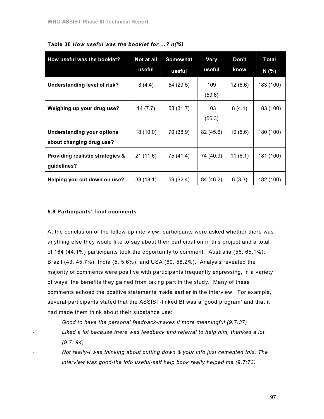| How useful was the booklet?       | Not at all | <b>Somewhat</b> | <b>Very</b> | Don't   | <b>Total</b> |  |
|-----------------------------------|------------|-----------------|-------------|---------|--------------|--|
|                                   | useful     | useful          | useful      | know    | N(% )        |  |
| Understanding level of risk?      | 8(4.4)     | 54 (29.5)       | 109         | 12(6.6) | 183 (100)    |  |
|                                   |            |                 | (59.6)      |         |              |  |
| Weighing up your drug use?        | 14 (7.7)   | 58 (31.7)       | 103         | 8(4.1)  | 183 (100)    |  |
|                                   |            |                 | (56.3)      |         |              |  |
| <b>Understanding your options</b> | 18(10.0)   | 70 (38.9)       | 82 (45.6)   | 10(5.6) | 180 (100)    |  |
| about changing drug use?          |            |                 |             |         |              |  |
| Providing realistic strategies &  | 21(11.6)   | 75 (41.4)       | 74 (40.9)   | 11(6.1) | 181 (100)    |  |
| guidelines?                       |            |                 |             |         |              |  |
| Helping you cut down on use?      | 33(18.1)   | 59 (32.4)       | 84 (46.2)   | 6(3.3)  | 182 (100)    |  |

Table 36 How useful was the booklet for …? n(%)

### 5.8 Participants' final comments

At the conclusion of the follow-up interview, participants were asked whether there was anything else they would like to say about their participation in this project and a total of 164 (44.1%) participants took the opportunity to comment: Australia (56, 65.1%); Brazil (43, 45.7%); India (5, 5.6%); and USA (60, 58.2%). Analysis revealed the majority of comments were positive with participants frequently expressing, in a variety of ways, the benefits they gained from taking part in the study. Many of these comments echoed the positive statements made earlier in the interview. For example, several participants stated that the ASSIST-linked BI was a 'good program' and that it had made them think about their substance use:

- Good to have the personal feedback-makes it more meaningful (9.7:37) Liked a lot because there was feedback and referral to help him, thanked a lot (9.7: 94)
- Not really-I was thinking about cutting down & your info just cemented this. The interview was good-the info useful-self help book really helped me (9.7:73)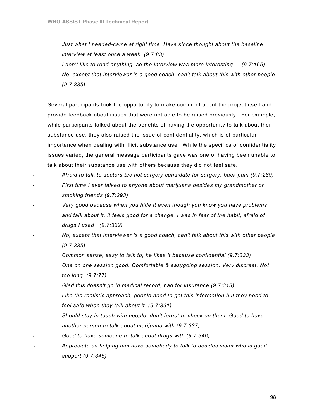- Just what I needed-came at right time. Have since thought about the baseline interview at least once a week (9.7:83)
- I don't like to read anything, so the interview was more interesting  $(9.7:165)$ 
	- No, except that interviewer is a good coach, can't talk about this with other people (9.7:335)

Several participants took the opportunity to make comment about the project itself and provide feedback about issues that were not able to be raised previously. For example, while participants talked about the benefits of having the opportunity to talk about their substance use, they also raised the issue of confidentiality, which is of particular importance when dealing with illicit substance use. While the specifics of confidentiality issues varied, the general message participants gave was one of having been unable to talk about their substance use with others because they did not feel safe.

- Afraid to talk to doctors b/c not surgery candidate for surgery, back pain (9.7:289) First time I ever talked to anyone about marijuana besides my grandmother or smoking friends (9.7:293)
- Very good because when you hide it even though you know you have problems and talk about it, it feels good for a change. I was in fear of the habit, afraid of drugs I used (9.7:332)
- No, except that interviewer is a good coach, can't talk about this with other people (9.7:335)
- Common sense, easy to talk to, he likes it because confidential (9.7:333)
- One on one session good. Comfortable & easygoing session. Very discreet. Not too long. (9.7:77)
- Glad this doesn't go in medical record, bad for insurance (9.7:313)
- Like the realistic approach, people need to get this information but they need to feel safe when they talk about it (9.7:331)
- Should stay in touch with people, don't forget to check on them. Good to have another person to talk about marijuana with.(9.7:337)
- Good to have someone to talk about drugs with (9.7:346)
- Appreciate us helping him have somebody to talk to besides sister who is good support (9.7:345)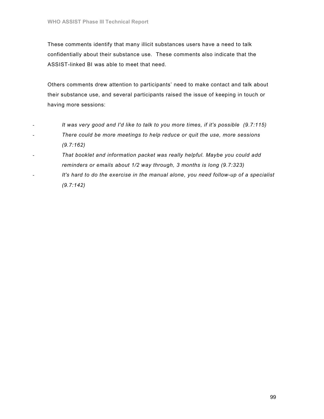These comments identify that many illicit substances users have a need to talk confidentially about their substance use. These comments also indicate that the ASSIST-linked BI was able to meet that need.

Others comments drew attention to participants' need to make contact and talk about their substance use, and several participants raised the issue of keeping in touch or having more sessions:

- It was very good and I'd like to talk to you more times, if it's possible (9.7:115) - There could be more meetings to help reduce or quit the use, more sessions (9.7:162)
- That booklet and information packet was really helpful. Maybe you could add reminders or emails about 1/2 way through, 3 months is long (9.7:323) It's hard to do the exercise in the manual alone, you need follow-up of a specialist (9.7:142)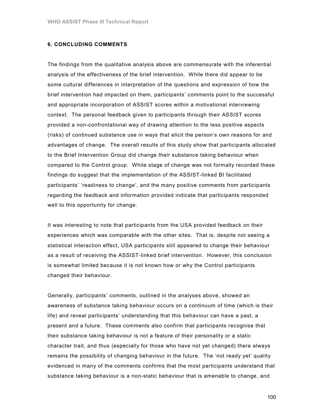#### 6. CONCLUDING COMMENTS

The findings from the qualitative analysis above are commensurate with the inferential analysis of the effectiveness of the brief intervention. While there did appear to be some cultural differences in interpretation of the questions and expression of how the brief intervention had impacted on them, participants' comments point to the successful and appropriate incorporation of ASSIST scores within a motivational interviewing context. The personal feedback given to participants through their ASSIST scores provided a non-confrontational way of drawing attention to the less positive aspects (risks) of continued substance use in ways that elicit the person's own reasons for and advantages of change. The overall results of this study show that participants allocated to the Brief Intervention Group did change their substance taking behaviour when compared to the Control group. While stage of change was not formally recorded these findings do suggest that the implementation of the ASSIST-linked BI facilitated participants' 'readiness to change', and the many positive comments from participants regarding the feedback and information provided indicate that participants responded well to this opportunity for change.

It was interesting to note that participants from the USA provided feedback on their experiences which was comparable with the other sites. That is, despite not seeing a statistical interaction effect, USA participants still appeared to change their behaviour as a result of receiving the ASSIST-linked brief intervention. However, this conclusion is somewhat limited because it is not known how or why the Control participants changed their behaviour.

Generally, participants' comments, outlined in the analyses above, showed an awareness of substance taking behaviour occurs on a continuum of time (which is their life) and reveal participants' understanding that this behaviour can have a past, a present and a future. These comments also confirm that participants recognise that their substance taking behaviour is not a feature of their personality or a static character trait, and thus (especially for those who have not yet changed) there always remains the possibility of changing behaviour in the future. The 'not ready yet' quality evidenced in many of the comments confirms that the most participants understand that substance taking behaviour is a non-static behaviour that is amenable to change, and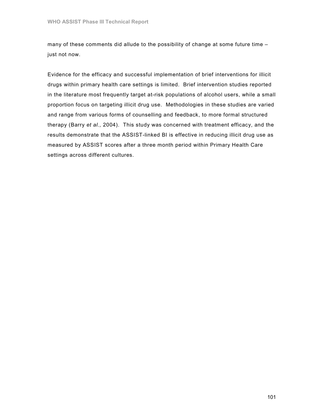many of these comments did allude to the possibility of change at some future time – just not now.

Evidence for the efficacy and successful implementation of brief interventions for illicit drugs within primary health care settings is limited. Brief intervention studies reported in the literature most frequently target at-risk populations of alcohol users, while a small proportion focus on targeting illicit drug use. Methodologies in these studies are varied and range from various forms of counselling and feedback, to more formal structured therapy (Barry et al., 2004). This study was concerned with treatment efficacy, and the results demonstrate that the ASSIST-linked BI is effective in reducing illicit drug use as measured by ASSIST scores after a three month period within Primary Health Care settings across different cultures.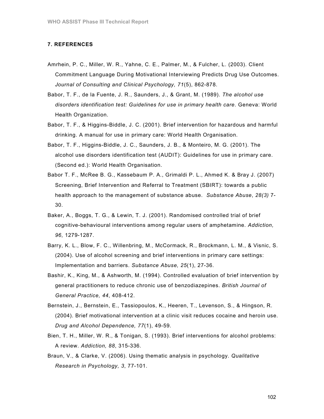#### 7. REFERENCES

- Amrhein, P. C., Miller, W. R., Yahne, C. E., Palmer, M., & Fulcher, L. (2003). Client Commitment Language During Motivational Interviewing Predicts Drug Use Outcomes. Journal of Consulting and Clinical Psychology, 71(5), 862-878.
- Babor, T. F., de la Fuente, J. R., Saunders, J., & Grant, M. (1989). The alcohol use disorders identification test: Guidelines for use in primary health care. Geneva: World Health Organization.
- Babor, T. F., & Higgins-Biddle, J. C. (2001). Brief intervention for hazardous and harmful drinking. A manual for use in primary care: World Health Organisation.
- Babor, T. F., Higgins-Biddle, J. C., Saunders, J. B., & Monteiro, M. G. (2001). The alcohol use disorders identification test (AUDIT): Guidelines for use in primary care. (Second ed.): World Health Organisation.
- Babor T. F., McRee B. G., Kassebaum P. A., Grimaldi P. L., Ahmed K. & Bray J. (2007) Screening, Brief Intervention and Referral to Treatment (SBIRT): towards a public health approach to the management of substance abuse. Substance Abuse, 28(3) 7-30.
- Baker, A., Boggs, T. G., & Lewin, T. J. (2001). Randomised controlled trial of brief cognitive-behavioural interventions among regular users of amphetamine. Addiction, 96, 1279-1287.
- Barry, K. L., Blow, F. C., Willenbring, M., McCormack, R., Brockmann, L. M., & Visnic, S. (2004). Use of alcohol screening and brief interventions in primary care settings: Implementation and barriers. Substance Abuse, 25(1), 27-36.
- Bashir, K., King, M., & Ashworth, M. (1994). Controlled evaluation of brief intervention by general practitioners to reduce chronic use of benzodiazepines. British Journal of General Practice, 44, 408-412.
- Bernstein, J., Bernstein, E., Tassiopoulos, K., Heeren, T., Levenson, S., & Hingson, R. (2004). Brief motivational intervention at a clinic visit reduces cocaine and heroin use. Drug and Alcohol Dependence, 77(1), 49-59.
- Bien, T. H., Miller, W. R., & Tonigan, S. (1993). Brief interventions for alcohol problems: A review. Addiction, 88, 315-336.
- Braun, V., & Clarke, V. (2006). Using thematic analysis in psychology. Qualitative Research in Psychology, 3, 77-101.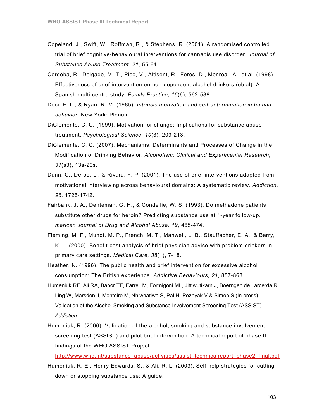- Copeland, J., Swift, W., Roffman, R., & Stephens, R. (2001). A randomised controlled trial of brief cognitive-behavioural interventions for cannabis use disorder. Journal of Substance Abuse Treatment, 21, 55-64.
- Cordoba, R., Delgado, M. T., Pico, V., Altisent, R., Fores, D., Monreal, A., et al. (1998). Effectiveness of brief intervention on non-dependent alcohol drinkers (ebial): A Spanish multi-centre study. Family Practice, 15(6), 562-588.
- Deci, E. L., & Ryan, R. M. (1985). Intrinsic motivation and self-determination in human behavior. New York: Plenum.
- DiClemente, C. C. (1999). Motivation for change: Implications for substance abuse treatment. Psychological Science, 10(3), 209-213.
- DiClemente, C. C. (2007). Mechanisms, Determinants and Processes of Change in the Modification of Drinking Behavior. Alcoholism: Clinical and Experimental Research, 31(s3), 13s-20s.
- Dunn, C., Deroo, L., & Rivara, F. P. (2001). The use of brief interventions adapted from motivational interviewing across behavioural domains: A systematic review. Addiction, 96, 1725-1742.
- Fairbank, J. A., Denteman, G. H., & Condellie, W. S. (1993). Do methadone patients substitute other drugs for heroin? Predicting substance use at 1-year follow-up. merican Journal of Drug and Alcohol Abuse, 19, 465-474.
- Fleming, M. F., Mundt, M. P., French, M. T., Manwell, L. B., Stauffacher, E. A., & Barry, K. L. (2000). Benefit-cost analysis of brief physician advice with problem drinkers in primary care settings. Medical Care, 38(1), 7-18.
- Heather, N. (1996). The public health and brief intervention for excessive alcohol consumption: The British experience. Addictive Behaviours, 21, 857-868.
- Humeniuk RE, Ali RA, Babor TF, Farrell M, Formigoni ML, Jittiwutikarn J, Boerngen de Larcerda R, Ling W, Marsden J, Monteiro M, Nhiwhatiwa S, Pal H, Poznyak V & Simon S (In press). Validation of the Alcohol Smoking and Substance Involvement Screening Test (ASSIST). **Addiction**
- Humeniuk, R. (2006). Validation of the alcohol, smoking and substance involvement screening test (ASSIST) and pilot brief intervention: A technical report of phase II findings of the WHO ASSIST Project.

http://www.who.int/substance\_abuse/activities/assist\_technicalreport\_phase2\_final.pdf

Humeniuk, R. E., Henry-Edwards, S., & Ali, R. L. (2003). Self-help strategies for cutting down or stopping substance use: A guide.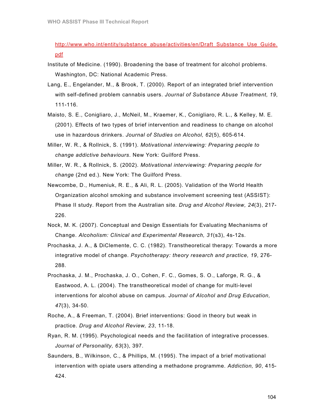http://www.who.int/entity/substance\_abuse/activities/en/Draft\_Substance\_Use\_Guide. pdf

- Institute of Medicine. (1990). Broadening the base of treatment for alcohol problems. Washington, DC: National Academic Press.
- Lang, E., Engelander, M., & Brook, T. (2000). Report of an integrated brief intervention with self-defined problem cannabis users. Journal of Substance Abuse Treatment, 19, 111-116.
- Maisto, S. E., Conigliaro, J., McNeil, M., Kraemer, K., Conigliaro, R. L., & Kelley, M. E. (2001). Effects of two types of brief intervention and readiness to change on alcohol use in hazardous drinkers. Journal of Studies on Alcohol, 62(5), 605-614.
- Miller, W. R., & Rollnick, S. (1991). Motivational interviewing: Preparing people to change addictive behaviours. New York: Guilford Press.
- Miller, W. R., & Rollnick, S. (2002). Motivational interviewing: Preparing people for change (2nd ed.). New York: The Guilford Press.
- Newcombe, D., Humeniuk, R. E., & Ali, R. L. (2005). Validation of the World Health Organization alcohol smoking and substance involvement screening test (ASSIST): Phase II study. Report from the Australian site. Drug and Alcohol Review, 24(3), 217-226.
- Nock, M. K. (2007). Conceptual and Design Essentials for Evaluating Mechanisms of Change. Alcoholism: Clinical and Experimental Research, 31(s3), 4s-12s.
- Prochaska, J. A., & DiClemente, C. C. (1982). Transtheoretical therapy: Towards a more integrative model of change. Psychotherapy: theory research and practice, 19, 276- 288.
- Prochaska, J. M., Prochaska, J. O., Cohen, F. C., Gomes, S. O., Laforge, R. G., & Eastwood, A. L. (2004). The transtheoretical model of change for multi-level interventions for alcohol abuse on campus. Journal of Alcohol and Drug Education, 47(3), 34-50.
- Roche, A., & Freeman, T. (2004). Brief interventions: Good in theory but weak in practice. Drug and Alcohol Review, 23, 11-18.
- Ryan, R. M. (1995). Psychological needs and the facilitation of integrative processes. Journal of Personality, 63(3), 397.
- Saunders, B., Wilkinson, C., & Phillips, M. (1995). The impact of a brief motivational intervention with opiate users attending a methadone programme. Addiction, 90, 415- 424.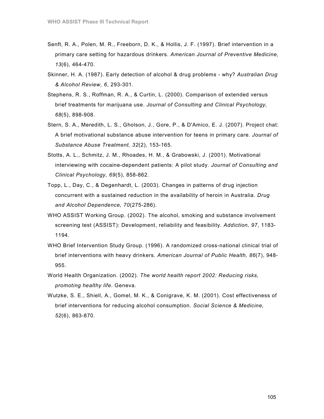- Senft, R. A., Polen, M. R., Freeborn, D. K., & Hollis, J. F. (1997). Brief intervention in a primary care setting for hazardous drinkers. American Journal of Preventive Medicine, 13(6), 464-470.
- Skinner, H. A. (1987). Early detection of alcohol & drug problems why? Australian Drug & Alcohol Review, 6, 293-301.
- Stephens, R. S., Roffman, R. A., & Curtin, L. (2000). Comparison of extended versus brief treatments for marijuana use. Journal of Consulting and Clinical Psychology, 68(5), 898-908.
- Stern, S. A., Meredith, L. S., Gholson, J., Gore, P., & D'Amico, E. J. (2007). Project chat: A brief motivational substance abuse intervention for teens in primary care. Journal of Substance Abuse Treatment, 32(2), 153-165.
- Stotts, A. L., Schmitz, J. M., Rhoades, H. M., & Grabowski, J. (2001). Motivational interviewing with cocaine-dependent patients: A pilot study. Journal of Consulting and Clinical Psychology, 69(5), 858-862.
- Topp, L., Day, C., & Degenhardt, L. (2003). Changes in patterns of drug injection concurrent with a sustained reduction in the availability of heroin in Australia. Drug and Alcohol Dependence, 70(275-286).
- WHO ASSIST Working Group. (2002). The alcohol, smoking and substance involvement screening test (ASSIST): Development, reliability and feasibility. Addiction, 97, 1183- 1194.
- WHO Brief Intervention Study Group. (1996). A randomized cross-national clinical trial of brief interventions with heavy drinkers. American Journal of Public Health, 86(7), 948- 955.
- World Health Organization. (2002). The world health report 2002: Reducing risks, promoting healthy life. Geneva.
- Wutzke, S. E., Shiell, A., Gomel, M. K., & Conigrave, K. M. (2001). Cost effectiveness of brief interventions for reducing alcohol consumption. Social Science & Medicine, 52(6), 863-870.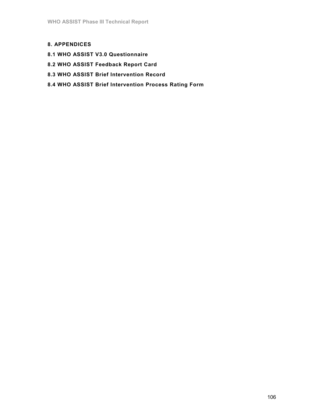## 8. APPENDICES

- 8.1 WHO ASSIST V3.0 Questionnaire
- 8.2 WHO ASSIST Feedback Report Card
- 8.3 WHO ASSIST Brief Intervention Record
- 8.4 WHO ASSIST Brief Intervention Process Rating Form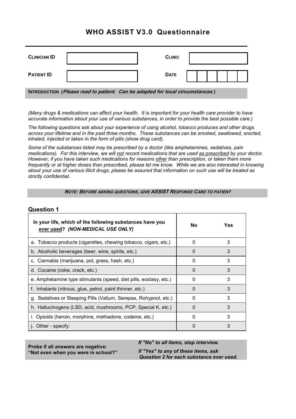# WHO ASSIST V3.0 Questionnaire

| <b>CLINICIAN ID</b>                                                           |  | <b>CLINIC</b> |  |  |  |  |
|-------------------------------------------------------------------------------|--|---------------|--|--|--|--|
| <b>PATIENT ID</b>                                                             |  | <b>DATE</b>   |  |  |  |  |
| INTRODUCTION (Please read to patient. Can be adapted for local circumstances) |  |               |  |  |  |  |

(Many drugs & medications can affect your health. It is important for your health care provider to have accurate information about your use of various substances, in order to provide the best possible care.)

The following questions ask about your experience of using alcohol, tobacco produces and other drugs across your lifetime and in the past three months. These substances can be smoked, swallowed, snorted, inhaled, injected or taken in the form of pills (show drug card).

Some of the substances listed may be prescribed by a doctor (like amphetamines, sedatives, pain medications). For this interview, we will not record medications that are used as prescribed by your doctor. However, if you have taken such medications for reasons other than prescription, or taken them more frequently or at higher doses than prescribed, please let me know. While we are also interested in knowing about your use of various illicit drugs, please be assured that information on such use will be treated as strictly confidential.

#### NOTE: BEFORE ASKING QUESTIONS, GIVE ASSIST RESPONSE CARD TO PATIENT

# Question 1

| In your life, which of the following substances have you<br>ever used? (NON-MEDICAL USE ONLY) | No.      | Yes |
|-----------------------------------------------------------------------------------------------|----------|-----|
| a. Tobacco products (cigarettes, chewing tobacco, cigars, etc.)                               | 0        | 3   |
| b. Alcoholic beverages (beer, wine, spirits, etc.)                                            | $\Omega$ | 3   |
| c. Cannabis (marijuana, pot, grass, hash, etc.)                                               | 0        | 3   |
| d. Cocaine (coke, crack, etc.)                                                                | $\Omega$ | 3   |
| e. Amphetamine type stimulants (speed, diet pills, ecstasy, etc.)                             | $\Omega$ | 3   |
| f. Inhalants (nitrous, glue, petrol, paint thinner, etc.)                                     | $\Omega$ | 3   |
| g. Sedatives or Sleeping Pills (Valium, Serepax, Rohypnol, etc.)                              | 0        | 3   |
| h. Hallucinogens (LSD, acid, mushrooms, PCP, Special K, etc.)                                 | $\Omega$ | 3   |
| i. Opioids (heroin, morphine, methadone, codeine, etc.)                                       | 0        | 3   |
| j. Other - specify:                                                                           | $\Omega$ | 3   |

Probe if all answers are negative: "Not even when you were in school?" If "No" to all items, stop interview.

If "Yes" to any of these items, ask Question 2 for each substance ever used.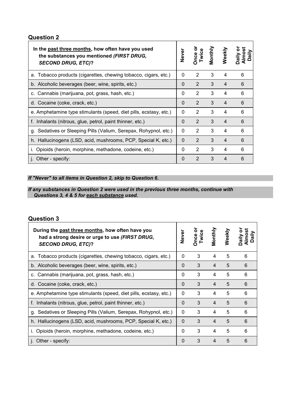# Question 2

| In the past three months, how often have you used<br>the substances you mentioned (FIRST DRUG,<br><b>SECOND DRUG, ETC)?</b> | Never    | Once or<br>Twice | Monthly | Weekly         | lmost<br>aily<br>Daily |
|-----------------------------------------------------------------------------------------------------------------------------|----------|------------------|---------|----------------|------------------------|
| a. Tobacco products (cigarettes, chewing tobacco, cigars, etc.)                                                             | 0        | 2                | 3       | 4              | 6                      |
| b. Alcoholic beverages (beer, wine, spirits, etc.)                                                                          | 0        | 2                | 3       | $\overline{4}$ | 6                      |
| c. Cannabis (marijuana, pot, grass, hash, etc.)                                                                             | 0        | $\overline{2}$   | 3       | 4              | 6                      |
| d. Cocaine (coke, crack, etc.)                                                                                              | 0        | 2                | 3       | 4              | 6                      |
| e. Amphetamine type stimulants (speed, diet pills, ecstasy, etc.)                                                           | 0        | 2                | 3       | 4              | 6                      |
| f. Inhalants (nitrous, glue, petrol, paint thinner, etc.)                                                                   | $\Omega$ | 2                | 3       | 4              | 6                      |
| g. Sedatives or Sleeping Pills (Valium, Serepax, Rohypnol, etc.)                                                            | 0        | 2                | 3       | 4              | 6                      |
| h. Hallucinogens (LSD, acid, mushrooms, PCP, Special K, etc.)                                                               | 0        | 2                | 3       | $\overline{4}$ | 6                      |
| i. Opioids (heroin, morphine, methadone, codeine, etc.)                                                                     | $\Omega$ | 2                | 3       | 4              | 6                      |
| j. Other - specify:                                                                                                         | 0        | 2                | 3       | 4              | 6                      |

## If "Never" to all items in Question 2, skip to Question 6.

If any substances in Question 2 were used in the previous three months, continue with Questions 3, 4 & 5 for each substance used.

# Question 3

| During the past three months, how often have you<br>had a strong desire or urge to use (FIRST DRUG,<br><b>SECOND DRUG, ETC)?</b> |          | ō<br><b>Twice</b><br>Once | Monthly | Weekly | lmost<br>aily<br>viip |
|----------------------------------------------------------------------------------------------------------------------------------|----------|---------------------------|---------|--------|-----------------------|
| a. Tobacco products (cigarettes, chewing tobacco, cigars, etc.)                                                                  | 0        | 3                         | 4       | 5      | 6                     |
| b. Alcoholic beverages (beer, wine, spirits, etc.)                                                                               | 0        | 3                         | 4       | 5      | 6                     |
| c. Cannabis (marijuana, pot, grass, hash, etc.)                                                                                  | 0        | 3                         | 4       | 5      | 6                     |
| d. Cocaine (coke, crack, etc.)                                                                                                   | 0        | 3                         | 4       | 5      | 6                     |
| e. Amphetamine type stimulants (speed, diet pills, ecstasy, etc.)                                                                | $\Omega$ | 3                         | 4       | 5      | 6                     |
| f. Inhalants (nitrous, glue, petrol, paint thinner, etc.)                                                                        | $\Omega$ | 3                         | 4       | 5      | 6                     |
| g. Sedatives or Sleeping Pills (Valium, Serepax, Rohypnol, etc.)                                                                 | 0        | 3                         | 4       | 5      | 6                     |
| h. Hallucinogens (LSD, acid, mushrooms, PCP, Special K, etc.)                                                                    | 0        | 3                         | 4       | 5      | 6                     |
| i. Opioids (heroin, morphine, methadone, codeine, etc.)                                                                          | 0        | 3                         | 4       | 5      | 6                     |
| j. Other - specify:                                                                                                              | 0        | 3                         | 4       | 5      | 6                     |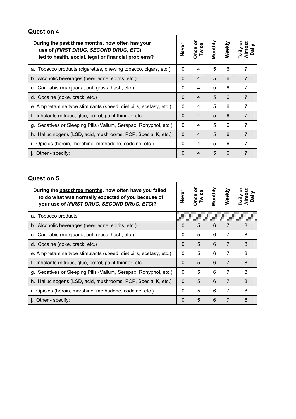## Question 4

| During the past three months, how often has your<br>use of (FIRST DRUG, SECOND DRUG, ETC)<br>led to health, social, legal or financial problems? | <b>Never</b> | ۰<br>Once o<br>Twice | Monthly | Weekly | lmost<br>Μi<br>viip |
|--------------------------------------------------------------------------------------------------------------------------------------------------|--------------|----------------------|---------|--------|---------------------|
| a. Tobacco products (cigarettes, chewing tobacco, cigars, etc.)                                                                                  | $\Omega$     | 4                    | 5       | 6      |                     |
| b. Alcoholic beverages (beer, wine, spirits, etc.)                                                                                               | 0            | 4                    | 5       | 6      |                     |
| c. Cannabis (marijuana, pot, grass, hash, etc.)                                                                                                  | 0            | 4                    | 5       | 6      |                     |
| d. Cocaine (coke, crack, etc.)                                                                                                                   | 0            | 4                    | 5       | 6      |                     |
| e. Amphetamine type stimulants (speed, diet pills, ecstasy, etc.)                                                                                | 0            | 4                    | 5       | 6      |                     |
| f. Inhalants (nitrous, glue, petrol, paint thinner, etc.)                                                                                        | 0            | 4                    | 5       | 6      | 7                   |
| g. Sedatives or Sleeping Pills (Valium, Serepax, Rohypnol, etc.)                                                                                 | 0            | 4                    | 5       | 6      |                     |
| h. Hallucinogens (LSD, acid, mushrooms, PCP, Special K, etc.)                                                                                    | 0            | 4                    | 5       | 6      |                     |
| Opioids (heroin, morphine, methadone, codeine, etc.)                                                                                             | $\Omega$     | 4                    | 5       | 6      | 7                   |
| j. Other - specify:                                                                                                                              | 0            | 4                    | 5       | 6      |                     |

## Question 5

| During the past three months, how often have you failed<br>to do what was normally expected of you because of<br>your use of (FIRST DRUG, SECOND DRUG, ETC)? | <b>Never</b> | Once or<br>Twice | Monthly | Weekly | Nmo<br>Nire |
|--------------------------------------------------------------------------------------------------------------------------------------------------------------|--------------|------------------|---------|--------|-------------|
| a. Tobacco products                                                                                                                                          |              |                  |         |        |             |
| b. Alcoholic beverages (beer, wine, spirits, etc.)                                                                                                           | 0            | 5                | 6       | 7      | 8           |
| c. Cannabis (marijuana, pot, grass, hash, etc.)                                                                                                              | 0            | 5                | 6       | 7      | 8           |
| d. Cocaine (coke, crack, etc.)                                                                                                                               | $\Omega$     | 5                | 6       | 7      | 8           |
| e. Amphetamine type stimulants (speed, diet pills, ecstasy, etc.)                                                                                            | 0            | 5                | 6       | 7      | 8           |
| f. Inhalants (nitrous, glue, petrol, paint thinner, etc.)                                                                                                    | 0            | 5                | 6       | 7      | 8           |
| g. Sedatives or Sleeping Pills (Valium, Serepax, Rohypnol, etc.)                                                                                             | 0            | 5                | 6       | 7      | 8           |
| h. Hallucinogens (LSD, acid, mushrooms, PCP, Special K, etc.)                                                                                                | 0            | 5                | 6       | 7      | 8           |
| Opioids (heroin, morphine, methadone, codeine, etc.)                                                                                                         | 0            | 5                | 6       | 7      | 8           |
| j. Other - specify:                                                                                                                                          | 0            | 5                | 6       | 7      | 8           |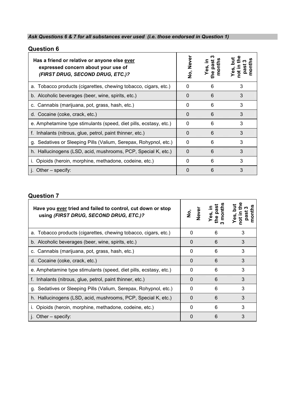Ask Questions 6 & 7 for all substances ever used (i.e. those endorsed in Question 1)

| <b>Question 6</b>                                                                                                       |           |                    |   |  |  |  |  |
|-------------------------------------------------------------------------------------------------------------------------|-----------|--------------------|---|--|--|--|--|
| Has a friend or relative or anyone else ever<br>expressed concern about your use of<br>(FIRST DRUG, SECOND DRUG, ETC.)? | No, Never | months<br>the past |   |  |  |  |  |
| a. Tobacco products (cigarettes, chewing tobacco, cigars, etc.)                                                         | 0         | 6                  | 3 |  |  |  |  |
| b. Alcoholic beverages (beer, wine, spirits, etc.)                                                                      | 0         | 6                  | 3 |  |  |  |  |
| c. Cannabis (marijuana, pot, grass, hash, etc.)                                                                         | 0         | 6                  | 3 |  |  |  |  |
| d. Cocaine (coke, crack, etc.)                                                                                          | 0         | 6                  | 3 |  |  |  |  |
| e. Amphetamine type stimulants (speed, diet pills, ecstasy, etc.)                                                       | 0         | 6                  | 3 |  |  |  |  |
| f. Inhalants (nitrous, glue, petrol, paint thinner, etc.)                                                               | 0         | 6                  | 3 |  |  |  |  |
| g. Sedatives or Sleeping Pills (Valium, Serepax, Rohypnol, etc.)                                                        | 0         | 6                  | 3 |  |  |  |  |
| h. Hallucinogens (LSD, acid, mushrooms, PCP, Special K, etc.)                                                           | 0         | 6                  | 3 |  |  |  |  |
| i. Opioids (heroin, morphine, methadone, codeine, etc.)                                                                 | 0         | 6                  | 3 |  |  |  |  |
| j. Other $-$ specify:                                                                                                   | 0         | 6                  | 3 |  |  |  |  |

## Question 7

| <b>Question 7</b>                                                                                     |                             |   |   |
|-------------------------------------------------------------------------------------------------------|-----------------------------|---|---|
| Have you ever tried and failed to control, cut down or stop<br>using (FIRST DRUG, SECOND DRUG, ETC.)? | Never<br>$\dot{\mathsf{S}}$ |   |   |
| a. Tobacco products (cigarettes, chewing tobacco, cigars, etc.)                                       | 0                           | 6 | 3 |
| b. Alcoholic beverages (beer, wine, spirits, etc.)                                                    | 0                           | 6 | 3 |
| c. Cannabis (marijuana, pot, grass, hash, etc.)                                                       | $\Omega$                    | 6 | 3 |
| d. Cocaine (coke, crack, etc.)                                                                        | $\Omega$                    | 6 | 3 |
| e. Amphetamine type stimulants (speed, diet pills, ecstasy, etc.)                                     | $\Omega$                    | 6 | 3 |
| f. Inhalants (nitrous, glue, petrol, paint thinner, etc.)                                             | $\Omega$                    | 6 | 3 |
| g. Sedatives or Sleeping Pills (Valium, Serepax, Rohypnol, etc.)                                      | 0                           | 6 | 3 |
| h. Hallucinogens (LSD, acid, mushrooms, PCP, Special K, etc.)                                         | 0                           | 6 | 3 |
| Opioids (heroin, morphine, methadone, codeine, etc.)                                                  | $\Omega$                    | 6 | 3 |
| Other $-$ specify:                                                                                    | 0                           | 6 | 3 |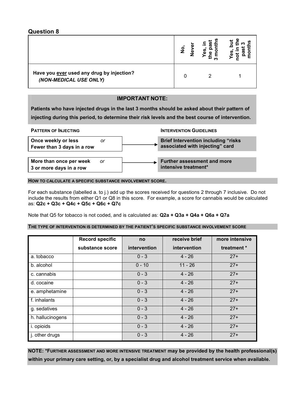| QUESHOIL 0                                                          |                                     |   |  |
|---------------------------------------------------------------------|-------------------------------------|---|--|
|                                                                     | ω<br>$\frac{1}{2}$<br>$\frac{9}{2}$ | ണ |  |
| Have you ever used any drug by injection?<br>(NON-MEDICAL USE ONLY) |                                     | ⌒ |  |

## IMPORTANT NOTE:

Patients who have injected drugs in the last 3 months should be asked about their pattern of injecting during this period, to determine their risk levels and the best course of intervention.

| <b>PATTERN OF INJECTING</b>                        |    | <b>INTERVENTION GUIDELINES</b>                                                |
|----------------------------------------------------|----|-------------------------------------------------------------------------------|
| Once weekly or less<br>Fewer than 3 days in a row  | or | <b>Brief Intervention including "risks</b><br>associated with injecting" card |
| More than once per week<br>3 or more days in a row | or | <b>Further assessment and more</b><br>intensive treatment*                    |

HOW TO CALCULATE A SPECIFIC SUBSTANCE INVOLVEMENT SCORE.

For each substance (labelled a. to j.) add up the scores received for questions 2 through 7 inclusive. Do not include the results from either Q1 or Q8 in this score. For example, a score for cannabis would be calculated as: Q2c + Q3c + Q4c + Q5c + Q6c + Q7c

Note that Q5 for tobacco is not coded, and is calculated as: Q2a + Q3a + Q4a + Q6a + Q7a

#### THE TYPE OF INTERVENTION IS DETERMINED BY THE PATIENT'S SPECIFIC SUBSTANCE INVOLVEMENT SCORE

|                  | <b>Record specific</b> | no           | receive brief | more intensive |
|------------------|------------------------|--------------|---------------|----------------|
|                  | substance score        | intervention | intervention  | treatment *    |
| a. tobacco       |                        | $0 - 3$      | $4 - 26$      | $27+$          |
| b. alcohol       |                        | $0 - 10$     | $11 - 26$     | $27+$          |
| c. cannabis      |                        | $0 - 3$      | $4 - 26$      | $27+$          |
| d. cocaine       |                        | $0 - 3$      | $4 - 26$      | $27+$          |
| e. amphetamine   |                        | $0 - 3$      | $4 - 26$      | $27+$          |
| f. inhalants     |                        | $0 - 3$      | $4 - 26$      | $27+$          |
| g. sedatives     |                        | $0 - 3$      | $4 - 26$      | $27+$          |
| h. hallucinogens |                        | $0 - 3$      | $4 - 26$      | $27+$          |
| i. opioids       |                        | $0 - 3$      | $4 - 26$      | $27+$          |
| j. other drugs   |                        | $0 - 3$      | $4 - 26$      | $27+$          |

NOTE: \*FURTHER ASSESSMENT AND MORE INTENSIVE TREATMENT may be provided by the health professional(s) within your primary care setting, or, by a specialist drug and alcohol treatment service when available.

## Question<sup>0</sup>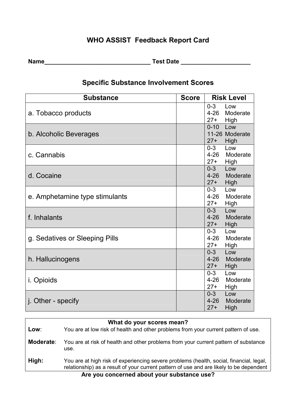# WHO ASSIST Feedback Report Card

Name\_\_\_\_\_\_\_\_\_\_\_\_\_\_\_\_\_\_\_\_\_\_\_\_\_\_\_\_\_\_\_\_ Test Date \_\_\_\_\_\_\_\_\_\_\_\_\_\_\_\_\_\_\_\_\_

Specific Substance Involvement Scores

| <b>Substance</b>               | <b>Score</b> |                              | <b>Risk Level</b>             |
|--------------------------------|--------------|------------------------------|-------------------------------|
| a. Tobacco products            |              | $0 - 3$<br>$4 - 26$<br>$27+$ | I ow<br>Moderate<br>High      |
| b. Alcoholic Beverages         |              | $0 - 10$<br>$27+$            | Low<br>11-26 Moderate<br>High |
| c. Cannabis                    |              | $0 - 3$<br>$27+$             | Low<br>4-26 Moderate<br>High  |
| d. Cocaine                     |              | $0 - 3$<br>$27+$             | Low<br>4-26 Moderate<br>High  |
| e. Amphetamine type stimulants |              | $0 - 3$<br>$27+$             | Low<br>4-26 Moderate<br>High  |
| f. Inhalants                   |              | $0 - 3$<br>$27+$             | Low<br>4-26 Moderate<br>High  |
| g. Sedatives or Sleeping Pills |              | $0 - 3$<br>$27+$             | Low<br>4-26 Moderate<br>High  |
| h. Hallucinogens               |              | $0 - 3$<br>$4 - 26$<br>$27+$ | Low<br>Moderate<br>High       |
| <i>i.</i> Opioids              |              | $0 - 3$<br>$4 - 26$<br>$27+$ | Low<br>Moderate<br>High       |
| j. Other - specify             |              | $0 - 3$<br>$4 - 26$<br>$27+$ | Low<br>Moderate<br>High       |

| What do your scores mean?                   |                                                                                                                                                                                    |  |  |  |  |  |
|---------------------------------------------|------------------------------------------------------------------------------------------------------------------------------------------------------------------------------------|--|--|--|--|--|
| Low:                                        | You are at low risk of health and other problems from your current pattern of use.                                                                                                 |  |  |  |  |  |
| Moderate:                                   | You are at risk of health and other problems from your current pattern of substance<br>use.                                                                                        |  |  |  |  |  |
| High:                                       | You are at high risk of experiencing severe problems (health, social, financial, legal,<br>relationship) as a result of your current pattern of use and are likely to be dependent |  |  |  |  |  |
| Are vou concerned about your substance use? |                                                                                                                                                                                    |  |  |  |  |  |

Are you concerned about your substance use?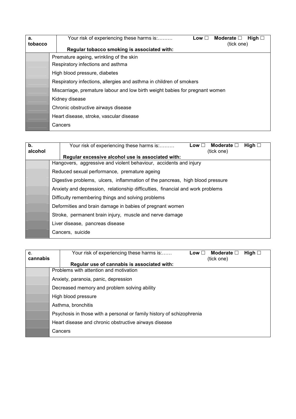| a.<br>tobacco | Your risk of experiencing these harms is:<br>Moderate $\square$<br>High $\Box$<br>Low $\square$<br>(tick one) |
|---------------|---------------------------------------------------------------------------------------------------------------|
|               | Regular tobacco smoking is associated with:                                                                   |
|               | Premature ageing, wrinkling of the skin                                                                       |
|               | Respiratory infections and asthma                                                                             |
|               | High blood pressure, diabetes                                                                                 |
|               | Respiratory infections, allergies and asthma in children of smokers                                           |
|               | Miscarriage, premature labour and low birth weight babies for pregnant women                                  |
|               | Kidney disease                                                                                                |
|               | Chronic obstructive airways disease                                                                           |
|               | Heart disease, stroke, vascular disease                                                                       |
|               | Cancers                                                                                                       |

| b.<br>alcohol | Your risk of experiencing these harms is:                                      | Moderate $\square$<br>High $\square$<br>Low $\square$<br>(tick one) |
|---------------|--------------------------------------------------------------------------------|---------------------------------------------------------------------|
|               | Regular excessive alcohol use is associated with:                              |                                                                     |
|               | Hangovers, aggressive and violent behaviour, accidents and injury              |                                                                     |
|               | Reduced sexual performance, premature ageing                                   |                                                                     |
|               | Digestive problems, ulcers, inflammation of the pancreas, high blood pressure  |                                                                     |
|               | Anxiety and depression, relationship difficulties, financial and work problems |                                                                     |
|               | Difficulty remembering things and solving problems                             |                                                                     |
|               | Deformities and brain damage in babies of pregnant women                       |                                                                     |
|               | Stroke, permanent brain injury, muscle and nerve damage                        |                                                                     |
|               | Liver disease, pancreas disease                                                |                                                                     |
|               | Cancers, suicide                                                               |                                                                     |

| C.<br>cannabis | Your risk of experiencing these harms is:                             | Low $\square$ | Moderate $\square$<br>(tick one) | High $\Box$ |
|----------------|-----------------------------------------------------------------------|---------------|----------------------------------|-------------|
|                | Regular use of cannabis is associated with:                           |               |                                  |             |
|                | Problems with attention and motivation                                |               |                                  |             |
|                | Anxiety, paranoia, panic, depression                                  |               |                                  |             |
|                | Decreased memory and problem solving ability                          |               |                                  |             |
|                | High blood pressure                                                   |               |                                  |             |
|                | Asthma, bronchitis                                                    |               |                                  |             |
|                | Psychosis in those with a personal or family history of schizophrenia |               |                                  |             |
|                | Heart disease and chronic obstructive airways disease                 |               |                                  |             |
|                | Cancers                                                               |               |                                  |             |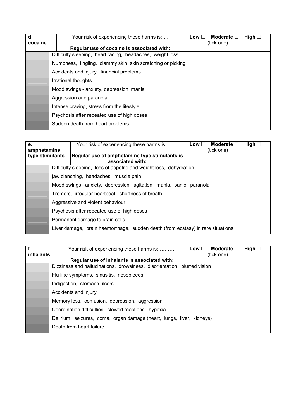| d.<br>cocaine | Your risk of experiencing these harms is:                   | High $\Box$<br>Moderate $\square$<br>Low $\Box$ |  |  |  |  |  |  |
|---------------|-------------------------------------------------------------|-------------------------------------------------|--|--|--|--|--|--|
|               | Regular use of cocaine is associated with:                  | (tick one)                                      |  |  |  |  |  |  |
|               | Difficulty sleeping, heart racing, headaches, weight loss   |                                                 |  |  |  |  |  |  |
|               | Numbness, tingling, clammy skin, skin scratching or picking |                                                 |  |  |  |  |  |  |
|               | Accidents and injury, financial problems                    |                                                 |  |  |  |  |  |  |
|               | Irrational thoughts                                         |                                                 |  |  |  |  |  |  |
|               | Mood swings - anxiety, depression, mania                    |                                                 |  |  |  |  |  |  |
|               | Aggression and paranoia                                     |                                                 |  |  |  |  |  |  |
|               | Intense craving, stress from the lifestyle                  |                                                 |  |  |  |  |  |  |
|               | Psychosis after repeated use of high doses                  |                                                 |  |  |  |  |  |  |
|               | Sudden death from heart problems                            |                                                 |  |  |  |  |  |  |

| е.<br>amphetamine<br>type stimulants |                                                                                 | Your risk of experiencing these harms is:<br>Regular use of amphetamine type stimulants is<br>associated with: | Moderate $\square$<br>High $\Box$<br>Low $\square$<br>(tick one) |  |  |  |  |  |  |  |
|--------------------------------------|---------------------------------------------------------------------------------|----------------------------------------------------------------------------------------------------------------|------------------------------------------------------------------|--|--|--|--|--|--|--|
|                                      |                                                                                 | Difficulty sleeping, loss of appetite and weight loss, dehydration                                             |                                                                  |  |  |  |  |  |  |  |
|                                      |                                                                                 | jaw clenching, headaches, muscle pain                                                                          |                                                                  |  |  |  |  |  |  |  |
|                                      |                                                                                 | Mood swings - anxiety, depression, agitation, mania, panic, paranoia                                           |                                                                  |  |  |  |  |  |  |  |
|                                      |                                                                                 | Tremors, irregular heartbeat, shortness of breath                                                              |                                                                  |  |  |  |  |  |  |  |
|                                      |                                                                                 | Aggressive and violent behaviour                                                                               |                                                                  |  |  |  |  |  |  |  |
|                                      | Psychosis after repeated use of high doses                                      |                                                                                                                |                                                                  |  |  |  |  |  |  |  |
|                                      |                                                                                 | Permanent damage to brain cells                                                                                |                                                                  |  |  |  |  |  |  |  |
|                                      | Liver damage, brain haemorrhage, sudden death (from ecstasy) in rare situations |                                                                                                                |                                                                  |  |  |  |  |  |  |  |

| f.<br>inhalants |                                                      | Your risk of experiencing these harms is:<br>Moderate $\square$<br>High $\Box$<br>Low $\Box$<br>(tick one) |  |  |  |  |  |  |
|-----------------|------------------------------------------------------|------------------------------------------------------------------------------------------------------------|--|--|--|--|--|--|
|                 |                                                      | Regular use of inhalants is associated with:                                                               |  |  |  |  |  |  |
|                 |                                                      | Dizziness and hallucinations, drowsiness, disorientation, blurred vision                                   |  |  |  |  |  |  |
|                 |                                                      | Flu like symptoms, sinusitis, nosebleeds                                                                   |  |  |  |  |  |  |
|                 |                                                      | Indigestion, stomach ulcers                                                                                |  |  |  |  |  |  |
|                 |                                                      | Accidents and injury                                                                                       |  |  |  |  |  |  |
|                 |                                                      | Memory loss, confusion, depression, aggression                                                             |  |  |  |  |  |  |
|                 | Coordination difficulties, slowed reactions, hypoxia |                                                                                                            |  |  |  |  |  |  |
|                 |                                                      | Delirium, seizures, coma, organ damage (heart, lungs, liver, kidneys)                                      |  |  |  |  |  |  |
|                 |                                                      | Death from heart failure                                                                                   |  |  |  |  |  |  |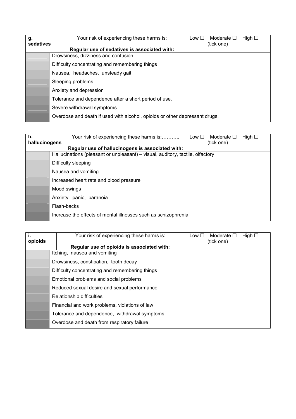| g.<br>sedatives |                                                       | Your risk of experiencing these harms is:                                   | Low $\square$ | Moderate $\square$<br>(tick one) | High $\Box$ |  |  |  |  |
|-----------------|-------------------------------------------------------|-----------------------------------------------------------------------------|---------------|----------------------------------|-------------|--|--|--|--|
|                 |                                                       | Regular use of sedatives is associated with:                                |               |                                  |             |  |  |  |  |
|                 |                                                       | Drowsiness, dizziness and confusion                                         |               |                                  |             |  |  |  |  |
|                 |                                                       | Difficulty concentrating and remembering things                             |               |                                  |             |  |  |  |  |
|                 | Nausea, headaches, unsteady gait                      |                                                                             |               |                                  |             |  |  |  |  |
|                 |                                                       | Sleeping problems                                                           |               |                                  |             |  |  |  |  |
|                 |                                                       | Anxiety and depression                                                      |               |                                  |             |  |  |  |  |
|                 | Tolerance and dependence after a short period of use. |                                                                             |               |                                  |             |  |  |  |  |
|                 |                                                       | Severe withdrawal symptoms                                                  |               |                                  |             |  |  |  |  |
|                 |                                                       | Overdose and death if used with alcohol, opioids or other depressant drugs. |               |                                  |             |  |  |  |  |

| h.<br>hallucinogens                              |                                                                                | Your risk of experiencing these harms is: | Low I | Moderate $\square$<br>(tick one) | High $\Box$ |  |  |  |  |  |  |
|--------------------------------------------------|--------------------------------------------------------------------------------|-------------------------------------------|-------|----------------------------------|-------------|--|--|--|--|--|--|
| Regular use of hallucinogens is associated with: |                                                                                |                                           |       |                                  |             |  |  |  |  |  |  |
|                                                  | Hallucinations (pleasant or unpleasant) – visual, auditory, tactile, olfactory |                                           |       |                                  |             |  |  |  |  |  |  |
|                                                  |                                                                                | Difficulty sleeping                       |       |                                  |             |  |  |  |  |  |  |
|                                                  |                                                                                | Nausea and vomiting                       |       |                                  |             |  |  |  |  |  |  |
|                                                  |                                                                                | Increased heart rate and blood pressure   |       |                                  |             |  |  |  |  |  |  |
|                                                  | Mood swings                                                                    |                                           |       |                                  |             |  |  |  |  |  |  |
|                                                  | Anxiety, panic, paranoia                                                       |                                           |       |                                  |             |  |  |  |  |  |  |
|                                                  | Flash-backs                                                                    |                                           |       |                                  |             |  |  |  |  |  |  |
|                                                  | Increase the effects of mental illnesses such as schizophrenia                 |                                           |       |                                  |             |  |  |  |  |  |  |

| opioids | Your risk of experiencing these harms is:       | Low $\square$<br>(tick one) | High $\Box$<br>Moderate $\square$ |  |  |  |  |  |
|---------|-------------------------------------------------|-----------------------------|-----------------------------------|--|--|--|--|--|
|         | Regular use of opioids is associated with:      |                             |                                   |  |  |  |  |  |
|         | Itching, nausea and vomiting                    |                             |                                   |  |  |  |  |  |
|         | Drowsiness, constipation, tooth decay           |                             |                                   |  |  |  |  |  |
|         | Difficulty concentrating and remembering things |                             |                                   |  |  |  |  |  |
|         | Emotional problems and social problems          |                             |                                   |  |  |  |  |  |
|         | Reduced sexual desire and sexual performance    |                             |                                   |  |  |  |  |  |
|         | Relationship difficulties                       |                             |                                   |  |  |  |  |  |
|         | Financial and work problems, violations of law  |                             |                                   |  |  |  |  |  |
|         | Tolerance and dependence, withdrawal symptoms   |                             |                                   |  |  |  |  |  |
|         | Overdose and death from respiratory failure     |                             |                                   |  |  |  |  |  |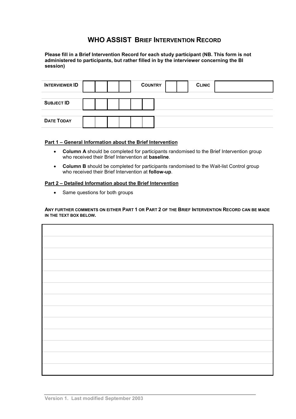## WHO ASSIST BRIEF INTERVENTION RECORD

Please fill in a Brief Intervention Record for each study participant (NB. This form is not administered to participants, but rather filled in by the interviewer concerning the BI session)

| <b>INTERVIEWER ID</b> |  |  | <b>COUNTRY</b> |  | <b>CLINIC</b> |  |
|-----------------------|--|--|----------------|--|---------------|--|
| <b>SUBJECT ID</b>     |  |  |                |  |               |  |
| <b>DATE TODAY</b>     |  |  |                |  |               |  |

#### Part 1 – General Information about the Brief Intervention

- Column A should be completed for participants randomised to the Brief Intervention group who received their Brief Intervention at **baseline**.
- Column B should be completed for participants randomised to the Wait-list Control group who received their Brief Intervention at **follow-up**.

#### Part 2 – Detailed Information about the Brief Intervention

• Same questions for both groups

ANY FURTHER COMMENTS ON EITHER PART 1 OR PART 2 OF THE BRIEF INTERVENTION RECORD CAN BE MADE IN THE TEXT BOX BELOW.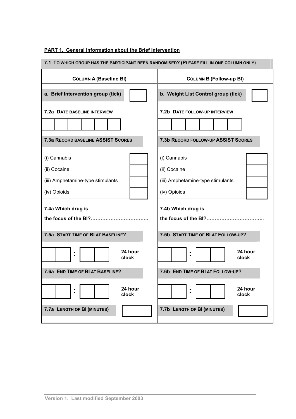## PART 1. General Information about the Brief Intervention

| 7.1 TO WHICH GROUP HAS THE PARTICIPANT BEEN RANDOMISED? (PLEASE FILL IN ONE COLUMN ONLY) |                                                                                   |
|------------------------------------------------------------------------------------------|-----------------------------------------------------------------------------------|
| <b>COLUMN A (Baseline BI)</b>                                                            | <b>COLUMN B (Follow-up BI)</b>                                                    |
| a. Brief Intervention group (tick)                                                       | b. Weight List Control group (tick)                                               |
| <b>7.2a DATE BASELINE INTERVIEW</b><br>7.3a RECORD BASELINE ASSIST SCORES                | 7.2b DATE FOLLOW-UP INTERVIEW<br>7.3b RECORD FOLLOW-UP ASSIST SCORES              |
| (i) Cannabis<br>(ii) Cocaine<br>(iii) Amphetamine-type stimulants<br>(iv) Opioids        | (i) Cannabis<br>(ii) Cocaine<br>(iii) Amphetamine-type stimulants<br>(iv) Opioids |
| 7.4a Which drug is<br>the focus of the BI?                                               | 7.4b Which drug is<br>the focus of the BI?                                        |
| 7.5a START TIME OF BI AT BASELINE?                                                       | 7.5b START TIME OF BI AT FOLLOW-UP?                                               |
| 24 hour<br>٠<br>clock                                                                    | 24 hour<br>clock                                                                  |
| 7.6a END TIME OF BI AT BASELINE?                                                         | 7.6b END TIME OF BI AT FOLLOW-UP?                                                 |
| 24 hour<br>٠<br>$\blacksquare$<br>clock<br>7.7a LENGTH OF BI (MINUTES)                   | 24 hour<br>$\blacksquare$<br>clock<br>7.7b LENGTH OF BI (MINUTES)                 |
|                                                                                          |                                                                                   |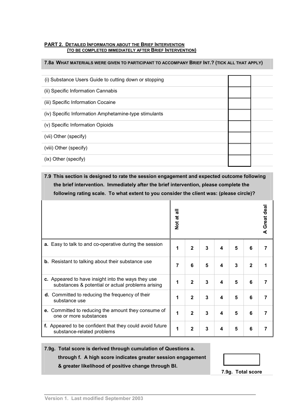#### PART 2. DETAILED INFORMATION ABOUT THE BRIEF INTERVENTION (TO BE COMPLETED IMMEDIATELY AFTER BRIEF INTERVENTION)

#### 7.8a WHAT MATERIALS WERE GIVEN TO PARTICIPANT TO ACCOMPANY BRIEF INT.? (TICK ALL THAT APPLY)

| (i) Substance Users Guide to cutting down or stopping |  |
|-------------------------------------------------------|--|
| (ii) Specific Information Cannabis                    |  |
| (iii) Specific Information Cocaine                    |  |
| (iv) Specific Information Amphetamine-type stimulants |  |
| (v) Specific Information Opioids                      |  |
| (vii) Other (specify)                                 |  |
| (viii) Other (specify)                                |  |
| (ix) Other (specify)                                  |  |
|                                                       |  |

## 7.9 This section is designed to rate the session engagement and expected outcome following the brief intervention. Immediately after the brief intervention, please complete the following rating scale. To what extent to you consider the client was: (please circle)?

|                                                                                                         | ₹<br>Not at |                |   | Great dea |   |              |  |
|---------------------------------------------------------------------------------------------------------|-------------|----------------|---|-----------|---|--------------|--|
| a. Easy to talk to and co-operative during the session                                                  | 1           | $\mathbf{2}$   | 3 | 4         | 5 | 6            |  |
| <b>b.</b> Resistant to talking about their substance use                                                | 7           | 6              | 5 | 4         | 3 | $\mathbf{2}$ |  |
| c. Appeared to have insight into the ways they use<br>substances & potential or actual problems arising | 1           | $\overline{2}$ | 3 | 4         | 5 | 6            |  |
| <b>d.</b> Committed to reducing the frequency of their<br>substance use                                 | 1           | $\overline{2}$ | 3 | 4         | 5 | 6            |  |
| e. Committed to reducing the amount they consume of<br>one or more substances                           | 1           | $\overline{2}$ | 3 | 4         | 5 | 6            |  |
| f. Appeared to be confident that they could avoid future<br>substance-related problems                  | 1           | $\mathbf{2}$   | 3 | 4         | 5 | 6            |  |

#### 7.9g. Total score is derived through cumulation of Questions a.

through f. A high score indicates greater session engagement & greater likelihood of positive change through BI.



7.9g. Total score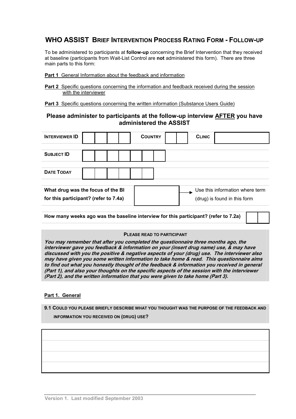## WHO ASSIST BRIEF INTERVENTION PROCESS RATING FORM - FOLLOW-UP

To be administered to participants at **follow-up** concerning the Brief Intervention that they received at baseline (participants from Wait-List Control are not administered this form). There are three main parts to this form:

#### **Part 1** General Information about the feedback and information

Part 2 Specific questions concerning the information and feedback received during the session with the interviewer

**Part 3** Specific questions concerning the written information (Substance Users Guide)

## Please administer to participants at the follow-up interview AFTER you have administered the ASSIST

| <b>INTERVIEWER ID</b>                                                      |  |  | <b>COUNTRY</b> |  | <b>CLINIC</b>                                                   |  |
|----------------------------------------------------------------------------|--|--|----------------|--|-----------------------------------------------------------------|--|
| <b>SUBJECT ID</b>                                                          |  |  |                |  |                                                                 |  |
| <b>DATE TODAY</b>                                                          |  |  |                |  |                                                                 |  |
| What drug was the focus of the BI<br>for this participant? (refer to 7.4a) |  |  |                |  | Use this information where term<br>(drug) is found in this form |  |

How many weeks ago was the baseline interview for this participant? (refer to 7.2a)

#### PLEASE READ TO PARTICIPANT

You may remember that after you completed the questionnaire three months ago, the interviewer gave you feedback & information on your (insert drug name) use, & may have discussed with you the positive & negative aspects of your (drug) use. The interviewer also may have given you some written information to take home & read. This questionnaire aims to find out what you honestly thought of the feedback & information you received in general (Part 1), and also your thoughts on the specific aspects of the session with the interviewer (Part 2), and the written information that you were given to take home (Part 3).

## Part 1. General

9.1 COULD YOU PLEASE BRIEFLY DESCRIBE WHAT YOU THOUGHT WAS THE PURPOSE OF THE FEEDBACK AND INFORMATION YOU RECEIVED ON (DRUG) USE?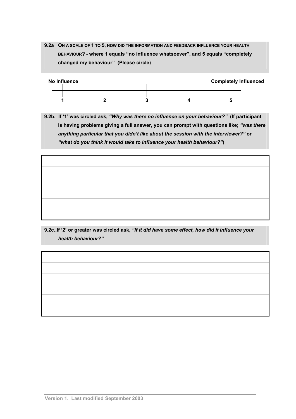9.2a ON A SCALE OF 1 TO 5, HOW DID THE INFORMATION AND FEEDBACK INFLUENCE YOUR HEALTH BEHAVIOUR? - where 1 equals "no influence whatsoever", and 5 equals "completely changed my behaviour" (Please circle)



9.2b. If '1' was circled ask, "Why was there no influence on your behaviour?" (If participant is having problems giving a full answer, you can prompt with questions like; "was there anything particular that you didn't like about the session with the interviewer?" or "what do you think it would take to influence your health behaviour?")

9.2c..If '2' or greater was circled ask, "If it did have some effect, how did it influence your health behaviour?"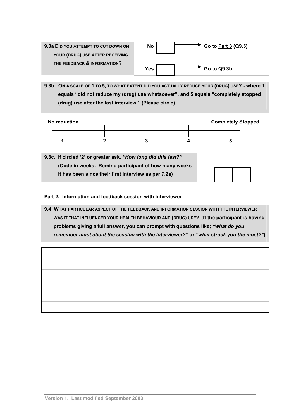

9.3b ON A SCALE OF 1 TO 5, TO WHAT EXTENT DID YOU ACTUALLY REDUCE YOUR (DRUG) USE? - where 1 equals "did not reduce my (drug) use whatsoever", and 5 equals "completely stopped (drug) use after the last interview" (Please circle)



9.3c. If circled '2' or greater ask, "How long did this last?" (Code in weeks. Remind participant of how many weeks it has been since their first interview as per 7.2a)

## Part 2. Information and feedback session with interviewer

9.4 WHAT PARTICULAR ASPECT OF THE FEEDBACK AND INFORMATION SESSION WITH THE INTERVIEWER WAS IT THAT INFLUENCED YOUR HEALTH BEHAVIOUR AND (DRUG) USE? (If the participant is having problems giving a full answer, you can prompt with questions like; "what do you remember most about the session with the interviewer?" or "what struck you the most?")